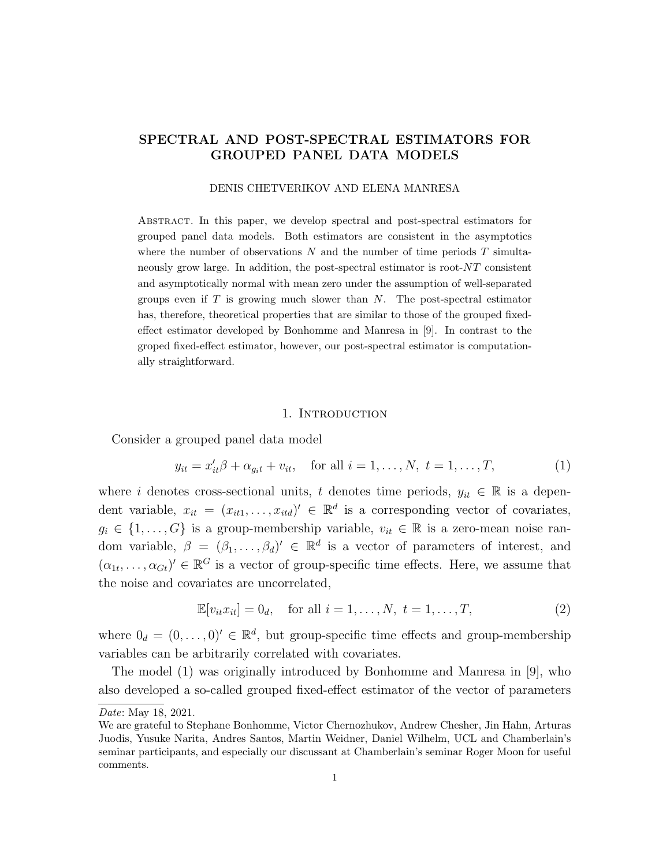## SPECTRAL AND POST-SPECTRAL ESTIMATORS FOR GROUPED PANEL DATA MODELS

#### DENIS CHETVERIKOV AND ELENA MANRESA

Abstract. In this paper, we develop spectral and post-spectral estimators for grouped panel data models. Both estimators are consistent in the asymptotics where the number of observations  $N$  and the number of time periods  $T$  simultaneously grow large. In addition, the post-spectral estimator is root-NT consistent and asymptotically normal with mean zero under the assumption of well-separated groups even if  $T$  is growing much slower than  $N$ . The post-spectral estimator has, therefore, theoretical properties that are similar to those of the grouped fixedeffect estimator developed by Bonhomme and Manresa in [9]. In contrast to the groped fixed-effect estimator, however, our post-spectral estimator is computationally straightforward.

#### 1. Introduction

Consider a grouped panel data model

$$
y_{it} = x'_{it}\beta + \alpha_{git} + v_{it}
$$
, for all  $i = 1, ..., N$ ,  $t = 1, ..., T$ , (1)

where i denotes cross-sectional units, t denotes time periods,  $y_{it} \in \mathbb{R}$  is a dependent variable,  $x_{it} = (x_{it1}, \ldots, x_{itd})' \in \mathbb{R}^d$  is a corresponding vector of covariates,  $g_i \in \{1, \ldots, G\}$  is a group-membership variable,  $v_{it} \in \mathbb{R}$  is a zero-mean noise random variable,  $\beta = (\beta_1, \ldots, \beta_d)' \in \mathbb{R}^d$  is a vector of parameters of interest, and  $(\alpha_{1t},\ldots,\alpha_{Gt})' \in \mathbb{R}^G$  is a vector of group-specific time effects. Here, we assume that the noise and covariates are uncorrelated,

$$
\mathbb{E}[v_{it}x_{it}] = 0_d, \text{ for all } i = 1, ..., N, t = 1, ..., T,
$$
 (2)

where  $0_d = (0, \ldots, 0) \in \mathbb{R}^d$ , but group-specific time effects and group-membership variables can be arbitrarily correlated with covariates.

The model (1) was originally introduced by Bonhomme and Manresa in [9], who also developed a so-called grouped fixed-effect estimator of the vector of parameters

Date: May 18, 2021.

We are grateful to Stephane Bonhomme, Victor Chernozhukov, Andrew Chesher, Jin Hahn, Arturas Juodis, Yusuke Narita, Andres Santos, Martin Weidner, Daniel Wilhelm, UCL and Chamberlain's seminar participants, and especially our discussant at Chamberlain's seminar Roger Moon for useful comments.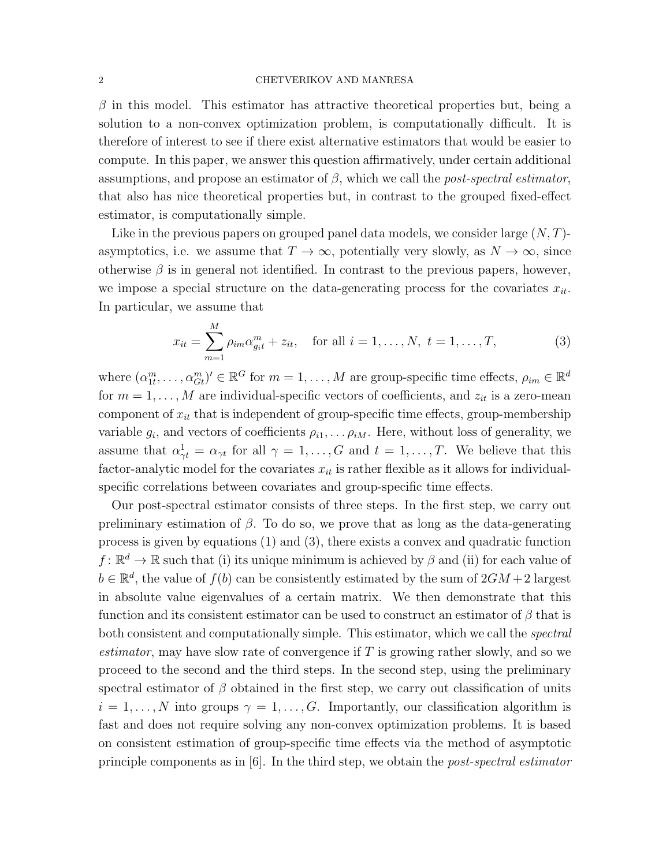#### 2 CHETVERIKOV AND MANRESA

 $\beta$  in this model. This estimator has attractive theoretical properties but, being a solution to a non-convex optimization problem, is computationally difficult. It is therefore of interest to see if there exist alternative estimators that would be easier to compute. In this paper, we answer this question affirmatively, under certain additional assumptions, and propose an estimator of  $\beta$ , which we call the *post-spectral estimator*, that also has nice theoretical properties but, in contrast to the grouped fixed-effect estimator, is computationally simple.

Like in the previous papers on grouped panel data models, we consider large  $(N, T)$ asymptotics, i.e. we assume that  $T \to \infty$ , potentially very slowly, as  $N \to \infty$ , since otherwise  $\beta$  is in general not identified. In contrast to the previous papers, however, we impose a special structure on the data-generating process for the covariates  $x_{it}$ . In particular, we assume that

$$
x_{it} = \sum_{m=1}^{M} \rho_{im} \alpha_{g_i t}^m + z_{it}, \quad \text{for all } i = 1, ..., N, \ t = 1, ..., T,
$$
 (3)

where  $(\alpha_{1t}^m, \ldots, \alpha_{Gt}^m)' \in \mathbb{R}^G$  for  $m = 1, \ldots, M$  are group-specific time effects,  $\rho_{im} \in \mathbb{R}^d$ for  $m = 1, \ldots, M$  are individual-specific vectors of coefficients, and  $z_{it}$  is a zero-mean component of  $x_{it}$  that is independent of group-specific time effects, group-membership variable  $g_i$ , and vectors of coefficients  $\rho_{i1}, \ldots \rho_{iM}$ . Here, without loss of generality, we assume that  $\alpha_{\gamma t}^1 = \alpha_{\gamma t}$  for all  $\gamma = 1, \ldots, G$  and  $t = 1, \ldots, T$ . We believe that this factor-analytic model for the covariates  $x_{it}$  is rather flexible as it allows for individualspecific correlations between covariates and group-specific time effects.

Our post-spectral estimator consists of three steps. In the first step, we carry out preliminary estimation of  $\beta$ . To do so, we prove that as long as the data-generating process is given by equations (1) and (3), there exists a convex and quadratic function  $f: \mathbb{R}^d \to \mathbb{R}$  such that (i) its unique minimum is achieved by  $\beta$  and (ii) for each value of  $b \in \mathbb{R}^d$ , the value of  $f(b)$  can be consistently estimated by the sum of  $2GM + 2$  largest in absolute value eigenvalues of a certain matrix. We then demonstrate that this function and its consistent estimator can be used to construct an estimator of  $\beta$  that is both consistent and computationally simple. This estimator, which we call the *spectral estimator*, may have slow rate of convergence if  $T$  is growing rather slowly, and so we proceed to the second and the third steps. In the second step, using the preliminary spectral estimator of  $\beta$  obtained in the first step, we carry out classification of units  $i = 1, \ldots, N$  into groups  $\gamma = 1, \ldots, G$ . Importantly, our classification algorithm is fast and does not require solving any non-convex optimization problems. It is based on consistent estimation of group-specific time effects via the method of asymptotic principle components as in  $[6]$ . In the third step, we obtain the *post-spectral estimator*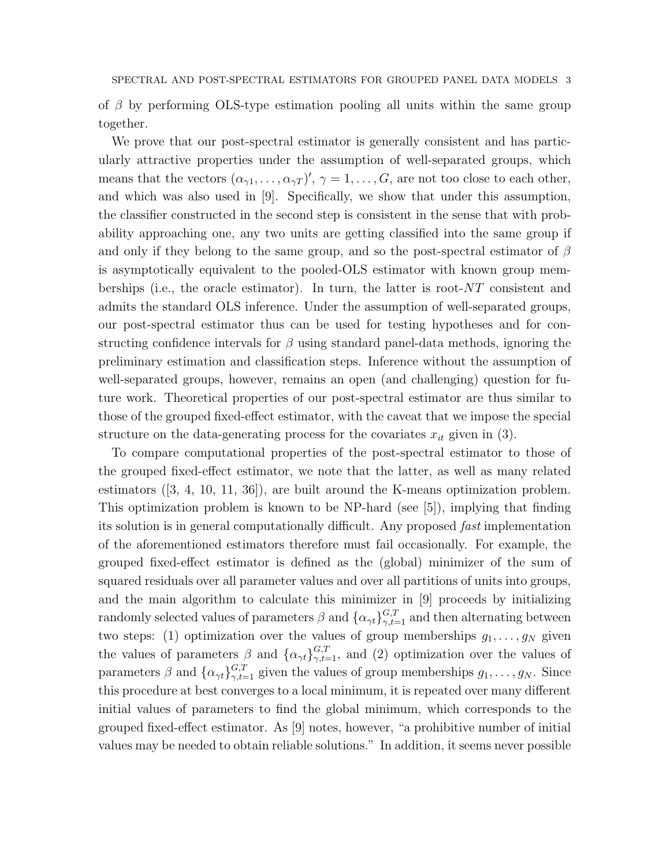of  $\beta$  by performing OLS-type estimation pooling all units within the same group together.

We prove that our post-spectral estimator is generally consistent and has particularly attractive properties under the assumption of well-separated groups, which means that the vectors  $(\alpha_{\gamma 1}, \ldots, \alpha_{\gamma T})'$ ,  $\gamma = 1, \ldots, G$ , are not too close to each other, and which was also used in [9]. Specifically, we show that under this assumption, the classifier constructed in the second step is consistent in the sense that with probability approaching one, any two units are getting classified into the same group if and only if they belong to the same group, and so the post-spectral estimator of  $\beta$ is asymptotically equivalent to the pooled-OLS estimator with known group memberships (i.e., the oracle estimator). In turn, the latter is root- $NT$  consistent and admits the standard OLS inference. Under the assumption of well-separated groups, our post-spectral estimator thus can be used for testing hypotheses and for constructing confidence intervals for  $\beta$  using standard panel-data methods, ignoring the preliminary estimation and classification steps. Inference without the assumption of well-separated groups, however, remains an open (and challenging) question for future work. Theoretical properties of our post-spectral estimator are thus similar to those of the grouped fixed-effect estimator, with the caveat that we impose the special structure on the data-generating process for the covariates  $x_{it}$  given in (3).

To compare computational properties of the post-spectral estimator to those of the grouped fixed-effect estimator, we note that the latter, as well as many related estimators ([3, 4, 10, 11, 36]), are built around the K-means optimization problem. This optimization problem is known to be NP-hard (see [5]), implying that finding its solution is in general computationally difficult. Any proposed fast implementation of the aforementioned estimators therefore must fail occasionally. For example, the grouped fixed-effect estimator is defined as the (global) minimizer of the sum of squared residuals over all parameter values and over all partitions of units into groups, and the main algorithm to calculate this minimizer in [9] proceeds by initializing randomly selected values of parameters  $\beta$  and  $\{\alpha_{\gamma t}\}_{\gamma,t=1}^{G,T}$  and then alternating between two steps: (1) optimization over the values of group memberships  $g_1, \ldots, g_N$  given the values of parameters  $\beta$  and  $\{\alpha_{\gamma t}\}_{\gamma,t=1}^{G,T}$ , and (2) optimization over the values of parameters  $\beta$  and  $\{\alpha_{\gamma t}\}_{\gamma,t=1}^{G,T}$  given the values of group memberships  $g_1, \ldots, g_N$ . Since this procedure at best converges to a local minimum, it is repeated over many different initial values of parameters to find the global minimum, which corresponds to the grouped fixed-effect estimator. As [9] notes, however, "a prohibitive number of initial values may be needed to obtain reliable solutions." In addition, it seems never possible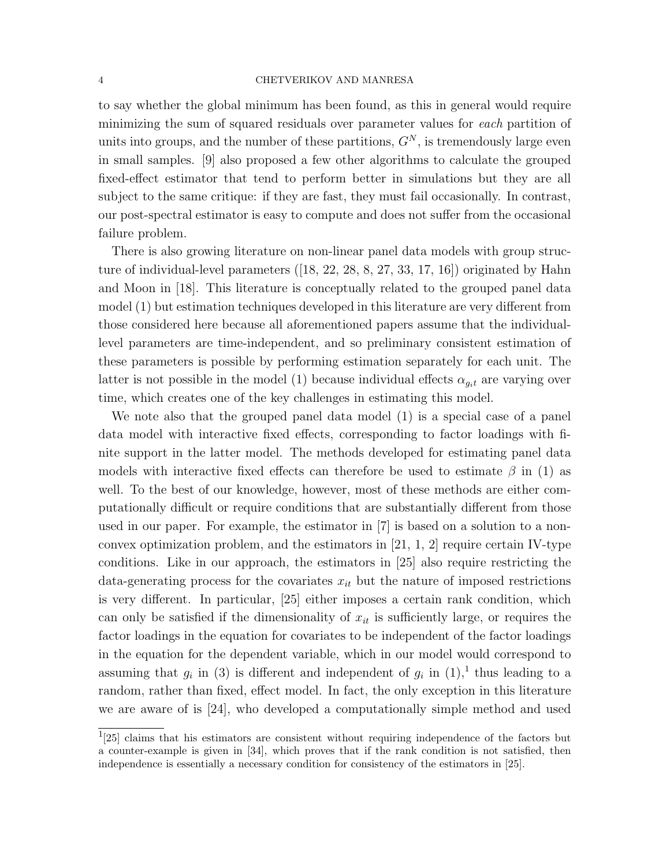#### 4 CHETVERIKOV AND MANRESA

to say whether the global minimum has been found, as this in general would require minimizing the sum of squared residuals over parameter values for each partition of units into groups, and the number of these partitions,  $G<sup>N</sup>$ , is tremendously large even in small samples. [9] also proposed a few other algorithms to calculate the grouped fixed-effect estimator that tend to perform better in simulations but they are all subject to the same critique: if they are fast, they must fail occasionally. In contrast, our post-spectral estimator is easy to compute and does not suffer from the occasional failure problem.

There is also growing literature on non-linear panel data models with group structure of individual-level parameters ([18, 22, 28, 8, 27, 33, 17, 16]) originated by Hahn and Moon in [18]. This literature is conceptually related to the grouped panel data model (1) but estimation techniques developed in this literature are very different from those considered here because all aforementioned papers assume that the individuallevel parameters are time-independent, and so preliminary consistent estimation of these parameters is possible by performing estimation separately for each unit. The latter is not possible in the model (1) because individual effects  $\alpha_{q,t}$  are varying over time, which creates one of the key challenges in estimating this model.

We note also that the grouped panel data model (1) is a special case of a panel data model with interactive fixed effects, corresponding to factor loadings with finite support in the latter model. The methods developed for estimating panel data models with interactive fixed effects can therefore be used to estimate  $\beta$  in (1) as well. To the best of our knowledge, however, most of these methods are either computationally difficult or require conditions that are substantially different from those used in our paper. For example, the estimator in [7] is based on a solution to a nonconvex optimization problem, and the estimators in  $[21, 1, 2]$  require certain IV-type conditions. Like in our approach, the estimators in [25] also require restricting the data-generating process for the covariates  $x_{it}$  but the nature of imposed restrictions is very different. In particular, [25] either imposes a certain rank condition, which can only be satisfied if the dimensionality of  $x_{it}$  is sufficiently large, or requires the factor loadings in the equation for covariates to be independent of the factor loadings in the equation for the dependent variable, which in our model would correspond to assuming that  $g_i$  in (3) is different and independent of  $g_i$  in  $(1)$ , thus leading to a random, rather than fixed, effect model. In fact, the only exception in this literature we are aware of is [24], who developed a computationally simple method and used

<sup>&</sup>lt;sup>1</sup>[25] claims that his estimators are consistent without requiring independence of the factors but a counter-example is given in [34], which proves that if the rank condition is not satisfied, then independence is essentially a necessary condition for consistency of the estimators in [25].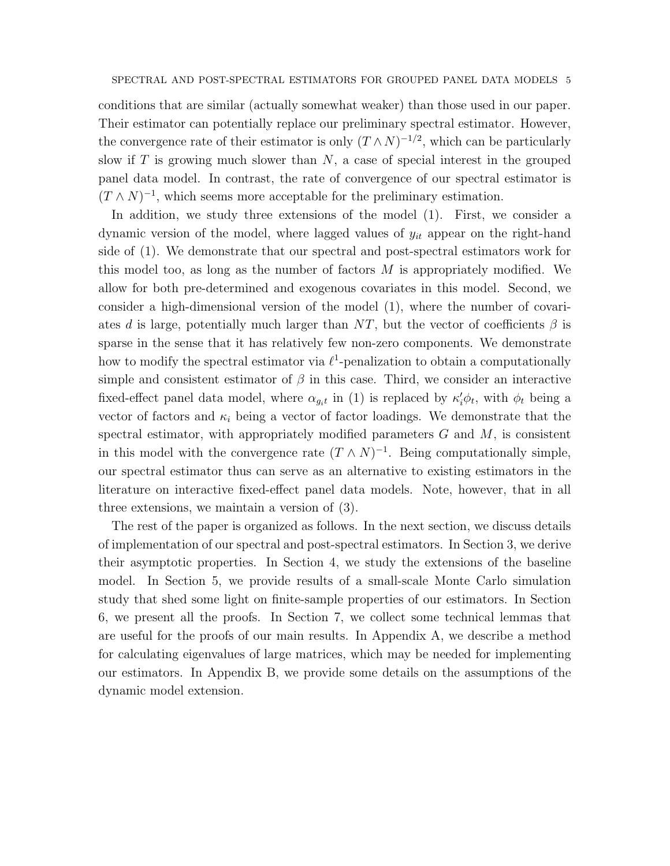conditions that are similar (actually somewhat weaker) than those used in our paper. Their estimator can potentially replace our preliminary spectral estimator. However, the convergence rate of their estimator is only  $(T \wedge N)^{-1/2}$ , which can be particularly slow if  $T$  is growing much slower than  $N$ , a case of special interest in the grouped panel data model. In contrast, the rate of convergence of our spectral estimator is  $(T \wedge N)^{-1}$ , which seems more acceptable for the preliminary estimation.

In addition, we study three extensions of the model (1). First, we consider a dynamic version of the model, where lagged values of  $y_{it}$  appear on the right-hand side of (1). We demonstrate that our spectral and post-spectral estimators work for this model too, as long as the number of factors  $M$  is appropriately modified. We allow for both pre-determined and exogenous covariates in this model. Second, we consider a high-dimensional version of the model (1), where the number of covariates d is large, potentially much larger than NT, but the vector of coefficients  $\beta$  is sparse in the sense that it has relatively few non-zero components. We demonstrate how to modify the spectral estimator via  $\ell^1$ -penalization to obtain a computationally simple and consistent estimator of  $\beta$  in this case. Third, we consider an interactive fixed-effect panel data model, where  $\alpha_{g_i t}$  in (1) is replaced by  $\kappa'_i \phi_t$ , with  $\phi_t$  being a vector of factors and  $\kappa_i$  being a vector of factor loadings. We demonstrate that the spectral estimator, with appropriately modified parameters  $G$  and  $M$ , is consistent in this model with the convergence rate  $(T \wedge N)^{-1}$ . Being computationally simple, our spectral estimator thus can serve as an alternative to existing estimators in the literature on interactive fixed-effect panel data models. Note, however, that in all three extensions, we maintain a version of (3).

The rest of the paper is organized as follows. In the next section, we discuss details of implementation of our spectral and post-spectral estimators. In Section 3, we derive their asymptotic properties. In Section 4, we study the extensions of the baseline model. In Section 5, we provide results of a small-scale Monte Carlo simulation study that shed some light on finite-sample properties of our estimators. In Section 6, we present all the proofs. In Section 7, we collect some technical lemmas that are useful for the proofs of our main results. In Appendix A, we describe a method for calculating eigenvalues of large matrices, which may be needed for implementing our estimators. In Appendix B, we provide some details on the assumptions of the dynamic model extension.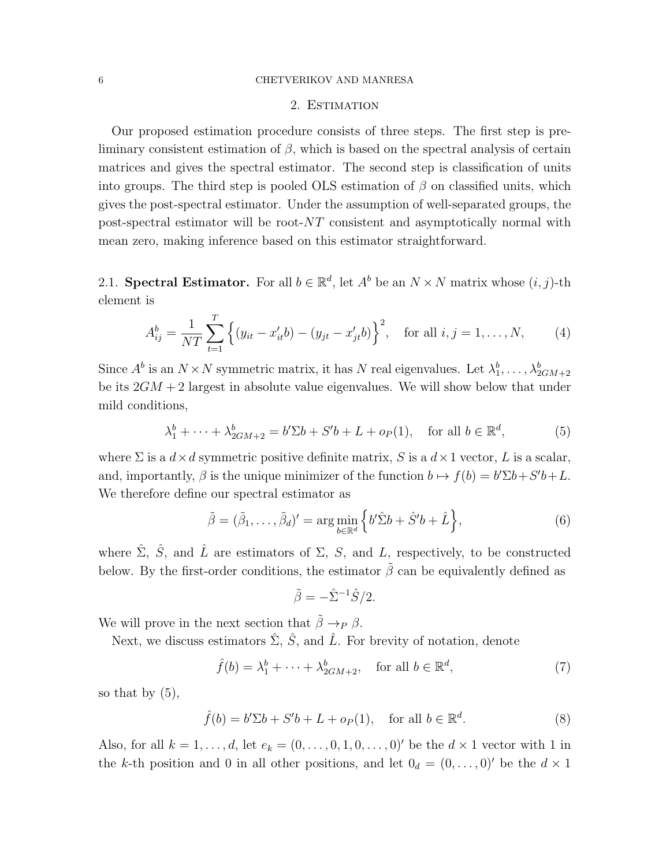#### 6 CHETVERIKOV AND MANRESA

#### 2. ESTIMATION

Our proposed estimation procedure consists of three steps. The first step is preliminary consistent estimation of  $\beta$ , which is based on the spectral analysis of certain matrices and gives the spectral estimator. The second step is classification of units into groups. The third step is pooled OLS estimation of  $\beta$  on classified units, which gives the post-spectral estimator. Under the assumption of well-separated groups, the post-spectral estimator will be root-NT consistent and asymptotically normal with mean zero, making inference based on this estimator straightforward.

2.1. Spectral Estimator. For all  $b \in \mathbb{R}^d$ , let  $A^b$  be an  $N \times N$  matrix whose  $(i, j)$ -th element is

$$
A_{ij}^{b} = \frac{1}{NT} \sum_{t=1}^{T} \left\{ (y_{it} - x_{it}^{\prime} b) - (y_{jt} - x_{jt}^{\prime} b) \right\}^{2}, \text{ for all } i, j = 1, ..., N,
$$
 (4)

Since  $A^b$  is an  $N \times N$  symmetric matrix, it has N real eigenvalues. Let  $\lambda_1^b, \ldots, \lambda_{2GM+2}^b$ be its  $2GM + 2$  largest in absolute value eigenvalues. We will show below that under mild conditions,

$$
\lambda_1^b + \dots + \lambda_{2GM+2}^b = b'\Sigma b + S'b + L + o_P(1), \quad \text{for all } b \in \mathbb{R}^d,
$$
 (5)

where  $\Sigma$  is a  $d \times d$  symmetric positive definite matrix, S is a  $d \times 1$  vector, L is a scalar, and, importantly,  $\beta$  is the unique minimizer of the function  $b \mapsto f(b) = b'\Sigma b + S'b + L$ . We therefore define our spectral estimator as

$$
\tilde{\beta} = (\tilde{\beta}_1, \dots, \tilde{\beta}_d)' = \arg\min_{b \in \mathbb{R}^d} \left\{ b' \hat{\Sigma} b + \hat{S}' b + \hat{L} \right\},\tag{6}
$$

where  $\hat{\Sigma}$ ,  $\hat{S}$ , and  $\hat{L}$  are estimators of  $\Sigma$ , S, and L, respectively, to be constructed below. By the first-order conditions, the estimator  $\tilde{\beta}$  can be equivalently defined as

$$
\tilde{\beta} = -\hat{\Sigma}^{-1}\hat{S}/2.
$$

We will prove in the next section that  $\tilde{\beta} \rightarrow_P \beta$ .

Next, we discuss estimators  $\hat{\Sigma}$ ,  $\hat{S}$ , and  $\hat{L}$ . For brevity of notation, denote

$$
\hat{f}(b) = \lambda_1^b + \dots + \lambda_{2GM+2}^b, \quad \text{for all } b \in \mathbb{R}^d,
$$
\n<sup>(7)</sup>

so that by  $(5)$ ,

$$
\hat{f}(b) = b'\Sigma b + S'b + L + o_P(1), \quad \text{for all } b \in \mathbb{R}^d.
$$
 (8)

Also, for all  $k = 1, \ldots, d$ , let  $e_k = (0, \ldots, 0, 1, 0, \ldots, 0)'$  be the  $d \times 1$  vector with 1 in the k-th position and 0 in all other positions, and let  $0_d = (0, \ldots, 0)$  be the  $d \times 1$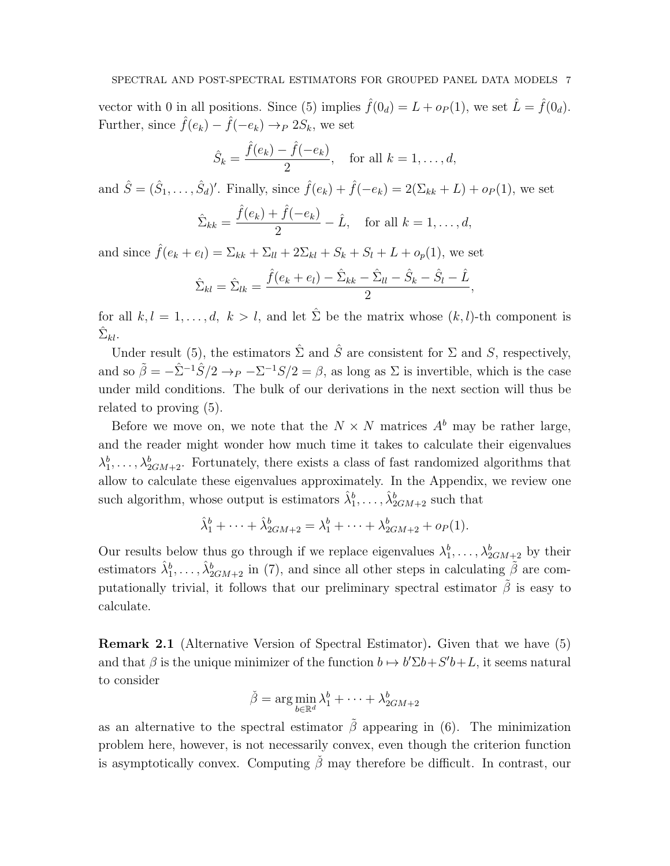vector with 0 in all positions. Since (5) implies  $\hat{f}(0_d) = L + o_P(1)$ , we set  $\hat{L} = \hat{f}(0_d)$ . Further, since  $\hat{f}(e_k) - \hat{f}(-e_k) \rightarrow_P 2S_k$ , we set

$$
\hat{S}_k = \frac{\hat{f}(e_k) - \hat{f}(-e_k)}{2}
$$
, for all  $k = 1, ..., d$ ,

and  $\hat{S} = (\hat{S}_1, \ldots, \hat{S}_d)'$ . Finally, since  $\hat{f}(e_k) + \hat{f}(-e_k) = 2(\Sigma_{kk} + L) + o_P(1)$ , we set

$$
\hat{\Sigma}_{kk} = \frac{\hat{f}(e_k) + \hat{f}(-e_k)}{2} - \hat{L}, \quad \text{for all } k = 1, \dots, d,
$$

and since  $\hat{f}(e_k + e_l) = \sum_{kk} + \sum_{ll} + 2\sum_{kl} + S_k + S_l + L + o_p(1)$ , we set

$$
\hat{\Sigma}_{kl} = \hat{\Sigma}_{lk} = \frac{\hat{f}(e_k + e_l) - \hat{\Sigma}_{kk} - \hat{\Sigma}_{ll} - \hat{S}_k - \hat{S}_l - \hat{L}}{2},
$$

for all  $k, l = 1, ..., d, k > l$ , and let  $\hat{\Sigma}$  be the matrix whose  $(k, l)$ -th component is  $\hat{\Sigma}_{kl}.$ 

Under result (5), the estimators  $\hat{\Sigma}$  and  $\hat{S}$  are consistent for  $\Sigma$  and  $S$ , respectively, and so  $\tilde{\beta} = -\hat{\Sigma}^{-1}\hat{S}/2 \rightarrow_P -\Sigma^{-1}S/2 = \beta$ , as long as  $\Sigma$  is invertible, which is the case under mild conditions. The bulk of our derivations in the next section will thus be related to proving (5).

Before we move on, we note that the  $N \times N$  matrices  $A^b$  may be rather large, and the reader might wonder how much time it takes to calculate their eigenvalues  $\lambda_1^b, \ldots, \lambda_{2GM+2}^b$ . Fortunately, there exists a class of fast randomized algorithms that allow to calculate these eigenvalues approximately. In the Appendix, we review one such algorithm, whose output is estimators  $\hat{\lambda}_1^b, \ldots, \hat{\lambda}_{2GM+2}^b$  such that

$$
\hat{\lambda}_1^b + \dots + \hat{\lambda}_{2GM+2}^b = \lambda_1^b + \dots + \lambda_{2GM+2}^b + o_P(1).
$$

Our results below thus go through if we replace eigenvalues  $\lambda_1^b, \ldots, \lambda_{2GM+2}^b$  by their estimators  $\hat{\lambda}_1^b, \ldots, \hat{\lambda}_{2GM+2}^b$  in (7), and since all other steps in calculating  $\tilde{\beta}$  are computationally trivial, it follows that our preliminary spectral estimator  $\tilde{\beta}$  is easy to calculate.

Remark 2.1 (Alternative Version of Spectral Estimator). Given that we have (5) and that  $\beta$  is the unique minimizer of the function  $b \mapsto b' \Sigma b + S' b + L$ , it seems natural to consider

$$
\check{\beta} = \arg\min_{b \in \mathbb{R}^d} \lambda_1^b + \dots + \lambda_{2GM+2}^b
$$

as an alternative to the spectral estimator  $\tilde{\beta}$  appearing in (6). The minimization problem here, however, is not necessarily convex, even though the criterion function is asymptotically convex. Computing  $\check{\beta}$  may therefore be difficult. In contrast, our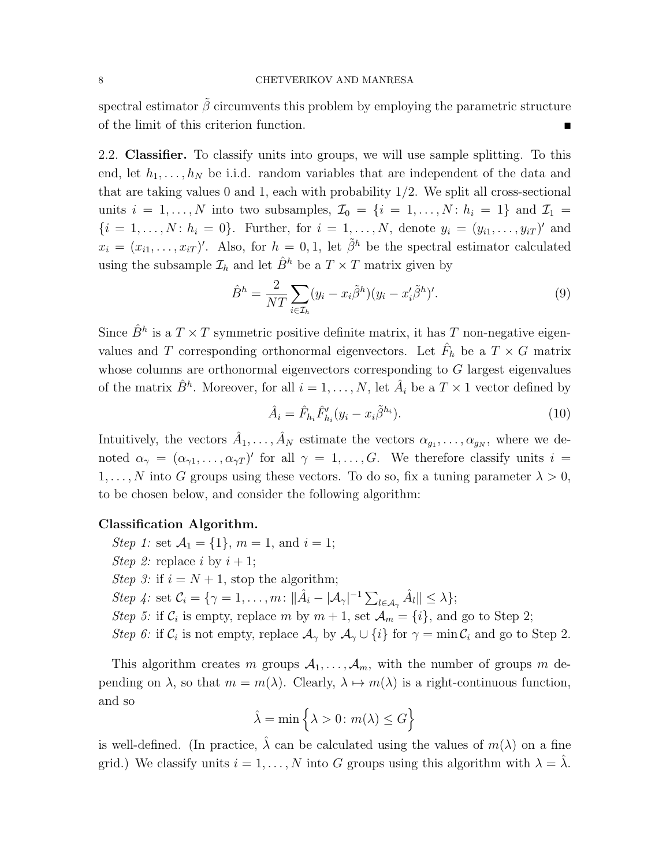spectral estimator  $\tilde{\beta}$  circumvents this problem by employing the parametric structure of the limit of this criterion function.

2.2. Classifier. To classify units into groups, we will use sample splitting. To this end, let  $h_1, \ldots, h_N$  be i.i.d. random variables that are independent of the data and that are taking values  $0$  and  $1$ , each with probability  $1/2$ . We split all cross-sectional units  $i = 1, \ldots, N$  into two subsamples,  $\mathcal{I}_0 = \{i = 1, \ldots, N : h_i = 1\}$  and  $\mathcal{I}_1 =$  $\{i = 1, ..., N: h_i = 0\}$ . Further, for  $i = 1, ..., N$ , denote  $y_i = (y_{i1}, ..., y_{iT})'$  and  $x_i = (x_{i1}, \ldots, x_{iT})'$ . Also, for  $h = 0, 1$ , let  $\tilde{\beta}^h$  be the spectral estimator calculated using the subsample  $\mathcal{I}_h$  and let  $\hat{B}^h$  be a  $T \times T$  matrix given by

$$
\hat{B}^h = \frac{2}{NT} \sum_{i \in \mathcal{I}_h} (y_i - x_i \tilde{\beta}^h)(y_i - x_i' \tilde{\beta}^h)'. \tag{9}
$$

Since  $\hat{B}^h$  is a  $T \times T$  symmetric positive definite matrix, it has T non-negative eigenvalues and T corresponding orthonormal eigenvectors. Let  $\hat{F}_h$  be a  $T \times G$  matrix whose columns are orthonormal eigenvectors corresponding to G largest eigenvalues of the matrix  $\hat{B}^h$ . Moreover, for all  $i = 1, ..., N$ , let  $\hat{A}_i$  be a  $T \times 1$  vector defined by

$$
\hat{A}_i = \hat{F}_{h_i} \hat{F}'_{h_i} (y_i - x_i \tilde{\beta}^{h_i}).
$$
\n(10)

Intuitively, the vectors  $\hat{A}_1, \ldots, \hat{A}_N$  estimate the vectors  $\alpha_{g_1}, \ldots, \alpha_{g_N}$ , where we denoted  $\alpha_{\gamma} = (\alpha_{\gamma 1}, \dots, \alpha_{\gamma T})'$  for all  $\gamma = 1, \dots, G$ . We therefore classify units  $i =$ 1, ..., N into G groups using these vectors. To do so, fix a tuning parameter  $\lambda > 0$ , to be chosen below, and consider the following algorithm:

#### Classification Algorithm.

Step 1: set  $A_1 = \{1\}$ ,  $m = 1$ , and  $i = 1$ ; Step 2: replace i by  $i + 1$ ; Step 3: if  $i = N + 1$ , stop the algorithm; Step 4: set  $\mathcal{C}_i = \{ \gamma = 1, \ldots, m : ||\hat{A}_i - |A_{\gamma}|^{-1} \sum_{l \in A_{\gamma}} \hat{A}_l || \leq \lambda \};$ Step 5: if  $C_i$  is empty, replace m by  $m + 1$ , set  $\mathcal{A}_m = \{i\}$ , and go to Step 2; Step 6: if  $\mathcal{C}_i$  is not empty, replace  $\mathcal{A}_{\gamma}$  by  $\mathcal{A}_{\gamma} \cup \{i\}$  for  $\gamma = \min \mathcal{C}_i$  and go to Step 2.

This algorithm creates m groups  $A_1, \ldots, A_m$ , with the number of groups m depending on  $\lambda$ , so that  $m = m(\lambda)$ . Clearly,  $\lambda \mapsto m(\lambda)$  is a right-continuous function, and so

$$
\hat{\lambda} = \min \left\{ \lambda > 0 \colon m(\lambda) \le G \right\}
$$

is well-defined. (In practice,  $\hat{\lambda}$  can be calculated using the values of  $m(\lambda)$  on a fine grid.) We classify units  $i = 1, ..., N$  into G groups using this algorithm with  $\lambda = \hat{\lambda}$ .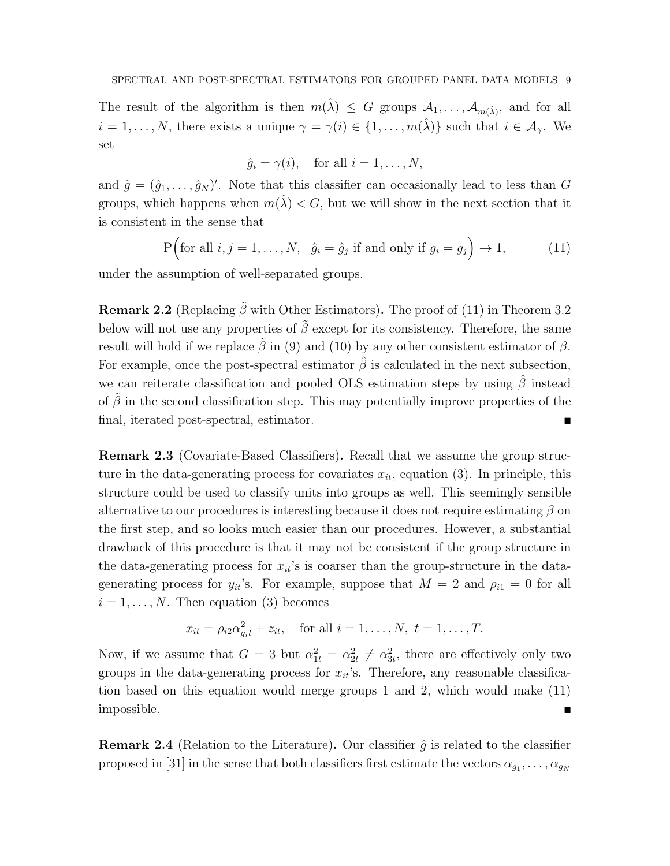The result of the algorithm is then  $m(\hat{\lambda}) \leq G$  groups  $\mathcal{A}_1, \ldots, \mathcal{A}_{m(\hat{\lambda})}$ , and for all  $i = 1, \ldots, N$ , there exists a unique  $\gamma = \gamma(i) \in \{1, \ldots, m(\hat{\lambda})\}$  such that  $i \in \mathcal{A}_{\gamma}$ . We set

$$
\hat{g}_i = \gamma(i)
$$
, for all  $i = 1, ..., N$ ,

and  $\hat{g} = (\hat{g}_1, \dots, \hat{g}_N)'$ . Note that this classifier can occasionally lead to less than G groups, which happens when  $m(\lambda) < G$ , but we will show in the next section that it is consistent in the sense that

$$
P\Big(\text{for all } i, j = 1, \dots, N, \quad \hat{g}_i = \hat{g}_j \text{ if and only if } g_i = g_j\Big) \to 1,\tag{11}
$$

under the assumption of well-separated groups.

**Remark 2.2** (Replacing  $\tilde{\beta}$  with Other Estimators). The proof of (11) in Theorem 3.2 below will not use any properties of  $\tilde{\beta}$  except for its consistency. Therefore, the same result will hold if we replace  $\tilde{\beta}$  in (9) and (10) by any other consistent estimator of  $\beta$ . For example, once the post-spectral estimator  $\hat{\beta}$  is calculated in the next subsection, we can reiterate classification and pooled OLS estimation steps by using  $\hat{\beta}$  instead of  $\tilde{\beta}$  in the second classification step. This may potentially improve properties of the final, iterated post-spectral, estimator.

Remark 2.3 (Covariate-Based Classifiers). Recall that we assume the group structure in the data-generating process for covariates  $x_{it}$ , equation (3). In principle, this structure could be used to classify units into groups as well. This seemingly sensible alternative to our procedures is interesting because it does not require estimating  $\beta$  on the first step, and so looks much easier than our procedures. However, a substantial drawback of this procedure is that it may not be consistent if the group structure in the data-generating process for  $x_{it}$ 's is coarser than the group-structure in the datagenerating process for  $y_{it}$ 's. For example, suppose that  $M = 2$  and  $\rho_{i1} = 0$  for all  $i = 1, \ldots, N$ . Then equation (3) becomes

$$
x_{it} = \rho_{i2} \alpha_{g_i t}^2 + z_{it}
$$
, for all  $i = 1, ..., N$ ,  $t = 1, ..., T$ .

Now, if we assume that  $G = 3$  but  $\alpha_{1t}^2 = \alpha_{2t}^2 \neq \alpha_{3t}^2$ , there are effectively only two groups in the data-generating process for  $x_{it}$ 's. Therefore, any reasonable classification based on this equation would merge groups 1 and 2, which would make (11) impossible.

**Remark 2.4** (Relation to the Literature). Our classifier  $\hat{g}$  is related to the classifier proposed in [31] in the sense that both classifiers first estimate the vectors  $\alpha_{g_1}, \ldots, \alpha_{g_N}$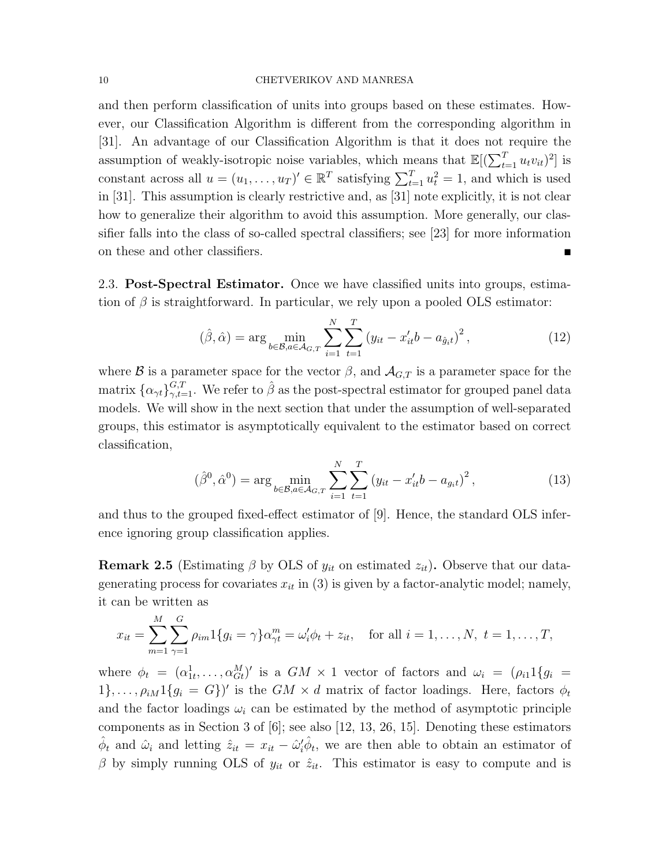and then perform classification of units into groups based on these estimates. However, our Classification Algorithm is different from the corresponding algorithm in [31]. An advantage of our Classification Algorithm is that it does not require the assumption of weakly-isotropic noise variables, which means that  $\mathbb{E}[(\sum_{t=1}^{T} u_t v_{it})^2]$  is constant across all  $u = (u_1, \ldots, u_T)^{\prime} \in \mathbb{R}^T$  satisfying  $\sum_{t=1}^T u_t^2 = 1$ , and which is used in [31]. This assumption is clearly restrictive and, as [31] note explicitly, it is not clear how to generalize their algorithm to avoid this assumption. More generally, our classifier falls into the class of so-called spectral classifiers; see [23] for more information on these and other classifiers.

2.3. Post-Spectral Estimator. Once we have classified units into groups, estimation of  $\beta$  is straightforward. In particular, we rely upon a pooled OLS estimator:

$$
(\hat{\beta}, \hat{\alpha}) = \arg \min_{b \in \mathcal{B}, a \in \mathcal{A}_{G, T}} \sum_{i=1}^{N} \sum_{t=1}^{T} (y_{it} - x'_{it} b - a_{\hat{g}_i t})^2, \qquad (12)
$$

where B is a parameter space for the vector  $\beta$ , and  $\mathcal{A}_{G,T}$  is a parameter space for the matrix  $\{\alpha_{\gamma t}\}_{\gamma,t=1}^{G,T}$ . We refer to  $\hat{\beta}$  as the post-spectral estimator for grouped panel data models. We will show in the next section that under the assumption of well-separated groups, this estimator is asymptotically equivalent to the estimator based on correct classification,

$$
(\hat{\beta}^0, \hat{\alpha}^0) = \arg \min_{b \in \mathcal{B}, a \in \mathcal{A}_{G,T}} \sum_{i=1}^N \sum_{t=1}^T (y_{it} - x_{it}' b - a_{g_i t})^2, \qquad (13)
$$

and thus to the grouped fixed-effect estimator of [9]. Hence, the standard OLS inference ignoring group classification applies.

**Remark 2.5** (Estimating  $\beta$  by OLS of  $y_{it}$  on estimated  $z_{it}$ ). Observe that our datagenerating process for covariates  $x_{it}$  in (3) is given by a factor-analytic model; namely, it can be written as

$$
x_{it} = \sum_{m=1}^{M} \sum_{\gamma=1}^{G} \rho_{im} 1\{g_i = \gamma\} \alpha_{\gamma t}^m = \omega_i' \phi_t + z_{it}, \text{ for all } i = 1, ..., N, t = 1, ..., T,
$$

where  $\phi_t = (\alpha_{1t}^1, \ldots, \alpha_{Gt}^M)'$  is a  $GM \times 1$  vector of factors and  $\omega_i = (\rho_{i1} 1\{g_i\})$  $1\}, \ldots, \rho_i M 1\{g_i = G\}'$  is the  $GM \times d$  matrix of factor loadings. Here, factors  $\phi_t$ and the factor loadings  $\omega_i$  can be estimated by the method of asymptotic principle components as in Section 3 of [6]; see also [12, 13, 26, 15]. Denoting these estimators  $\hat{\phi}_t$  and  $\hat{\omega}_i$  and letting  $\hat{z}_{it} = x_{it} - \hat{\omega}_i' \hat{\phi}_t$ , we are then able to obtain an estimator of β by simply running OLS of  $y_{it}$  or  $\hat{z}_{it}$ . This estimator is easy to compute and is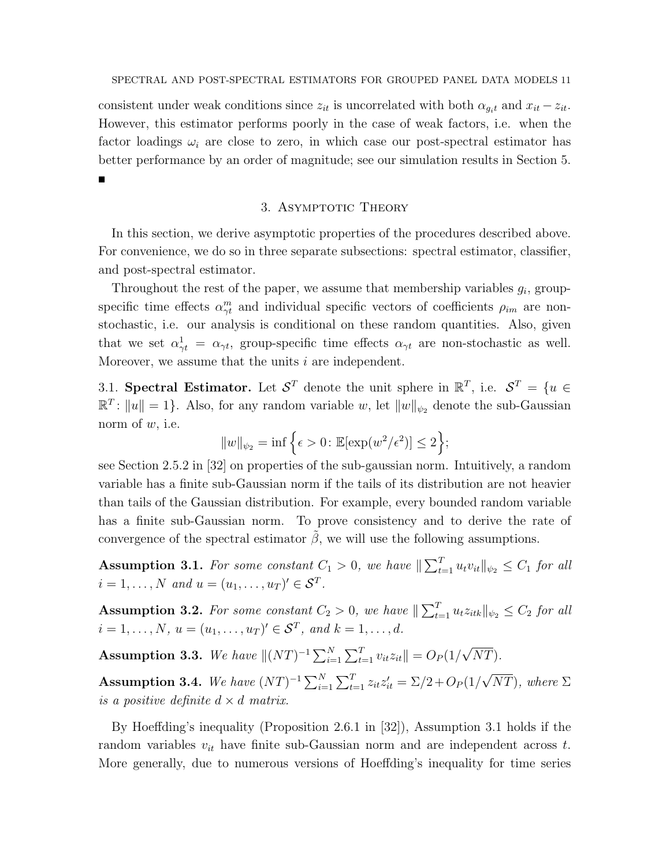consistent under weak conditions since  $z_{it}$  is uncorrelated with both  $\alpha_{g_it}$  and  $x_{it} - z_{it}$ . However, this estimator performs poorly in the case of weak factors, i.e. when the factor loadings  $\omega_i$  are close to zero, in which case our post-spectral estimator has better performance by an order of magnitude; see our simulation results in Section 5.  $\blacksquare$ 

## 3. ASYMPTOTIC THEORY

In this section, we derive asymptotic properties of the procedures described above. For convenience, we do so in three separate subsections: spectral estimator, classifier, and post-spectral estimator.

Throughout the rest of the paper, we assume that membership variables  $g_i$ , groupspecific time effects  $\alpha_{\gamma t}^{m}$  and individual specific vectors of coefficients  $\rho_{im}$  are nonstochastic, i.e. our analysis is conditional on these random quantities. Also, given that we set  $\alpha_{\gamma t}^1 = \alpha_{\gamma t}$ , group-specific time effects  $\alpha_{\gamma t}$  are non-stochastic as well. Moreover, we assume that the units  $i$  are independent.

3.1. Spectral Estimator. Let  $S^T$  denote the unit sphere in  $\mathbb{R}^T$ , i.e.  $S^T = \{u \in S\}$  $\mathbb{R}^T$ :  $||u|| = 1$ . Also, for any random variable w, let  $||w||_{\psi_2}$  denote the sub-Gaussian norm of  $w$ , i.e.

$$
||w||_{\psi_2} = \inf \left\{ \epsilon > 0 : \mathbb{E}[\exp(w^2/\epsilon^2)] \le 2 \right\};
$$

see Section 2.5.2 in [32] on properties of the sub-gaussian norm. Intuitively, a random variable has a finite sub-Gaussian norm if the tails of its distribution are not heavier than tails of the Gaussian distribution. For example, every bounded random variable has a finite sub-Gaussian norm. To prove consistency and to derive the rate of convergence of the spectral estimator  $\beta$ , we will use the following assumptions.

**Assumption 3.1.** For some constant  $C_1 > 0$ , we have  $\|\sum_{t=1}^T u_t v_{it}\|_{\psi_2} \leq C_1$  for all  $i = 1, ..., N$  and  $u = (u_1, ..., u_T)^{\prime} \in S^T$ .

**Assumption 3.2.** For some constant  $C_2 > 0$ , we have  $\|\sum_{t=1}^T u_t z_{itk}\|_{\psi_2} \leq C_2$  for all  $i = 1, \ldots, N, u = (u_1, \ldots, u_T)' \in \mathcal{S}^T$ , and  $k = 1, \ldots, d$ .

Assumption 3.3. We have  $||(NT)^{-1} \sum_{i=1}^{N} \sum_{t=1}^{T} v_{it} z_{it}|| = O_P(1/$ √  $NT)$ . √

Assumption 3.4. We have  $(NT)^{-1} \sum_{i=1}^{N} \sum_{t=1}^{T} z_{it} z'_{it} = \sum / 2 + O_P(1)$  $(NT)$ , where  $\Sigma$ is a positive definite  $d \times d$  matrix.

By Hoeffding's inequality (Proposition 2.6.1 in [32]), Assumption 3.1 holds if the random variables  $v_{it}$  have finite sub-Gaussian norm and are independent across t. More generally, due to numerous versions of Hoeffding's inequality for time series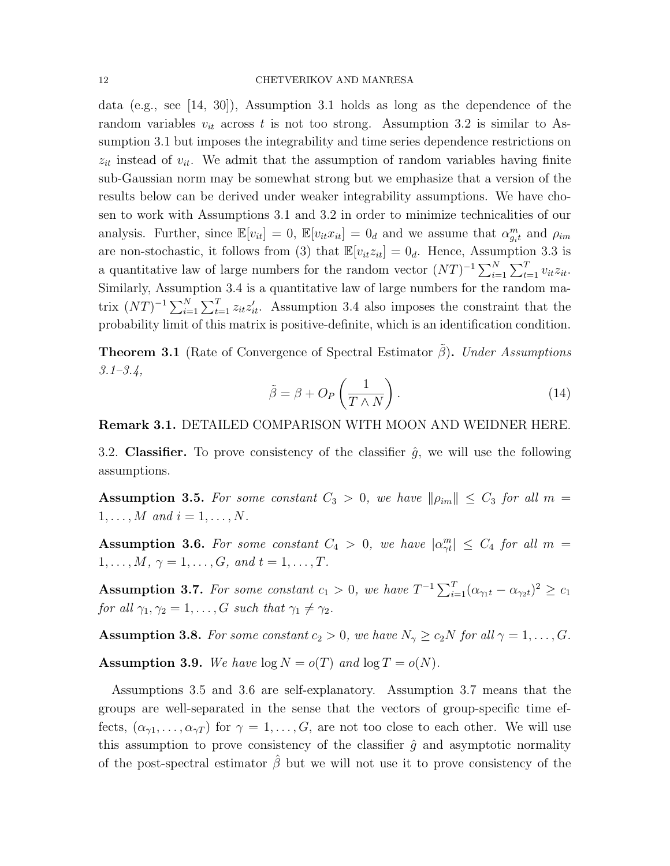#### 12 CHETVERIKOV AND MANRESA

data (e.g., see [14, 30]), Assumption 3.1 holds as long as the dependence of the random variables  $v_{it}$  across t is not too strong. Assumption 3.2 is similar to Assumption 3.1 but imposes the integrability and time series dependence restrictions on  $z_{it}$  instead of  $v_{it}$ . We admit that the assumption of random variables having finite sub-Gaussian norm may be somewhat strong but we emphasize that a version of the results below can be derived under weaker integrability assumptions. We have chosen to work with Assumptions 3.1 and 3.2 in order to minimize technicalities of our analysis. Further, since  $\mathbb{E}[v_{it}] = 0$ ,  $\mathbb{E}[v_{it}x_{it}] = 0_d$  and we assume that  $\alpha_{g_i t}^m$  and  $\rho_{im}$ are non-stochastic, it follows from (3) that  $\mathbb{E}[v_{it}z_{it}] = 0_d$ . Hence, Assumption 3.3 is a quantitative law of large numbers for the random vector  $(NT)^{-1} \sum_{i=1}^{N} \sum_{t=1}^{T} v_{it} z_{it}$ . Similarly, Assumption 3.4 is a quantitative law of large numbers for the random matrix  $(NT)^{-1} \sum_{i=1}^{N} \sum_{t=1}^{T} z_{it} z_{it}'$ . Assumption 3.4 also imposes the constraint that the probability limit of this matrix is positive-definite, which is an identification condition.

**Theorem 3.1** (Rate of Convergence of Spectral Estimator  $\hat{\beta}$ ). Under Assumptions  $3.1 - 3.4,$ 

$$
\tilde{\beta} = \beta + O_P\left(\frac{1}{T \wedge N}\right). \tag{14}
$$

## Remark 3.1. DETAILED COMPARISON WITH MOON AND WEIDNER HERE.

3.2. Classifier. To prove consistency of the classifier  $\hat{g}$ , we will use the following assumptions.

**Assumption 3.5.** For some constant  $C_3 > 0$ , we have  $\|\rho_{im}\| \leq C_3$  for all  $m =$  $1, \ldots, M \text{ and } i = 1, \ldots, N.$ 

**Assumption 3.6.** For some constant  $C_4 > 0$ , we have  $|\alpha_{\gamma t}^m| \le C_4$  for all  $m =$  $1, \ldots, M, \gamma = 1, \ldots, G, \text{ and } t = 1, \ldots, T.$ 

Assumption 3.7. For some constant  $c_1 > 0$ , we have  $T^{-1} \sum_{i=1}^{T} (\alpha_{\gamma_1 t} - \alpha_{\gamma_2 t})^2 \ge c_1$ for all  $\gamma_1, \gamma_2 = 1, \ldots, G$  such that  $\gamma_1 \neq \gamma_2$ .

**Assumption 3.8.** For some constant  $c_2 > 0$ , we have  $N_{\gamma} \ge c_2 N$  for all  $\gamma = 1, \ldots, G$ . **Assumption 3.9.** We have  $\log N = o(T)$  and  $\log T = o(N)$ .

Assumptions 3.5 and 3.6 are self-explanatory. Assumption 3.7 means that the groups are well-separated in the sense that the vectors of group-specific time effects,  $(\alpha_{\gamma1}, \ldots, \alpha_{\gamma T})$  for  $\gamma = 1, \ldots, G$ , are not too close to each other. We will use this assumption to prove consistency of the classifier  $\hat{g}$  and asymptotic normality of the post-spectral estimator  $\hat{\beta}$  but we will not use it to prove consistency of the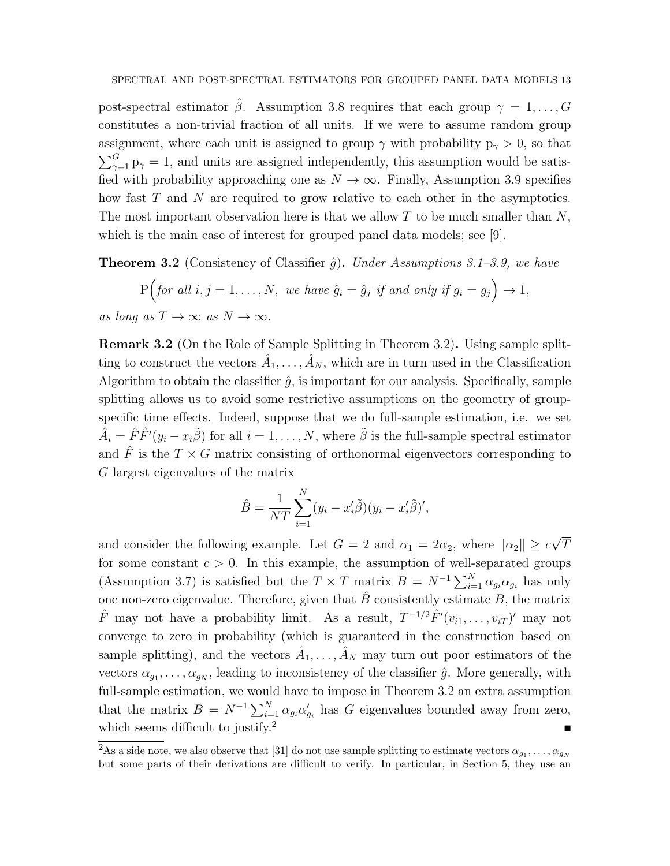post-spectral estimator  $\hat{\beta}$ . Assumption 3.8 requires that each group  $\gamma = 1, \ldots, G$ constitutes a non-trivial fraction of all units. If we were to assume random group assignment, where each unit is assigned to group  $\gamma$  with probability  $p_{\gamma} > 0$ , so that  $\sum_{\gamma=1}^{G} p_{\gamma} = 1$ , and units are assigned independently, this assumption would be satisfied with probability approaching one as  $N \to \infty$ . Finally, Assumption 3.9 specifies how fast T and N are required to grow relative to each other in the asymptotics. The most important observation here is that we allow  $T$  to be much smaller than  $N$ , which is the main case of interest for grouped panel data models; see [9].

**Theorem 3.2** (Consistency of Classifier  $\hat{g}$ ). Under Assumptions 3.1–3.9, we have

$$
P\Big( \text{for all } i, j = 1, \dots, N, \text{ we have } \hat{g}_i = \hat{g}_j \text{ if and only if } g_i = g_j \Big) \to 1,
$$
  
as long as  $T \to \infty$  as  $N \to \infty$ .

Remark 3.2 (On the Role of Sample Splitting in Theorem 3.2). Using sample splitting to construct the vectors  $\hat{A}_1, \ldots, \hat{A}_N$ , which are in turn used in the Classification Algorithm to obtain the classifier  $\hat{g}$ , is important for our analysis. Specifically, sample splitting allows us to avoid some restrictive assumptions on the geometry of groupspecific time effects. Indeed, suppose that we do full-sample estimation, i.e. we set  $\hat{A}_i = \hat{F}\hat{F}'(y_i - x_i\tilde{\beta})$  for all  $i = 1, \ldots, N$ , where  $\tilde{\beta}$  is the full-sample spectral estimator and  $\hat{F}$  is the  $T \times G$  matrix consisting of orthonormal eigenvectors corresponding to G largest eigenvalues of the matrix

$$
\hat{B} = \frac{1}{NT} \sum_{i=1}^{N} (y_i - x_i'\tilde{\beta})(y_i - x_i'\tilde{\beta})',
$$

and consider the following example. Let  $G = 2$  and  $\alpha_1 = 2\alpha_2$ , where  $\|\alpha_2\| \geq c$ √ T for some constant  $c > 0$ . In this example, the assumption of well-separated groups (Assumption 3.7) is satisfied but the  $T \times T$  matrix  $B = N^{-1} \sum_{i=1}^{N} \alpha_{g_i} \alpha_{g_i}$  has only one non-zero eigenvalue. Therefore, given that  $\hat{B}$  consistently estimate B, the matrix  $\hat{F}$  may not have a probability limit. As a result,  $T^{-1/2}\hat{F}'(v_{i1},\ldots,v_{iT})'$  may not converge to zero in probability (which is guaranteed in the construction based on sample splitting), and the vectors  $\hat{A}_1, \ldots, \hat{A}_N$  may turn out poor estimators of the vectors  $\alpha_{g_1}, \ldots, \alpha_{g_N}$ , leading to inconsistency of the classifier  $\hat{g}$ . More generally, with full-sample estimation, we would have to impose in Theorem 3.2 an extra assumption that the matrix  $B = N^{-1} \sum_{i=1}^{N} \alpha_{g_i} \alpha'_{g_i}$  has G eigenvalues bounded away from zero, which seems difficult to justify.<sup>2</sup>

 $^2$ As a side note, we also observe that [31] do not use sample splitting to estimate vectors  $\alpha_{g_1},\ldots,\alpha_{g_N}$ but some parts of their derivations are difficult to verify. In particular, in Section 5, they use an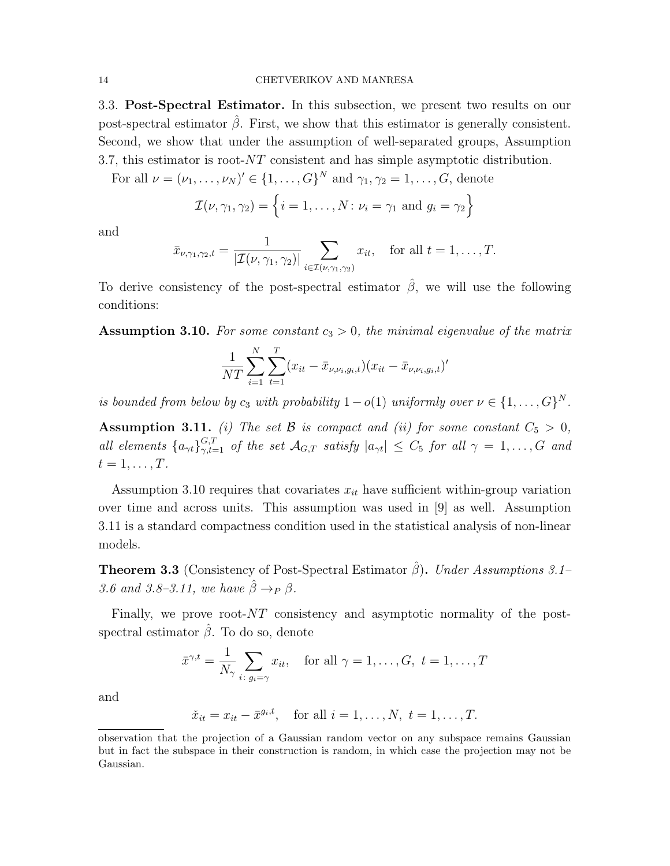3.3. Post-Spectral Estimator. In this subsection, we present two results on our post-spectral estimator  $\hat{\beta}$ . First, we show that this estimator is generally consistent. Second, we show that under the assumption of well-separated groups, Assumption 3.7, this estimator is root- $NT$  consistent and has simple asymptotic distribution.

For all  $\nu = (\nu_1, \ldots, \nu_N)' \in \{1, \ldots, G\}^N$  and  $\gamma_1, \gamma_2 = 1, \ldots, G$ , denote

$$
\mathcal{I}(\nu, \gamma_1, \gamma_2) = \left\{ i = 1, \dots, N \colon \nu_i = \gamma_1 \text{ and } g_i = \gamma_2 \right\}
$$

and

$$
\bar{x}_{\nu,\gamma_1,\gamma_2,t} = \frac{1}{|\mathcal{I}(\nu,\gamma_1,\gamma_2)|} \sum_{i \in \mathcal{I}(\nu,\gamma_1,\gamma_2)} x_{it}, \text{ for all } t = 1,\ldots,T.
$$

To derive consistency of the post-spectral estimator  $\hat{\beta}$ , we will use the following conditions:

**Assumption 3.10.** For some constant  $c_3 > 0$ , the minimal eigenvalue of the matrix

$$
\frac{1}{NT} \sum_{i=1}^{N} \sum_{t=1}^{T} (x_{it} - \bar{x}_{\nu, \nu_i, g_i, t}) (x_{it} - \bar{x}_{\nu, \nu_i, g_i, t})'
$$

is bounded from below by  $c_3$  with probability  $1-o(1)$  uniformly over  $\nu \in \{1,\ldots,G\}^N$ .

Assumption 3.11. (i) The set B is compact and (ii) for some constant  $C_5 > 0$ , all elements  $\{a_{\gamma t}\}_{\gamma,t=1}^{G,T}$  of the set  $\mathcal{A}_{G,T}$  satisfy  $|a_{\gamma t}| \leq C_5$  for all  $\gamma = 1,\ldots,G$  and  $t=1,\ldots,T$ .

Assumption 3.10 requires that covariates  $x_{it}$  have sufficient within-group variation over time and across units. This assumption was used in [9] as well. Assumption 3.11 is a standard compactness condition used in the statistical analysis of non-linear models.

**Theorem 3.3** (Consistency of Post-Spectral Estimator  $\hat{\beta}$ ). Under Assumptions 3.1– 3.6 and 3.8–3.11, we have  $\hat{\beta} \rightarrow_P \beta$ .

Finally, we prove root-NT consistency and asymptotic normality of the postspectral estimator  $\hat{\beta}$ . To do so, denote

$$
\bar{x}^{\gamma,t} = \frac{1}{N_{\gamma}} \sum_{i:\, g_i = \gamma} x_{it}, \quad \text{for all } \gamma = 1, \dots, G, \ t = 1, \dots, T
$$

and

 $\check{x}_{it} = x_{it} - \bar{x}^{g_i, t}, \text{ for all } i = 1, \dots, N, t = 1, \dots, T.$ 

observation that the projection of a Gaussian random vector on any subspace remains Gaussian but in fact the subspace in their construction is random, in which case the projection may not be Gaussian.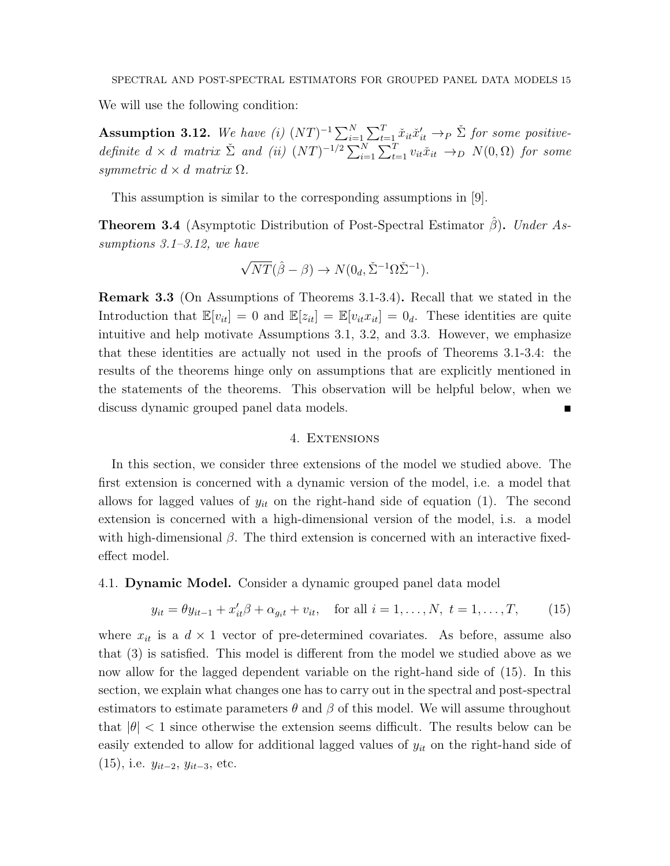We will use the following condition:

Assumption 3.12. We have (i)  $(NT)^{-1} \sum_{i=1}^{N} \sum_{t=1}^{T} \check{x}_{it} \check{x}'_{it} \rightarrow_P \check{\Sigma}$  for some positivedefinite  $d \times d$  matrix  $\check{\Sigma}$  and (ii)  $(NT)^{-1/2} \sum_{i=1}^{N} \sum_{t=1}^{T} v_{it} \check{x}_{it} \to_D N(0, \Omega)$  for some symmetric  $d \times d$  matrix  $\Omega$ .

This assumption is similar to the corresponding assumptions in [9].

**Theorem 3.4** (Asymptotic Distribution of Post-Spectral Estimator  $\hat{\beta}$ ). Under Assumptions 3.1–3.12, we have

$$
\sqrt{NT}(\hat{\beta} - \beta) \to N(0_d, \check{\Sigma}^{-1} \Omega \check{\Sigma}^{-1}).
$$

Remark 3.3 (On Assumptions of Theorems 3.1-3.4). Recall that we stated in the Introduction that  $\mathbb{E}[v_{it}] = 0$  and  $\mathbb{E}[z_{it}] = \mathbb{E}[v_{it}x_{it}] = 0_d$ . These identities are quite intuitive and help motivate Assumptions 3.1, 3.2, and 3.3. However, we emphasize that these identities are actually not used in the proofs of Theorems 3.1-3.4: the results of the theorems hinge only on assumptions that are explicitly mentioned in the statements of the theorems. This observation will be helpful below, when we discuss dynamic grouped panel data models.

#### 4. Extensions

In this section, we consider three extensions of the model we studied above. The first extension is concerned with a dynamic version of the model, i.e. a model that allows for lagged values of  $y_{it}$  on the right-hand side of equation (1). The second extension is concerned with a high-dimensional version of the model, i.s. a model with high-dimensional  $\beta$ . The third extension is concerned with an interactive fixedeffect model.

4.1. **Dynamic Model.** Consider a dynamic grouped panel data model

$$
y_{it} = \theta y_{it-1} + x_{it}'\beta + \alpha_{g_it} + v_{it}, \quad \text{for all } i = 1, ..., N, \ t = 1, ..., T,
$$
 (15)

where  $x_{it}$  is a  $d \times 1$  vector of pre-determined covariates. As before, assume also that (3) is satisfied. This model is different from the model we studied above as we now allow for the lagged dependent variable on the right-hand side of (15). In this section, we explain what changes one has to carry out in the spectral and post-spectral estimators to estimate parameters  $\theta$  and  $\beta$  of this model. We will assume throughout that  $|\theta|$  < 1 since otherwise the extension seems difficult. The results below can be easily extended to allow for additional lagged values of  $y_{it}$  on the right-hand side of  $(15)$ , i.e.  $y_{it-2}, y_{it-3}$ , etc.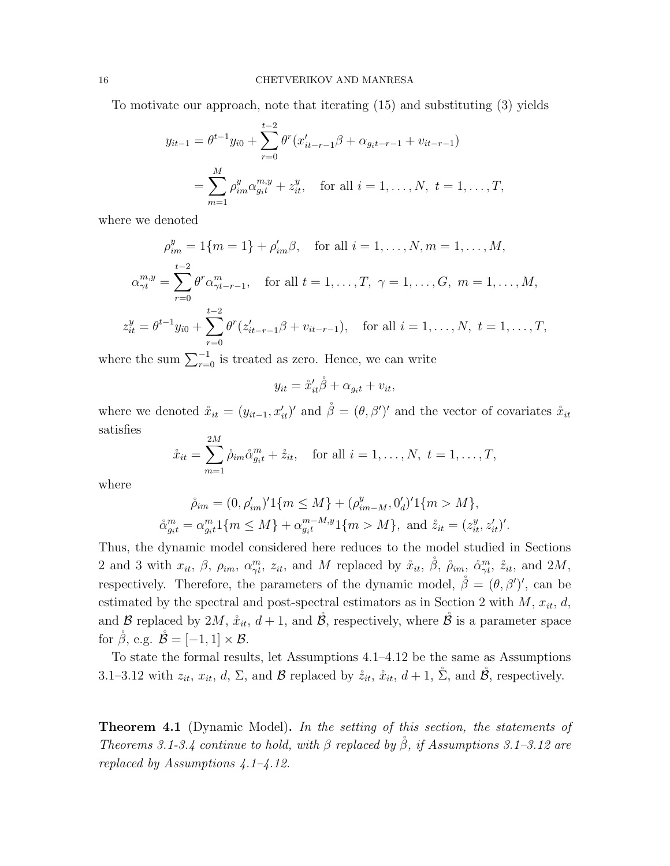To motivate our approach, note that iterating (15) and substituting (3) yields

$$
y_{it-1} = \theta^{t-1} y_{i0} + \sum_{r=0}^{t-2} \theta^r (x'_{it-r-1} \beta + \alpha_{g_i t-r-1} + v_{it-r-1})
$$
  
= 
$$
\sum_{m=1}^{M} \rho_{im}^y \alpha_{g_i t}^{m, y} + z_{it}^y, \text{ for all } i = 1, ..., N, t = 1, ..., T,
$$

where we denoted

$$
\rho_{im}^y = 1\{m = 1\} + \rho_{im}'\beta, \quad \text{for all } i = 1, ..., N, m = 1, ..., M,
$$
  

$$
\alpha_{\gamma t}^{m,y} = \sum_{r=0}^{t-2} \theta^r \alpha_{\gamma t-r-1}^m, \quad \text{for all } t = 1, ..., T, \ \gamma = 1, ..., G, \ m = 1, ..., M,
$$
  

$$
z_{it}^y = \theta^{t-1} y_{i0} + \sum_{r=0}^{t-2} \theta^r (z_{it-r-1}'\beta + v_{it-r-1}), \quad \text{for all } i = 1, ..., N, \ t = 1, ..., T,
$$

where the sum  $\sum_{r=0}^{-1}$  is treated as zero. Hence, we can write

$$
y_{it} = \mathring{x}_{it}'\mathring{\beta} + \alpha_{g_i t} + v_{it},
$$

where we denoted  $\mathring{x}_{it} = (y_{it-1}, x'_{it})'$  and  $\mathring{\beta} = (\theta, \beta')'$  and the vector of covariates  $\mathring{x}_{it}$ satisfies  $2M$ 

$$
\mathring{x}_{it} = \sum_{m=1}^{2M} \mathring{\rho}_{im} \mathring{\alpha}_{g_i t}^m + \mathring{z}_{it}, \quad \text{for all } i = 1, \dots, N, \ t = 1, \dots, T,
$$

where

$$
\tilde{\rho}_{im} = (0, \rho'_{im})' 1\{m \le M\} + (\rho^y_{im-M}, 0'_d)' 1\{m > M\},
$$
  

$$
\tilde{\alpha}^m_{g_i t} = \alpha^m_{g_i t} 1\{m \le M\} + \alpha^{m-M,y}_{g_i t} 1\{m > M\}, \text{ and } \tilde{z}_{it} = (z^y_{it}, z'_{it})'.
$$

Thus, the dynamic model considered here reduces to the model studied in Sections 2 and 3 with  $x_{it}$ ,  $\beta$ ,  $\rho_{im}$ ,  $\alpha_{\gamma t}^{m}$ ,  $z_{it}$ , and M replaced by  $\mathring{x}_{it}$ ,  $\mathring{\beta}$ ,  $\mathring{\rho}_{im}$ ,  $\mathring{\alpha}_{\gamma t}^{m}$ ,  $\mathring{z}_{it}$ , and  $2M$ , respectively. Therefore, the parameters of the dynamic model,  $\dot{\beta} = (\theta, \beta')'$ , can be estimated by the spectral and post-spectral estimators as in Section 2 with  $M$ ,  $x_{it}$ ,  $d$ , and B replaced by 2M,  $\mathring{x}_{it}$ ,  $d+1$ , and  $\mathring{B}$ , respectively, where  $\mathring{B}$  is a parameter space for  $\check{\beta}$ , e.g.  $\check{\mathcal{B}} = [-1, 1] \times \mathcal{B}$ .

To state the formal results, let Assumptions 4.1–4.12 be the same as Assumptions 3.1–3.12 with  $z_{it}$ ,  $x_{it}$ ,  $d$ ,  $\Sigma$ , and  $\mathcal{B}$  replaced by  $\dot{z}_{it}$ ,  $\dot{x}_{it}$ ,  $d+1$ ,  $\dot{\Sigma}$ , and  $\dot{\mathcal{B}}$ , respectively.

**Theorem 4.1** (Dynamic Model). In the setting of this section, the statements of Theorems 3.1-3.4 continue to hold, with  $\beta$  replaced by  $\beta$ , if Assumptions 3.1–3.12 are replaced by Assumptions  $4.1 - 4.12$ .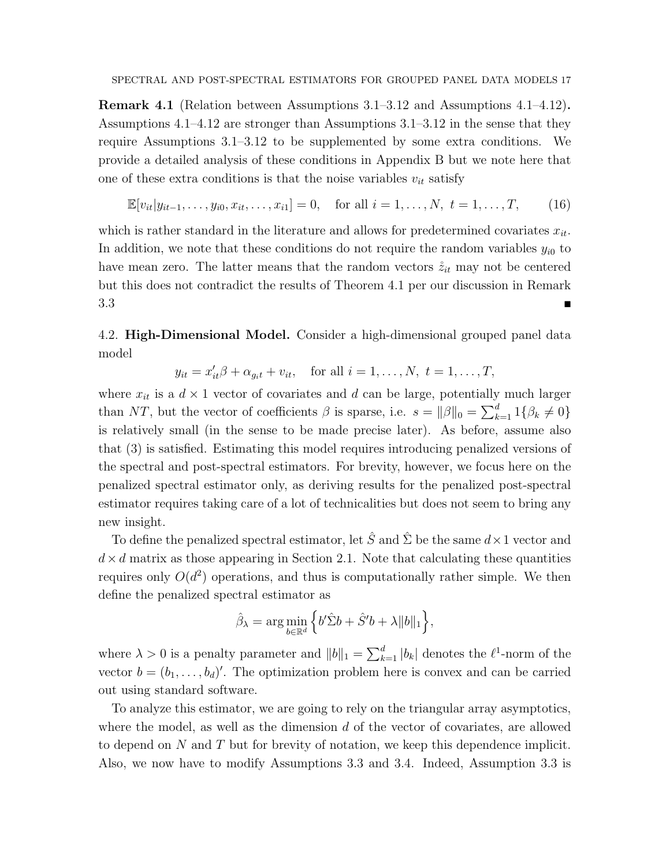Remark 4.1 (Relation between Assumptions 3.1–3.12 and Assumptions 4.1–4.12). Assumptions 4.1–4.12 are stronger than Assumptions 3.1–3.12 in the sense that they require Assumptions 3.1–3.12 to be supplemented by some extra conditions. We provide a detailed analysis of these conditions in Appendix B but we note here that one of these extra conditions is that the noise variables  $v_{it}$  satisfy

$$
\mathbb{E}[v_{it}|y_{it-1},\ldots,y_{i0},x_{it},\ldots,x_{i1}] = 0, \text{ for all } i = 1,\ldots,N, t = 1,\ldots,T,
$$
 (16)

which is rather standard in the literature and allows for predetermined covariates  $x_{it}$ . In addition, we note that these conditions do not require the random variables  $y_{i0}$  to have mean zero. The latter means that the random vectors  $\dot{z}_{it}$  may not be centered but this does not contradict the results of Theorem 4.1 per our discussion in Remark  $3.3 \Box$ 

4.2. **High-Dimensional Model.** Consider a high-dimensional grouped panel data model

 $y_{it} = x'_{it}\beta + \alpha_{g_i t} + v_{it}, \text{ for all } i = 1, ..., N, t = 1, ..., T,$ 

where  $x_{it}$  is a  $d \times 1$  vector of covariates and d can be large, potentially much larger than NT, but the vector of coefficients  $\beta$  is sparse, i.e.  $s = ||\beta||_0 = \sum_{k=1}^d 1\{\beta_k \neq 0\}$ is relatively small (in the sense to be made precise later). As before, assume also that (3) is satisfied. Estimating this model requires introducing penalized versions of the spectral and post-spectral estimators. For brevity, however, we focus here on the penalized spectral estimator only, as deriving results for the penalized post-spectral estimator requires taking care of a lot of technicalities but does not seem to bring any new insight.

To define the penalized spectral estimator, let  $\hat{S}$  and  $\hat{\Sigma}$  be the same  $d \times 1$  vector and  $d \times d$  matrix as those appearing in Section 2.1. Note that calculating these quantities requires only  $O(d^2)$  operations, and thus is computationally rather simple. We then define the penalized spectral estimator as

$$
\hat{\beta}_{\lambda} = \arg \min_{b \in \mathbb{R}^d} \left\{ b' \hat{\Sigma} b + \hat{S}' b + \lambda ||b||_1 \right\},\
$$

where  $\lambda > 0$  is a penalty parameter and  $||b||_1 = \sum_{k=1}^d |b_k|$  denotes the  $\ell^1$ -norm of the vector  $b = (b_1, \ldots, b_d)'$ . The optimization problem here is convex and can be carried out using standard software.

To analyze this estimator, we are going to rely on the triangular array asymptotics, where the model, as well as the dimension  $d$  of the vector of covariates, are allowed to depend on N and T but for brevity of notation, we keep this dependence implicit. Also, we now have to modify Assumptions 3.3 and 3.4. Indeed, Assumption 3.3 is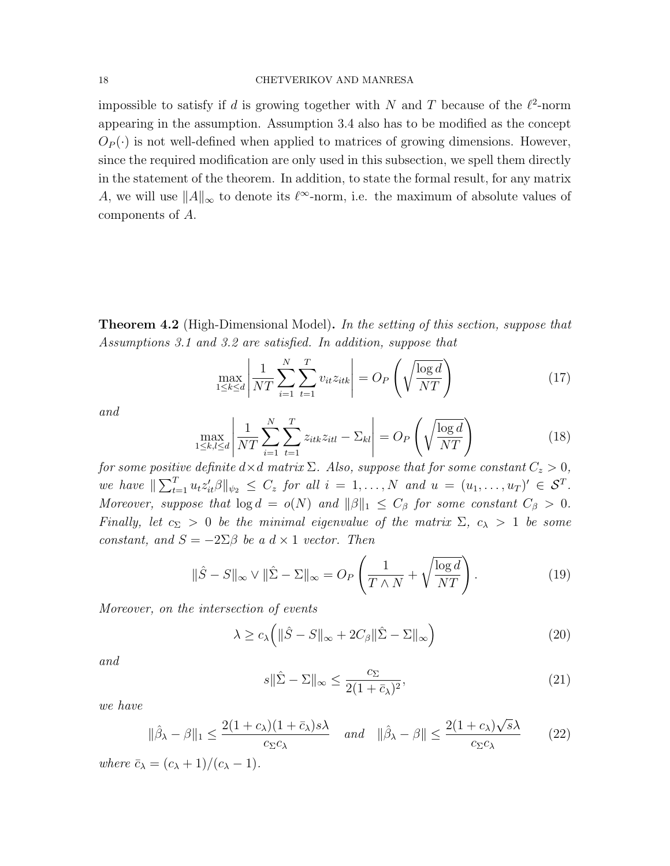## 18 CHETVERIKOV AND MANRESA

impossible to satisfy if d is growing together with N and T because of the  $\ell^2$ -norm appearing in the assumption. Assumption 3.4 also has to be modified as the concept  $O_P(\cdot)$  is not well-defined when applied to matrices of growing dimensions. However, since the required modification are only used in this subsection, we spell them directly in the statement of the theorem. In addition, to state the formal result, for any matrix A, we will use  $||A||_{\infty}$  to denote its  $\ell^{\infty}$ -norm, i.e. the maximum of absolute values of components of A.

**Theorem 4.2** (High-Dimensional Model). In the setting of this section, suppose that Assumptions 3.1 and 3.2 are satisfied. In addition, suppose that

$$
\max_{1 \le k \le d} \left| \frac{1}{NT} \sum_{i=1}^{N} \sum_{t=1}^{T} v_{it} z_{itk} \right| = O_P\left(\sqrt{\frac{\log d}{NT}}\right)
$$
(17)

and

$$
\max_{1 \le k,l \le d} \left| \frac{1}{NT} \sum_{i=1}^{N} \sum_{t=1}^{T} z_{itk} z_{itl} - \Sigma_{kl} \right| = O_P\left(\sqrt{\frac{\log d}{NT}}\right)
$$
(18)

for some positive definite  $d\times d$  matrix  $\Sigma$ . Also, suppose that for some constant  $C_z>0,$ we have  $\|\sum_{t=1}^T u_t z_{it}'\beta\|_{\psi_2} \leq C_z$  for all  $i = 1, ..., N$  and  $u = (u_1, ..., u_T)' \in S^T$ . Moreover, suppose that  $\log d = o(N)$  and  $\|\beta\|_1 \leq C_\beta$  for some constant  $C_\beta > 0$ . Finally, let  $c_{\Sigma} > 0$  be the minimal eigenvalue of the matrix  $\Sigma$ ,  $c_{\lambda} > 1$  be some constant, and  $S = -2\Sigma\beta$  be a  $d \times 1$  vector. Then

$$
\|\hat{S} - S\|_{\infty} \vee \|\hat{\Sigma} - \Sigma\|_{\infty} = O_P\left(\frac{1}{T \wedge N} + \sqrt{\frac{\log d}{NT}}\right). \tag{19}
$$

Moreover, on the intersection of events

$$
\lambda \ge c_{\lambda} \left( \|\hat{S} - S\|_{\infty} + 2C_{\beta} \|\hat{\Sigma} - \Sigma\|_{\infty} \right) \tag{20}
$$

and

$$
s\|\hat{\Sigma} - \Sigma\|_{\infty} \le \frac{c_{\Sigma}}{2(1 + \bar{c}_{\lambda})^2},\tag{21}
$$

we have

$$
\|\hat{\beta}_{\lambda} - \beta\|_{1} \le \frac{2(1 + c_{\lambda})(1 + \bar{c}_{\lambda})s\lambda}{c_{\Sigma}c_{\lambda}} \quad \text{and} \quad \|\hat{\beta}_{\lambda} - \beta\| \le \frac{2(1 + c_{\lambda})\sqrt{s}\lambda}{c_{\Sigma}c_{\lambda}} \tag{22}
$$

where  $\bar{c}_{\lambda} = (c_{\lambda} + 1)/(c_{\lambda} - 1)$ .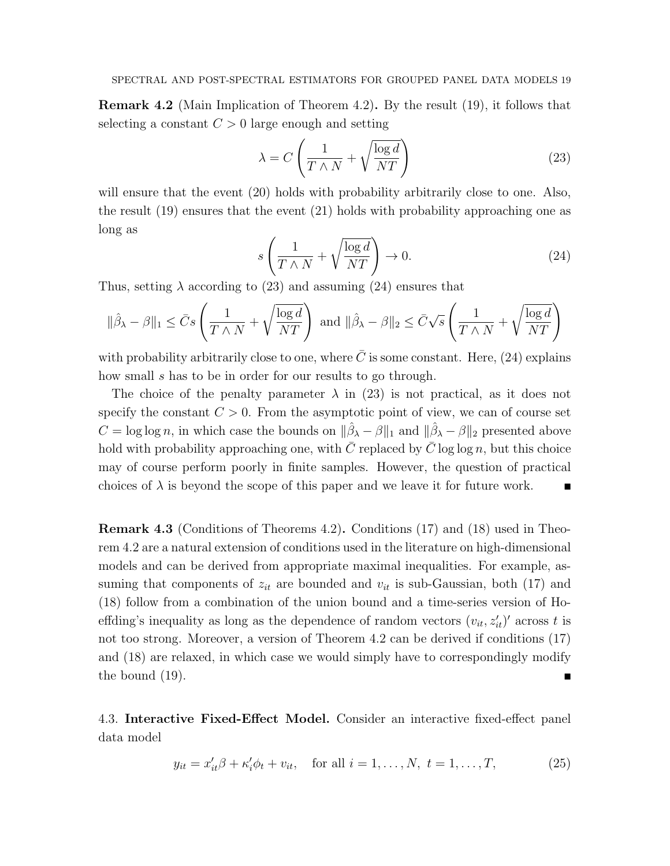Remark 4.2 (Main Implication of Theorem 4.2). By the result (19), it follows that selecting a constant  $C > 0$  large enough and setting

$$
\lambda = C \left( \frac{1}{T \wedge N} + \sqrt{\frac{\log d}{NT}} \right) \tag{23}
$$

will ensure that the event  $(20)$  holds with probability arbitrarily close to one. Also, the result (19) ensures that the event (21) holds with probability approaching one as long as

$$
s\left(\frac{1}{T\wedge N} + \sqrt{\frac{\log d}{NT}}\right) \to 0. \tag{24}
$$

Thus, setting  $\lambda$  according to (23) and assuming (24) ensures that

$$
\|\hat{\beta}_{\lambda} - \beta\|_1 \leq \bar{C}s \left(\frac{1}{T \wedge N} + \sqrt{\frac{\log d}{NT}}\right) \text{ and } \|\hat{\beta}_{\lambda} - \beta\|_2 \leq \bar{C}\sqrt{s} \left(\frac{1}{T \wedge N} + \sqrt{\frac{\log d}{NT}}\right)
$$

with probability arbitrarily close to one, where  $\overline{C}$  is some constant. Here, (24) explains how small s has to be in order for our results to go through.

The choice of the penalty parameter  $\lambda$  in (23) is not practical, as it does not specify the constant  $C > 0$ . From the asymptotic point of view, we can of course set  $C = \log \log n$ , in which case the bounds on  $\|\hat{\beta}_{\lambda} - \beta\|_1$  and  $\|\hat{\beta}_{\lambda} - \beta\|_2$  presented above hold with probability approaching one, with  $\overline{C}$  replaced by  $\overline{C}$  log log n, but this choice may of course perform poorly in finite samples. However, the question of practical choices of  $\lambda$  is beyond the scope of this paper and we leave it for future work.

Remark 4.3 (Conditions of Theorems 4.2). Conditions (17) and (18) used in Theorem 4.2 are a natural extension of conditions used in the literature on high-dimensional models and can be derived from appropriate maximal inequalities. For example, assuming that components of  $z_{it}$  are bounded and  $v_{it}$  is sub-Gaussian, both (17) and (18) follow from a combination of the union bound and a time-series version of Hoeffding's inequality as long as the dependence of random vectors  $(v_{it}, z'_{it})'$  across t is not too strong. Moreover, a version of Theorem 4.2 can be derived if conditions (17) and (18) are relaxed, in which case we would simply have to correspondingly modify the bound (19).

4.3. Interactive Fixed-Effect Model. Consider an interactive fixed-effect panel data model

$$
y_{it} = x'_{it}\beta + \kappa'_{i}\phi_{t} + v_{it}
$$
, for all  $i = 1, ..., N$ ,  $t = 1, ..., T$ , (25)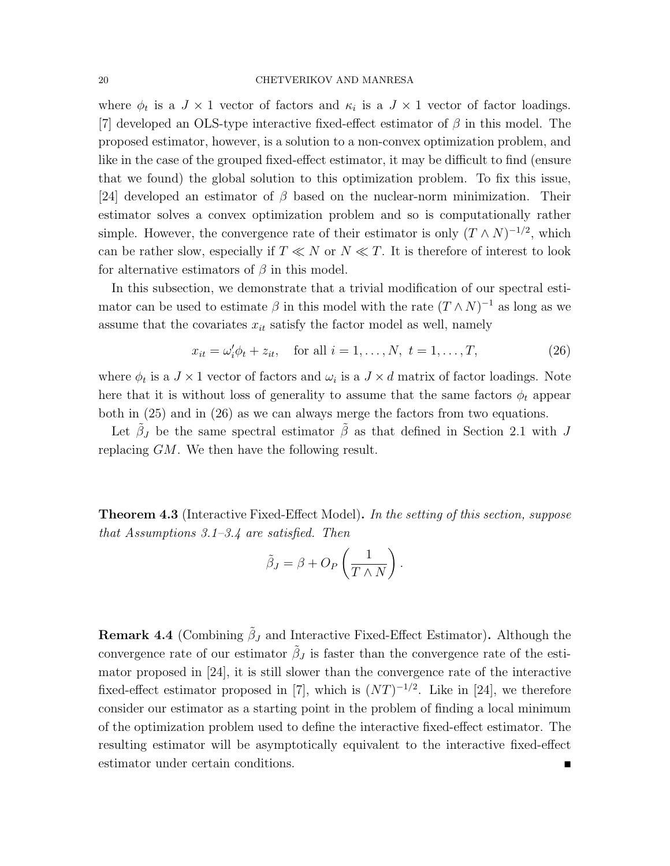where  $\phi_t$  is a  $J \times 1$  vector of factors and  $\kappa_i$  is a  $J \times 1$  vector of factor loadings. [7] developed an OLS-type interactive fixed-effect estimator of  $\beta$  in this model. The proposed estimator, however, is a solution to a non-convex optimization problem, and like in the case of the grouped fixed-effect estimator, it may be difficult to find (ensure that we found) the global solution to this optimization problem. To fix this issue, [24] developed an estimator of  $\beta$  based on the nuclear-norm minimization. Their estimator solves a convex optimization problem and so is computationally rather simple. However, the convergence rate of their estimator is only  $(T \wedge N)^{-1/2}$ , which can be rather slow, especially if  $T \ll N$  or  $N \ll T$ . It is therefore of interest to look for alternative estimators of  $\beta$  in this model.

In this subsection, we demonstrate that a trivial modification of our spectral estimator can be used to estimate  $\beta$  in this model with the rate  $(T \wedge N)^{-1}$  as long as we assume that the covariates  $x_{it}$  satisfy the factor model as well, namely

$$
x_{it} = \omega_i' \phi_t + z_{it}
$$
, for all  $i = 1, ..., N$ ,  $t = 1, ..., T$ , (26)

where  $\phi_t$  is a  $J \times 1$  vector of factors and  $\omega_i$  is a  $J \times d$  matrix of factor loadings. Note here that it is without loss of generality to assume that the same factors  $\phi_t$  appear both in (25) and in (26) as we can always merge the factors from two equations.

Let  $\tilde{\beta}_J$  be the same spectral estimator  $\tilde{\beta}$  as that defined in Section 2.1 with J replacing GM. We then have the following result.

**Theorem 4.3** (Interactive Fixed-Effect Model). In the setting of this section, suppose that Assumptions  $3.1-3.4$  are satisfied. Then

$$
\tilde{\beta}_J = \beta + O_P\left(\frac{1}{T \wedge N}\right).
$$

**Remark 4.4** (Combining  $\tilde{\beta}_J$  and Interactive Fixed-Effect Estimator). Although the convergence rate of our estimator  $\tilde{\beta}_J$  is faster than the convergence rate of the estimator proposed in [24], it is still slower than the convergence rate of the interactive fixed-effect estimator proposed in [7], which is  $(NT)^{-1/2}$ . Like in [24], we therefore consider our estimator as a starting point in the problem of finding a local minimum of the optimization problem used to define the interactive fixed-effect estimator. The resulting estimator will be asymptotically equivalent to the interactive fixed-effect estimator under certain conditions.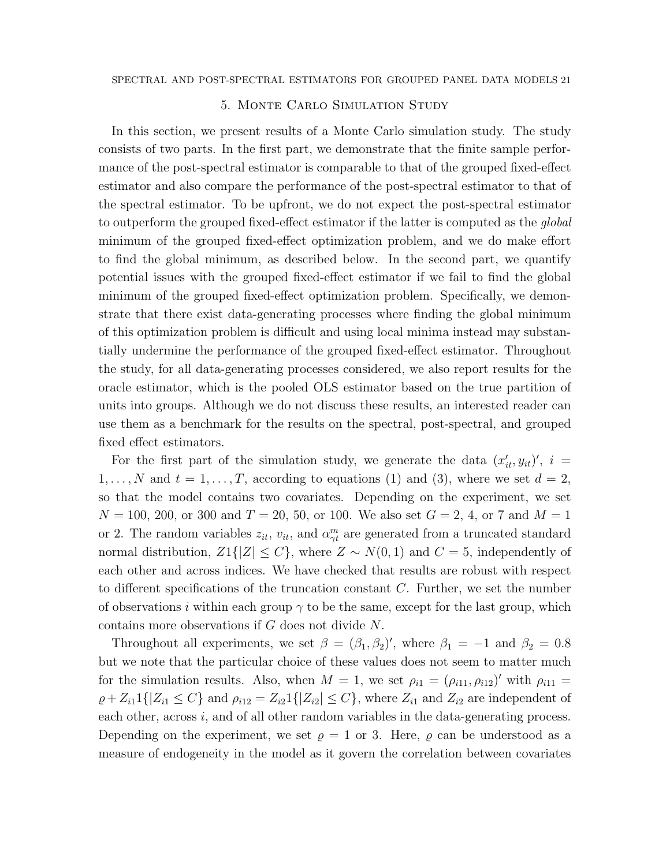### 5. Monte Carlo Simulation Study

In this section, we present results of a Monte Carlo simulation study. The study consists of two parts. In the first part, we demonstrate that the finite sample performance of the post-spectral estimator is comparable to that of the grouped fixed-effect estimator and also compare the performance of the post-spectral estimator to that of the spectral estimator. To be upfront, we do not expect the post-spectral estimator to outperform the grouped fixed-effect estimator if the latter is computed as the *global* minimum of the grouped fixed-effect optimization problem, and we do make effort to find the global minimum, as described below. In the second part, we quantify potential issues with the grouped fixed-effect estimator if we fail to find the global minimum of the grouped fixed-effect optimization problem. Specifically, we demonstrate that there exist data-generating processes where finding the global minimum of this optimization problem is difficult and using local minima instead may substantially undermine the performance of the grouped fixed-effect estimator. Throughout the study, for all data-generating processes considered, we also report results for the oracle estimator, which is the pooled OLS estimator based on the true partition of units into groups. Although we do not discuss these results, an interested reader can use them as a benchmark for the results on the spectral, post-spectral, and grouped fixed effect estimators.

For the first part of the simulation study, we generate the data  $(x'_{it}, y_{it})'$ ,  $i =$  $1, \ldots, N$  and  $t = 1, \ldots, T$ , according to equations (1) and (3), where we set  $d = 2$ , so that the model contains two covariates. Depending on the experiment, we set  $N = 100, 200, \text{ or } 300 \text{ and } T = 20, 50, \text{ or } 100.$  We also set  $G = 2, 4, \text{ or } 7 \text{ and } M = 1$ or 2. The random variables  $z_{it}$ ,  $v_{it}$ , and  $\alpha_{\gamma t}^{m}$  are generated from a truncated standard normal distribution,  $Z1\{|Z|\leq C\}$ , where  $Z \sim N(0, 1)$  and  $C = 5$ , independently of each other and across indices. We have checked that results are robust with respect to different specifications of the truncation constant  $C$ . Further, we set the number of observations i within each group  $\gamma$  to be the same, except for the last group, which contains more observations if G does not divide N.

Throughout all experiments, we set  $\beta = (\beta_1, \beta_2)'$ , where  $\beta_1 = -1$  and  $\beta_2 = 0.8$ but we note that the particular choice of these values does not seem to matter much for the simulation results. Also, when  $M = 1$ , we set  $\rho_{i1} = (\rho_{i11}, \rho_{i12})'$  with  $\rho_{i11} =$  $\varrho + Z_{i1}1\{|Z_{i1} \leq C\}$  and  $\rho_{i12} = Z_{i2}1\{|Z_{i2}| \leq C\}$ , where  $Z_{i1}$  and  $Z_{i2}$  are independent of each other, across  $i$ , and of all other random variables in the data-generating process. Depending on the experiment, we set  $\rho = 1$  or 3. Here,  $\rho$  can be understood as a measure of endogeneity in the model as it govern the correlation between covariates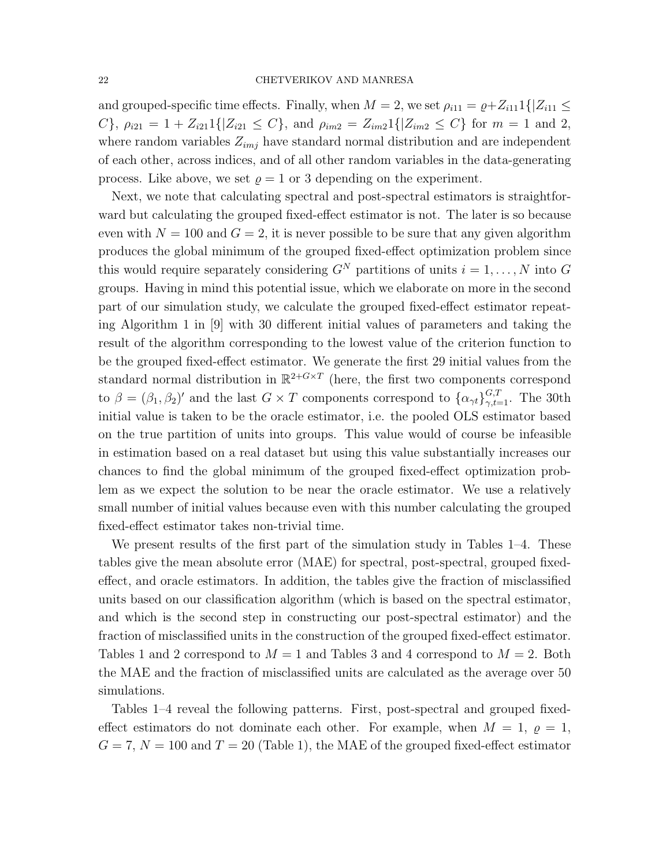and grouped-specific time effects. Finally, when  $M = 2$ , we set  $\rho_{i11} = \rho + Z_{i11}1\{Z_{i11} \leq$ C},  $\rho_{i21} = 1 + Z_{i21}1\{|Z_{i21} \leq C\}$ , and  $\rho_{im2} = Z_{im2}1\{|Z_{im2} \leq C\}$  for  $m = 1$  and 2, where random variables  $Z_{imj}$  have standard normal distribution and are independent of each other, across indices, and of all other random variables in the data-generating process. Like above, we set  $\rho = 1$  or 3 depending on the experiment.

Next, we note that calculating spectral and post-spectral estimators is straightforward but calculating the grouped fixed-effect estimator is not. The later is so because even with  $N = 100$  and  $G = 2$ , it is never possible to be sure that any given algorithm produces the global minimum of the grouped fixed-effect optimization problem since this would require separately considering  $G^N$  partitions of units  $i = 1, ..., N$  into G groups. Having in mind this potential issue, which we elaborate on more in the second part of our simulation study, we calculate the grouped fixed-effect estimator repeating Algorithm 1 in [9] with 30 different initial values of parameters and taking the result of the algorithm corresponding to the lowest value of the criterion function to be the grouped fixed-effect estimator. We generate the first 29 initial values from the standard normal distribution in  $\mathbb{R}^{2+G\times T}$  (here, the first two components correspond to  $\beta = (\beta_1, \beta_2)'$  and the last  $G \times T$  components correspond to  $\{\alpha_{\gamma t}\}_{\gamma, t=1}^{G,T}$ . The 30th initial value is taken to be the oracle estimator, i.e. the pooled OLS estimator based on the true partition of units into groups. This value would of course be infeasible in estimation based on a real dataset but using this value substantially increases our chances to find the global minimum of the grouped fixed-effect optimization problem as we expect the solution to be near the oracle estimator. We use a relatively small number of initial values because even with this number calculating the grouped fixed-effect estimator takes non-trivial time.

We present results of the first part of the simulation study in Tables 1–4. These tables give the mean absolute error (MAE) for spectral, post-spectral, grouped fixedeffect, and oracle estimators. In addition, the tables give the fraction of misclassified units based on our classification algorithm (which is based on the spectral estimator, and which is the second step in constructing our post-spectral estimator) and the fraction of misclassified units in the construction of the grouped fixed-effect estimator. Tables 1 and 2 correspond to  $M = 1$  and Tables 3 and 4 correspond to  $M = 2$ . Both the MAE and the fraction of misclassified units are calculated as the average over 50 simulations.

Tables 1–4 reveal the following patterns. First, post-spectral and grouped fixedeffect estimators do not dominate each other. For example, when  $M = 1$ ,  $\rho = 1$ ,  $G = 7, N = 100$  and  $T = 20$  (Table 1), the MAE of the grouped fixed-effect estimator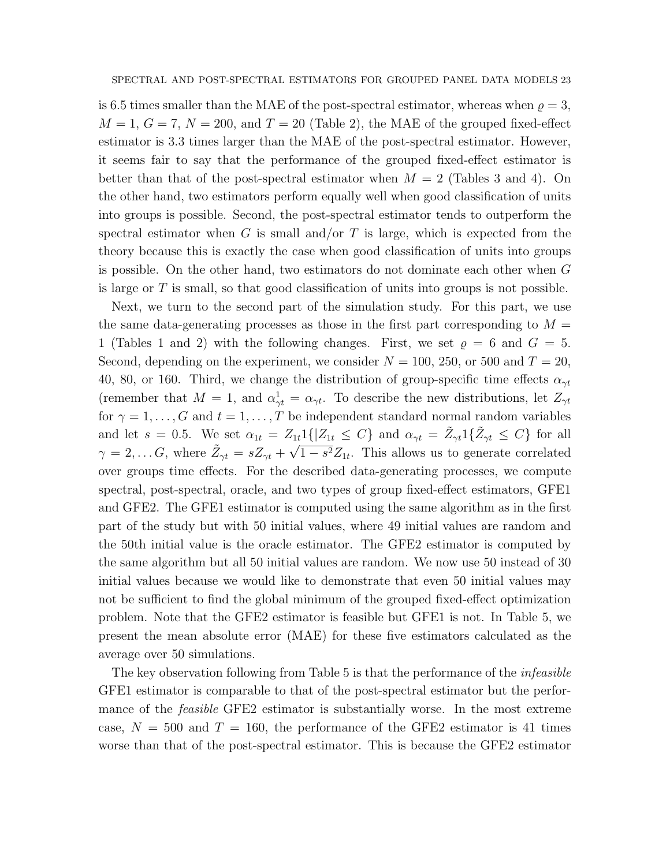is 6.5 times smaller than the MAE of the post-spectral estimator, whereas when  $\rho = 3$ ,  $M = 1, G = 7, N = 200,$  and  $T = 20$  (Table 2), the MAE of the grouped fixed-effect estimator is 3.3 times larger than the MAE of the post-spectral estimator. However, it seems fair to say that the performance of the grouped fixed-effect estimator is better than that of the post-spectral estimator when  $M = 2$  (Tables 3 and 4). On the other hand, two estimators perform equally well when good classification of units into groups is possible. Second, the post-spectral estimator tends to outperform the spectral estimator when G is small and/or T is large, which is expected from the theory because this is exactly the case when good classification of units into groups is possible. On the other hand, two estimators do not dominate each other when G is large or T is small, so that good classification of units into groups is not possible.

Next, we turn to the second part of the simulation study. For this part, we use the same data-generating processes as those in the first part corresponding to  $M =$ 1 (Tables 1 and 2) with the following changes. First, we set  $\rho = 6$  and  $G = 5$ . Second, depending on the experiment, we consider  $N = 100$ , 250, or 500 and  $T = 20$ , 40, 80, or 160. Third, we change the distribution of group-specific time effects  $\alpha_{\gamma t}$ (remember that  $M = 1$ , and  $\alpha_{\gamma t}^1 = \alpha_{\gamma t}$ . To describe the new distributions, let  $Z_{\gamma t}$ for  $\gamma = 1, \ldots, G$  and  $t = 1, \ldots, T$  be independent standard normal random variables and let  $s = 0.5$ . We set  $\alpha_{1t} = Z_{1t} 1\{|Z_{1t} \leq C\}$  and  $\alpha_{\gamma t} = \tilde{Z}_{\gamma t} 1\{\tilde{Z}_{\gamma t} \leq C\}$  for all  $\gamma = 2, \ldots G$ , where  $\tilde{Z}_{\gamma t} = s Z_{\gamma t} + \sqrt{1 - s^2} Z_{1t}$ . This allows us to generate correlated over groups time effects. For the described data-generating processes, we compute spectral, post-spectral, oracle, and two types of group fixed-effect estimators, GFE1 and GFE2. The GFE1 estimator is computed using the same algorithm as in the first part of the study but with 50 initial values, where 49 initial values are random and the 50th initial value is the oracle estimator. The GFE2 estimator is computed by the same algorithm but all 50 initial values are random. We now use 50 instead of 30 initial values because we would like to demonstrate that even 50 initial values may not be sufficient to find the global minimum of the grouped fixed-effect optimization problem. Note that the GFE2 estimator is feasible but GFE1 is not. In Table 5, we present the mean absolute error (MAE) for these five estimators calculated as the average over 50 simulations.

The key observation following from Table 5 is that the performance of the *infeasible* GFE1 estimator is comparable to that of the post-spectral estimator but the performance of the *feasible* GFE2 estimator is substantially worse. In the most extreme case,  $N = 500$  and  $T = 160$ , the performance of the GFE2 estimator is 41 times worse than that of the post-spectral estimator. This is because the GFE2 estimator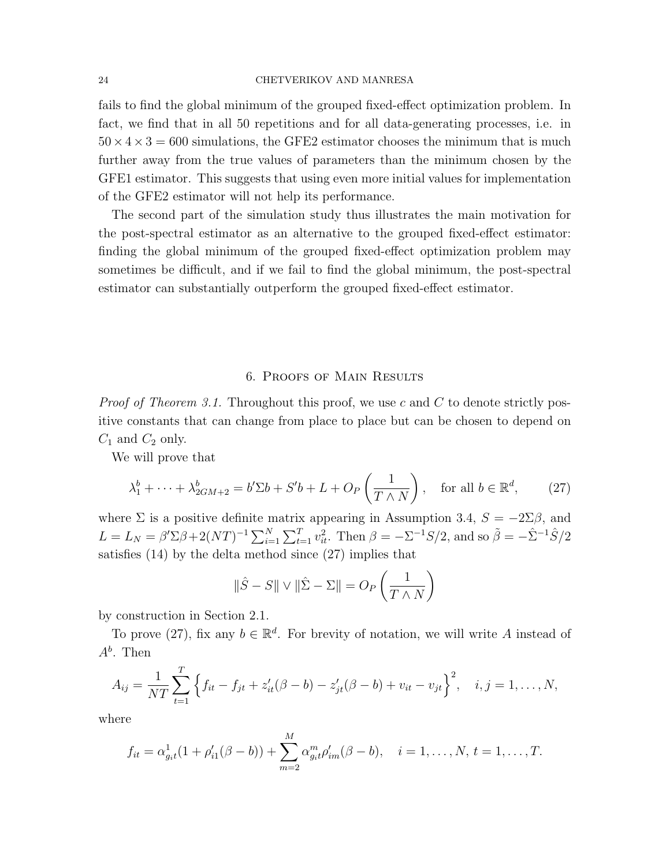#### 24 CHETVERIKOV AND MANRESA

fails to find the global minimum of the grouped fixed-effect optimization problem. In fact, we find that in all 50 repetitions and for all data-generating processes, i.e. in  $50 \times 4 \times 3 = 600$  simulations, the GFE2 estimator chooses the minimum that is much further away from the true values of parameters than the minimum chosen by the GFE1 estimator. This suggests that using even more initial values for implementation of the GFE2 estimator will not help its performance.

The second part of the simulation study thus illustrates the main motivation for the post-spectral estimator as an alternative to the grouped fixed-effect estimator: finding the global minimum of the grouped fixed-effect optimization problem may sometimes be difficult, and if we fail to find the global minimum, the post-spectral estimator can substantially outperform the grouped fixed-effect estimator.

#### 6. Proofs of Main Results

*Proof of Theorem 3.1.* Throughout this proof, we use c and C to denote strictly positive constants that can change from place to place but can be chosen to depend on  $C_1$  and  $C_2$  only.

We will prove that

$$
\lambda_1^b + \dots + \lambda_{2GM+2}^b = b'\Sigma b + S'b + L + O_P\left(\frac{1}{T \wedge N}\right), \quad \text{for all } b \in \mathbb{R}^d,
$$
 (27)

where  $\Sigma$  is a positive definite matrix appearing in Assumption 3.4,  $S = -2\Sigma\beta$ , and  $L = L_N = \beta' \Sigma \beta + 2(NT)^{-1} \sum_{i=1}^{N} \sum_{t=1}^{T} v_{it}^2$ . Then  $\beta = -\Sigma^{-1} S/2$ , and so  $\tilde{\beta} = -\hat{\Sigma}^{-1} \hat{S}/2$ satisfies (14) by the delta method since (27) implies that

$$
\|\hat{S} - S\| \vee \|\hat{\Sigma} - \Sigma\| = O_P\left(\frac{1}{T \wedge N}\right)
$$

by construction in Section 2.1.

To prove (27), fix any  $b \in \mathbb{R}^d$ . For brevity of notation, we will write A instead of  $A^b$ . Then

$$
A_{ij} = \frac{1}{NT} \sum_{t=1}^{T} \left\{ f_{it} - f_{jt} + z'_{it}(\beta - b) - z'_{jt}(\beta - b) + v_{it} - v_{jt} \right\}^{2}, \quad i, j = 1, ..., N,
$$

where

$$
f_{it} = \alpha_{g_{it}}^1(1 + \rho'_{i1}(\beta - b)) + \sum_{m=2}^M \alpha_{g_{it}}^m \rho'_{im}(\beta - b), \quad i = 1, \dots, N, t = 1, \dots, T.
$$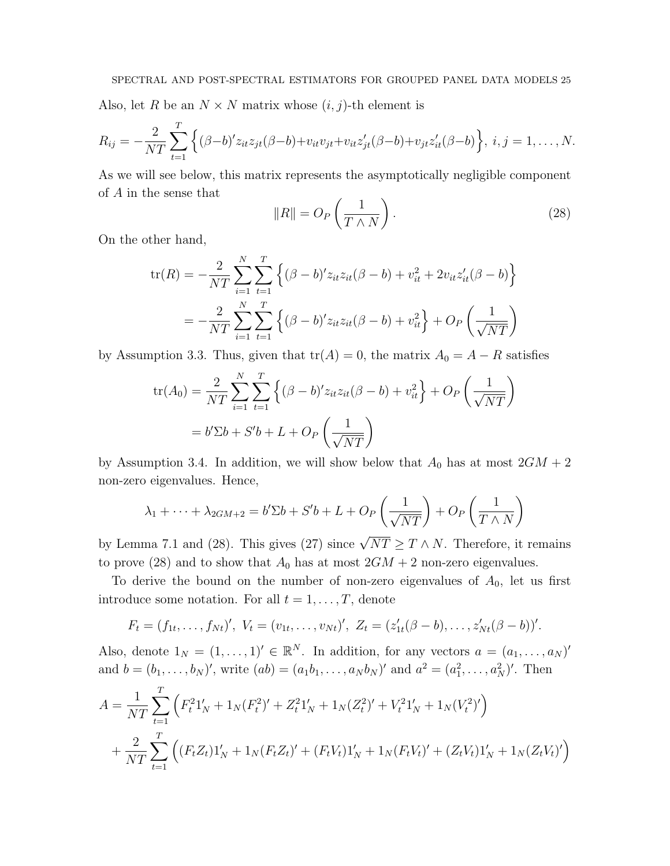Also, let R be an  $N \times N$  matrix whose  $(i, j)$ -th element is

$$
R_{ij} = -\frac{2}{NT} \sum_{t=1}^{T} \left\{ (\beta - b)' z_{it} z_{jt} (\beta - b) + v_{it} v_{jt} + v_{it} z'_{jt} (\beta - b) + v_{jt} z'_{it} (\beta - b) \right\}, i, j = 1, ..., N.
$$

As we will see below, this matrix represents the asymptotically negligible component of A in the sense that

$$
||R|| = O_P\left(\frac{1}{T \wedge N}\right). \tag{28}
$$

On the other hand,

$$
\text{tr}(R) = -\frac{2}{NT} \sum_{i=1}^{N} \sum_{t=1}^{T} \left\{ (\beta - b)' z_{it} z_{it} (\beta - b) + v_{it}^2 + 2v_{it} z'_{it} (\beta - b) \right\}
$$

$$
= -\frac{2}{NT} \sum_{i=1}^{N} \sum_{t=1}^{T} \left\{ (\beta - b)' z_{it} z_{it} (\beta - b) + v_{it}^2 \right\} + O_P \left( \frac{1}{\sqrt{NT}} \right)
$$

by Assumption 3.3. Thus, given that  $tr(A) = 0$ , the matrix  $A_0 = A - R$  satisfies

$$
\text{tr}(A_0) = \frac{2}{NT} \sum_{i=1}^{N} \sum_{t=1}^{T} \left\{ (\beta - b)' z_{it} z_{it} (\beta - b) + v_{it}^2 \right\} + O_P \left( \frac{1}{\sqrt{NT}} \right)
$$
  
=  $b' \Sigma b + S' b + L + O_P \left( \frac{1}{\sqrt{NT}} \right)$ 

by Assumption 3.4. In addition, we will show below that  $A_0$  has at most  $2GM + 2$ non-zero eigenvalues. Hence,

$$
\lambda_1 + \dots + \lambda_{2GM+2} = b'\Sigma b + S'b + L + O_P\left(\frac{1}{\sqrt{NT}}\right) + O_P\left(\frac{1}{T\wedge N}\right)
$$

by Lemma 7.1 and (28). This gives (27) since  $\sqrt{NT} \geq T \wedge N$ . Therefore, it remains to prove (28) and to show that  $A_0$  has at most  $2GM + 2$  non-zero eigenvalues.

To derive the bound on the number of non-zero eigenvalues of  $A_0$ , let us first introduce some notation. For all  $t = 1, \ldots, T$ , denote

$$
F_t = (f_{1t},..., f_{Nt})', V_t = (v_{1t},..., v_{Nt})', Z_t = (z'_{1t}(\beta - b),..., z'_{Nt}(\beta - b))'.
$$

Also, denote  $1_N = (1, \ldots, 1) \in \mathbb{R}^N$ . In addition, for any vectors  $a = (a_1, \ldots, a_N)$ and  $b = (b_1, \ldots, b_N)'$ , write  $(ab) = (a_1b_1, \ldots, a_Nb_N)'$  and  $a^2 = (a_1^2, \ldots, a_N^2)'$ . Then

$$
A = \frac{1}{NT} \sum_{t=1}^{T} \left( F_t^2 1_N' + 1_N (F_t^2)' + Z_t^2 1_N' + 1_N (Z_t^2)' + V_t^2 1_N' + 1_N (V_t^2)'\right)
$$
  
+ 
$$
\frac{2}{NT} \sum_{t=1}^{T} \left( (F_t Z_t) 1_N' + 1_N (F_t Z_t)' + (F_t V_t) 1_N' + 1_N (F_t V_t)' + (Z_t V_t) 1_N' + 1_N (Z_t V_t)'\right)
$$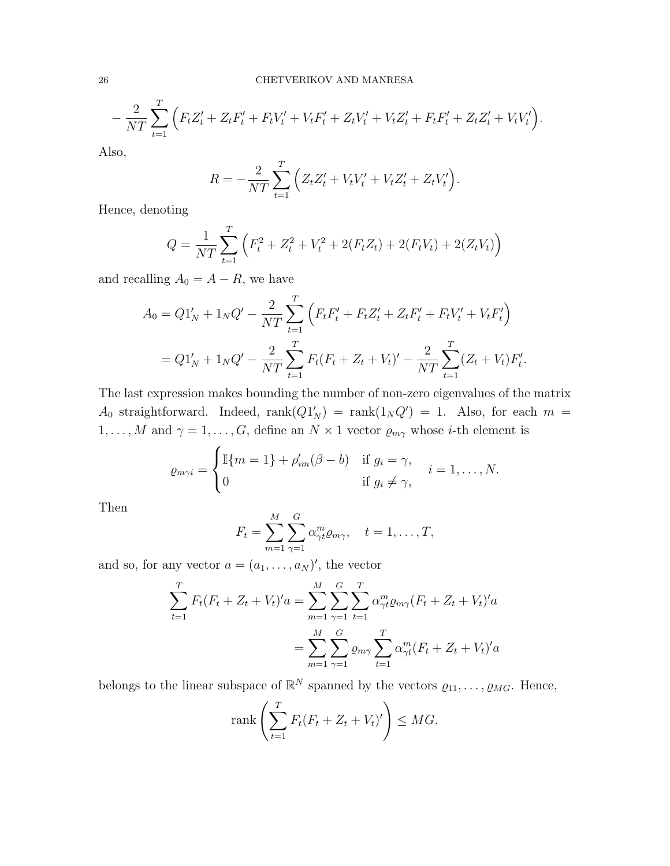$$
-\frac{2}{NT}\sum_{t=1}^T\Big(F_tZ_t' + Z_tF_t' + F_tV_t' + V_tF_t' + Z_tV_t' + V_tZ_t' + F_tF_t' + Z_tZ_t' + V_tV_t'\Big).
$$

Also,

$$
R = -\frac{2}{NT} \sum_{t=1}^{T} \left( Z_t Z_t' + V_t V_t' + V_t Z_t' + Z_t V_t' \right).
$$

Hence, denoting

$$
Q = \frac{1}{NT} \sum_{t=1}^{T} \left( F_t^2 + Z_t^2 + V_t^2 + 2(F_t Z_t) + 2(F_t V_t) + 2(Z_t V_t) \right)
$$

and recalling  $A_0 = A - R$ , we have

$$
A_0 = Q1'_N + 1_NQ' - \frac{2}{NT} \sum_{t=1}^T \left( F_t F_t' + F_t Z_t' + Z_t F_t' + F_t V_t' + V_t F_t' \right)
$$
  
=  $Q1'_N + 1_NQ' - \frac{2}{NT} \sum_{t=1}^T F_t (F_t + Z_t + V_t)' - \frac{2}{NT} \sum_{t=1}^T (Z_t + V_t) F_t'.$ 

The last expression makes bounding the number of non-zero eigenvalues of the matrix  $A_0$  straightforward. Indeed,  $rank(Q1'_N) = rank(1_NQ') = 1$ . Also, for each  $m =$  $1, \ldots, M$  and  $\gamma = 1, \ldots, G$ , define an  $N \times 1$  vector  $\varrho_{m\gamma}$  whose *i*-th element is

$$
\varrho_{m\gamma i} = \begin{cases} \mathbb{I}\{m=1\} + \rho'_{im}(\beta - b) & \text{if } g_i = \gamma, \\ 0 & \text{if } g_i \neq \gamma, \end{cases} \quad i = 1, \dots, N.
$$

Then

$$
F_t = \sum_{m=1}^{M} \sum_{\gamma=1}^{G} \alpha_{\gamma t}^m \varrho_{m\gamma}, \quad t = 1, \dots, T,
$$

and so, for any vector  $a = (a_1, \ldots, a_N)'$ , the vector

$$
\sum_{t=1}^{T} F_t (F_t + Z_t + V_t)' a = \sum_{m=1}^{M} \sum_{\gamma=1}^{G} \sum_{t=1}^{T} \alpha_{\gamma t}^{m} \varrho_{m\gamma} (F_t + Z_t + V_t)' a
$$

$$
= \sum_{m=1}^{M} \sum_{\gamma=1}^{G} \varrho_{m\gamma} \sum_{t=1}^{T} \alpha_{\gamma t}^{m} (F_t + Z_t + V_t)' a
$$

belongs to the linear subspace of  $\mathbb{R}^N$  spanned by the vectors  $\varrho_{11}, \ldots, \varrho_{MG}$ . Hence,

$$
\operatorname{rank}\left(\sum_{t=1}^T F_t(F_t + Z_t + V_t)'\right) \leq MG.
$$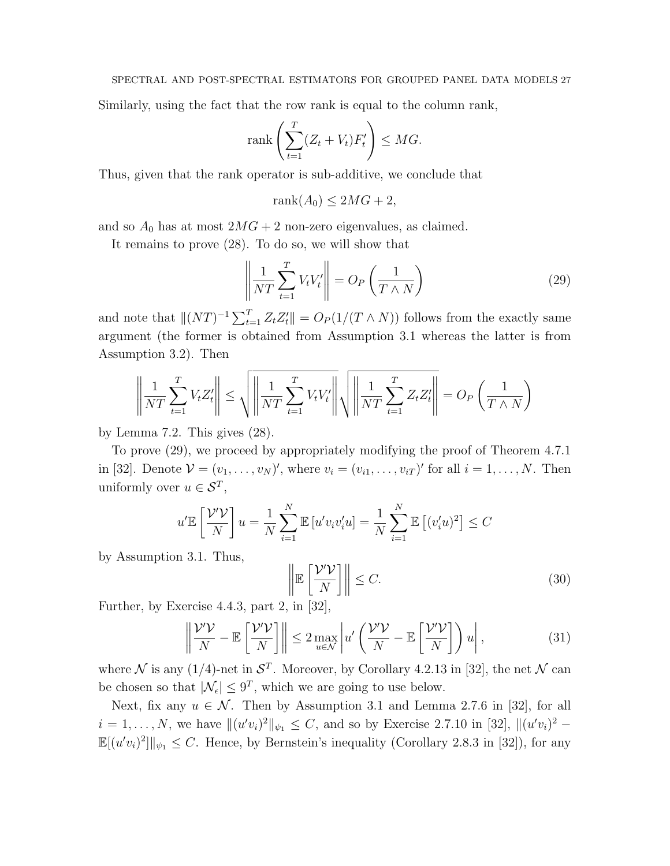Similarly, using the fact that the row rank is equal to the column rank,

$$
\operatorname{rank}\left(\sum_{t=1}^T (Z_t + V_t)F'_t\right) \le MG.
$$

Thus, given that the rank operator is sub-additive, we conclude that

$$
rank(A_0) \le 2MG + 2,
$$

and so  $A_0$  has at most  $2MG + 2$  non-zero eigenvalues, as claimed.

It remains to prove (28). To do so, we will show that

$$
\left\| \frac{1}{NT} \sum_{t=1}^{T} V_t V_t' \right\| = O_P\left(\frac{1}{T \wedge N}\right)
$$
\n(29)

and note that  $||(NT)^{-1}\sum_{t=1}^{T} Z_t Z_t'|| = O_P(1/(T \wedge N))$  follows from the exactly same argument (the former is obtained from Assumption 3.1 whereas the latter is from Assumption 3.2). Then

$$
\left\| \frac{1}{NT} \sum_{t=1}^T V_t Z_t' \right\| \le \sqrt{\left\| \frac{1}{NT} \sum_{t=1}^T V_t V_t' \right\|} \sqrt{\left\| \frac{1}{NT} \sum_{t=1}^T Z_t Z_t' \right\|} = O_P\left(\frac{1}{T \wedge N}\right)
$$

by Lemma 7.2. This gives (28).

To prove (29), we proceed by appropriately modifying the proof of Theorem 4.7.1 in [32]. Denote  $\mathcal{V} = (v_1, \ldots, v_N)'$ , where  $v_i = (v_{i1}, \ldots, v_{iT})'$  for all  $i = 1, \ldots, N$ . Then uniformly over  $u \in \mathcal{S}^T$ ,

$$
u'\mathbb{E}\left[\frac{\mathcal{V}'\mathcal{V}}{N}\right]u = \frac{1}{N}\sum_{i=1}^{N}\mathbb{E}\left[u'v_iv_i'u\right] = \frac{1}{N}\sum_{i=1}^{N}\mathbb{E}\left[(v_i'u)^2\right] \leq C
$$

by Assumption 3.1. Thus,

$$
\left\| \mathbb{E}\left[\frac{\mathcal{V}'\mathcal{V}}{N} \right] \right\| \le C. \tag{30}
$$

Further, by Exercise 4.4.3, part 2, in [32],

$$
\left\| \frac{\mathcal{V}' \mathcal{V}}{N} - \mathbb{E} \left[ \frac{\mathcal{V}' \mathcal{V}}{N} \right] \right\| \le 2 \max_{u \in \mathcal{N}} \left| u' \left( \frac{\mathcal{V}' \mathcal{V}}{N} - \mathbb{E} \left[ \frac{\mathcal{V}' \mathcal{V}}{N} \right] \right) u \right|,
$$
(31)

where N is any  $(1/4)$ -net in  $S<sup>T</sup>$ . Moreover, by Corollary 4.2.13 in [32], the net N can be chosen so that  $|\mathcal{N}_{\epsilon}| \leq 9^T$ , which we are going to use below.

Next, fix any  $u \in \mathcal{N}$ . Then by Assumption 3.1 and Lemma 2.7.6 in [32], for all  $i = 1, ..., N$ , we have  $\|(u'v_i)^2\|_{\psi_1} \leq C$ , and so by Exercise 2.7.10 in [32],  $\|(u'v_i)^2 \mathbb{E}[(u'v_i)^2] \|_{\psi_1} \leq C$ . Hence, by Bernstein's inequality (Corollary 2.8.3 in [32]), for any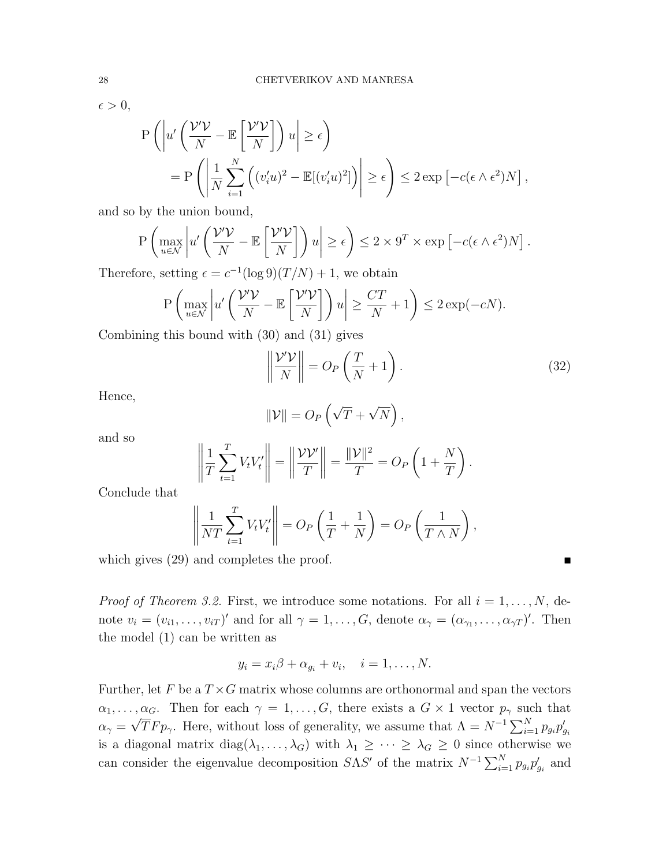$\epsilon > 0$ ,

$$
P\left(\left|u'\left(\frac{\mathcal{V}'\mathcal{V}}{N}-\mathbb{E}\left[\frac{\mathcal{V}'\mathcal{V}}{N}\right]\right)u\right|\geq \epsilon\right)
$$
  
= 
$$
P\left(\left|\frac{1}{N}\sum_{i=1}^{N}\left((v'_i u)^2-\mathbb{E}[(v'_i u)^2]\right)\right|\geq \epsilon\right)\leq 2\exp\left[-c(\epsilon\wedge\epsilon^2)N\right],
$$

and so by the union bound,

$$
\mathbf{P}\left(\max_{u\in\mathcal{N}}\left|u'\left(\frac{\mathcal{V}'\mathcal{V}}{N}-\mathbb{E}\left[\frac{\mathcal{V}'\mathcal{V}}{N}\right]\right)u\right|\geq\epsilon\right)\leq 2\times 9^T\times\exp\left[-c(\epsilon\wedge\epsilon^2)N\right].
$$

Therefore, setting  $\epsilon = c^{-1} (\log 9)(T/N) + 1$ , we obtain

$$
P\left(\max_{u\in\mathcal{N}} \left| u'\left(\frac{\mathcal{V}'\mathcal{V}}{N} - \mathbb{E}\left[\frac{\mathcal{V}'\mathcal{V}}{N}\right]\right)u\right| \ge \frac{CT}{N} + 1\right) \le 2\exp(-cN).
$$

Combining this bound with (30) and (31) gives

$$
\left\| \frac{\mathcal{V}' \mathcal{V}}{N} \right\| = O_P \left( \frac{T}{N} + 1 \right). \tag{32}
$$

Hence,

$$
\|\mathcal{V}\| = O_P\left(\sqrt{T} + \sqrt{N}\right),\,
$$

and so

$$
\left\| \frac{1}{T} \sum_{t=1}^T V_t V_t' \right\| = \left\| \frac{\mathcal{V} \mathcal{V}'}{T} \right\| = \frac{\|\mathcal{V}\|^2}{T} = O_P \left( 1 + \frac{N}{T} \right).
$$

Conclude that

$$
\left\| \frac{1}{NT} \sum_{t=1}^T V_t V_t' \right\| = O_P\left(\frac{1}{T} + \frac{1}{N}\right) = O_P\left(\frac{1}{T \wedge N}\right),
$$

which gives  $(29)$  and completes the proof.

*Proof of Theorem 3.2.* First, we introduce some notations. For all  $i = 1, \ldots, N$ , denote  $v_i = (v_{i1}, \ldots, v_{iT})'$  and for all  $\gamma = 1, \ldots, G$ , denote  $\alpha_{\gamma} = (\alpha_{\gamma_1}, \ldots, \alpha_{\gamma T})'$ . Then the model (1) can be written as

$$
y_i = x_i \beta + \alpha_{g_i} + v_i, \quad i = 1, \dots, N.
$$

Further, let F be a  $T \times G$  matrix whose columns are orthonormal and span the vectors  $\alpha_1, \ldots, \alpha_G$ . Then for each  $\gamma = 1, \ldots, G$ , there exists a  $G \times 1$  vector  $p_\gamma$  such that  $\alpha_{\gamma} =$  $\sqrt{T}F p_{\gamma}$ . Here, without loss of generality, we assume that  $\Lambda = N^{-1} \sum_{i=1}^{N} p_{g_i} p'_{g_i}$ is a diagonal matrix diag( $\lambda_1, \ldots, \lambda_G$ ) with  $\lambda_1 \geq \cdots \geq \lambda_G \geq 0$  since otherwise we can consider the eigenvalue decomposition  $S\Lambda S'$  of the matrix  $N^{-1}\sum_{i=1}^{N}p_{g_i}p'_{g_i}$  and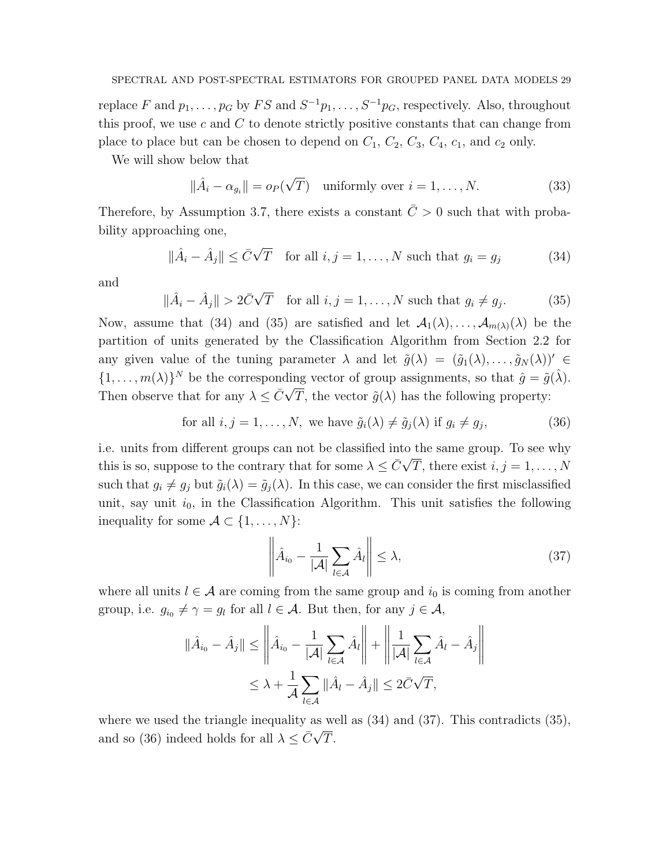replace F and  $p_1, \ldots, p_G$  by  $FS$  and  $S^{-1}p_1, \ldots, S^{-1}p_G$ , respectively. Also, throughout this proof, we use  $c$  and  $C$  to denote strictly positive constants that can change from place to place but can be chosen to depend on  $C_1$ ,  $C_2$ ,  $C_3$ ,  $C_4$ ,  $c_1$ , and  $c_2$  only.

We will show below that

$$
\|\hat{A}_i - \alpha_{g_i}\| = o_P(\sqrt{T}) \quad \text{uniformly over } i = 1, \dots, N. \tag{33}
$$

Therefore, by Assumption 3.7, there exists a constant  $\overline{C} > 0$  such that with probability approaching one,

$$
\|\hat{A}_i - \hat{A}_j\| \le \bar{C}\sqrt{T} \quad \text{for all } i, j = 1, \dots, N \text{ such that } g_i = g_j \tag{34}
$$

and

$$
\|\hat{A}_i - \hat{A}_j\| > 2\bar{C}\sqrt{T} \quad \text{for all } i, j = 1, \dots, N \text{ such that } g_i \neq g_j.
$$
 (35)

Now, assume that (34) and (35) are satisfied and let  $\mathcal{A}_1(\lambda), \ldots, \mathcal{A}_{m(\lambda)}(\lambda)$  be the partition of units generated by the Classification Algorithm from Section 2.2 for any given value of the tuning parameter  $\lambda$  and let  $\tilde{g}(\lambda) = (\tilde{g}_1(\lambda), \ldots, \tilde{g}_N(\lambda))' \in$  $\{1, \ldots, m(\lambda)\}^N$  be the corresponding vector of group assignments, so that  $\hat{g} = \tilde{g}(\hat{\lambda})$ . Then observe that for any  $\lambda \leq \bar{C}\sqrt{T}$ , the vector  $\tilde{g}(\lambda)$  has the following property:

for all 
$$
i, j = 1, ..., N
$$
, we have  $\tilde{g}_i(\lambda) \neq \tilde{g}_j(\lambda)$  if  $g_i \neq g_j$ , 
$$
(36)
$$

i.e. units from different groups can not be classified into the same group. To see why this is so, suppose to the contrary that for some  $\lambda \leq \bar{C}\sqrt{T}$ , there exist  $i, j = 1, \ldots, N$ such that  $g_i \neq g_j$  but  $\tilde{g}_i(\lambda) = \tilde{g}_j(\lambda)$ . In this case, we can consider the first misclassified unit, say unit  $i_0$ , in the Classification Algorithm. This unit satisfies the following inequality for some  $\mathcal{A} \subset \{1, \ldots, N\}$ :

$$
\left\| \hat{A}_{i_0} - \frac{1}{|\mathcal{A}|} \sum_{l \in \mathcal{A}} \hat{A}_l \right\| \le \lambda,
$$
\n(37)

where all units  $l \in \mathcal{A}$  are coming from the same group and  $i_0$  is coming from another group, i.e.  $g_{i_0} \neq \gamma = g_l$  for all  $l \in \mathcal{A}$ . But then, for any  $j \in \mathcal{A}$ ,

$$
\|\hat{A}_{i_0} - \hat{A}_j\| \le \left\|\hat{A}_{i_0} - \frac{1}{|\mathcal{A}|} \sum_{l \in \mathcal{A}} \hat{A}_l\right\| + \left\|\frac{1}{|\mathcal{A}|} \sum_{l \in \mathcal{A}} \hat{A}_l - \hat{A}_j\right\|
$$
  

$$
\le \lambda + \frac{1}{\mathcal{A}} \sum_{l \in \mathcal{A}} \|\hat{A}_l - \hat{A}_j\| \le 2\bar{C}\sqrt{T},
$$

where we used the triangle inequality as well as  $(34)$  and  $(37)$ . This contradicts  $(35)$ , where we used the triangle mequantly as<br>and so (36) indeed holds for all  $\lambda \leq \bar{C}\sqrt{ }$ T.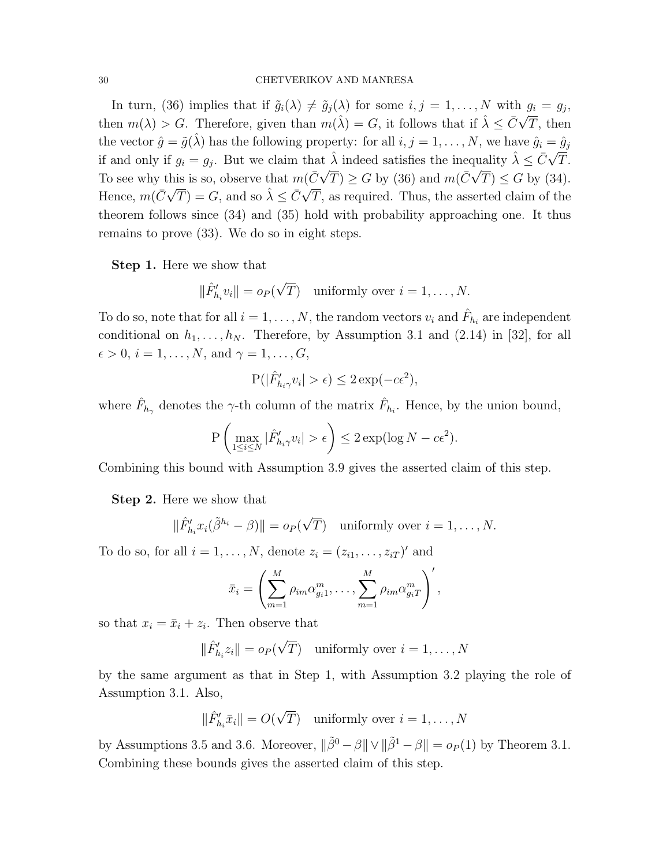In turn, (36) implies that if  $\tilde{g}_i(\lambda) \neq \tilde{g}_j(\lambda)$  for some  $i, j = 1, ..., N$  with  $g_i = g_j$ , then  $m(\lambda) > G$ . Therefore, given than  $m(\hat{\lambda}) = G$ , it follows that if  $\hat{\lambda} \leq \bar{C}\sqrt{T}$ , then the vector  $\hat{g} = \tilde{g}(\hat{\lambda})$  has the following property: for all  $i, j = 1, ..., N$ , we have  $\hat{g}_i = \hat{g}_j$ if and only if  $g_i = g_j$ . But we claim that  $\hat{\lambda}$  indeed satisfies the inequality  $\hat{\lambda} \leq \bar{C}\sqrt{\lambda}$ If  $\lambda$  indeed satisfies the inequality  $\lambda \leq C\sqrt{T}$ . To see why this is so, observe that  $m(\bar{C}\sqrt{T}) \geq G$  by (36) and  $m(\bar{C}\sqrt{T}) \leq G$  by (34). Hence,  $m(\bar{C}\sqrt{T}) = G$ , and so  $\hat{\lambda} \leq \bar{C}\sqrt{T}$ T, as required. Thus, the asserted claim of the theorem follows since (34) and (35) hold with probability approaching one. It thus remains to prove (33). We do so in eight steps.

Step 1. Here we show that

$$
\|\hat{F}_{h_i}' v_i\| = o_P(\sqrt{T}) \quad \text{uniformly over } i = 1, \dots, N.
$$

To do so, note that for all  $i = 1, ..., N$ , the random vectors  $v_i$  and  $\hat{F}_{h_i}$  are independent conditional on  $h_1, \ldots, h_N$ . Therefore, by Assumption 3.1 and (2.14) in [32], for all  $\epsilon > 0, i = 1, \ldots, N$ , and  $\gamma = 1, \ldots, G$ ,

$$
\mathbf{P}(|\hat{F}_{h_i\gamma}'v_i| > \epsilon) \le 2\exp(-c\epsilon^2),
$$

where  $\hat{F}_{h_{\gamma}}$  denotes the  $\gamma$ -th column of the matrix  $\hat{F}_{h_i}$ . Hence, by the union bound,

$$
\mathbf{P}\left(\max_{1\leq i\leq N}|\hat{F}'_{h_i\gamma}v_i|>\epsilon\right)\leq 2\exp(\log N-c\epsilon^2).
$$

Combining this bound with Assumption 3.9 gives the asserted claim of this step.

Step 2. Here we show that

$$
\|\hat{F}_{h_i}' x_i(\tilde{\beta}^{h_i} - \beta)\| = o_P(\sqrt{T}) \text{ uniformly over } i = 1, ..., N.
$$

To do so, for all  $i = 1, ..., N$ , denote  $z_i = (z_{i1}, ..., z_{iT})'$  and

$$
\bar{x}_i = \left(\sum_{m=1}^M \rho_{im} \alpha_{g_i 1}^m, \dots, \sum_{m=1}^M \rho_{im} \alpha_{g_i T}^m\right)',
$$

so that  $x_i = \bar{x}_i + z_i$ . Then observe that

$$
\|\hat{F}_{h_i}^{\prime} z_i\| = o_P(\sqrt{T}) \quad \text{uniformly over } i = 1, \dots, N
$$

by the same argument as that in Step 1, with Assumption 3.2 playing the role of Assumption 3.1. Also,

$$
\|\hat{F}_{h_i}'\bar{x}_i\| = O(\sqrt{T}) \quad \text{uniformly over } i = 1, \dots, N
$$

by Assumptions 3.5 and 3.6. Moreover,  $\|\tilde{\beta}^0 - \beta\| \vee \|\tilde{\beta}^1 - \beta\| = o_P(1)$  by Theorem 3.1. Combining these bounds gives the asserted claim of this step.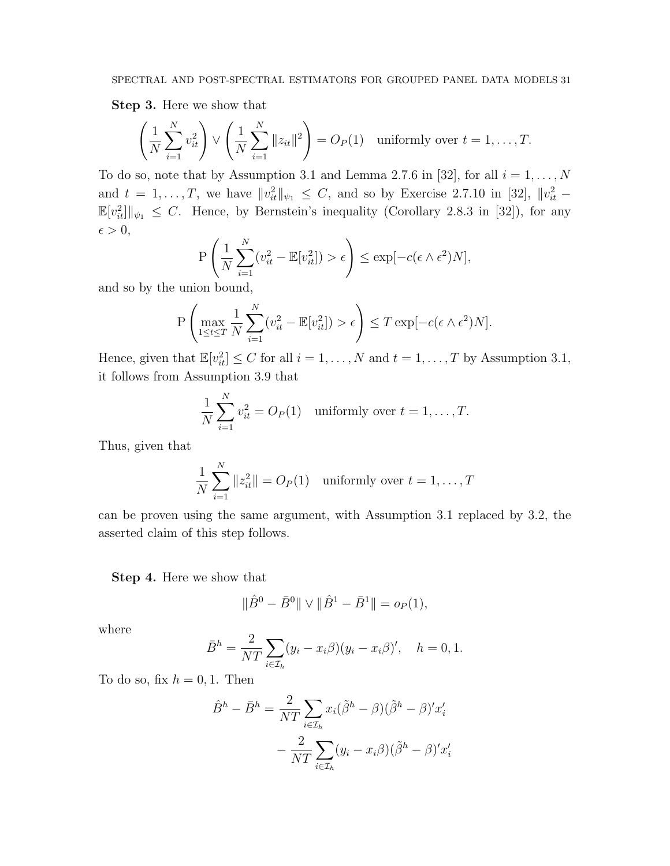Step 3. Here we show that

$$
\left(\frac{1}{N}\sum_{i=1}^N v_{it}^2\right) \vee \left(\frac{1}{N}\sum_{i=1}^N \|z_{it}\|^2\right) = O_P(1) \text{ uniformly over } t = 1,\dots,T.
$$

To do so, note that by Assumption 3.1 and Lemma 2.7.6 in [32], for all  $i = 1, ..., N$ and  $t = 1, \ldots, T$ , we have  $||v_{it}^2||_{\psi_1} \leq C$ , and so by Exercise 2.7.10 in [32],  $||v_{it}^2 \mathbb{E}[v_{it}^2] \|_{\psi_1} \leq C$ . Hence, by Bernstein's inequality (Corollary 2.8.3 in [32]), for any  $\epsilon > 0,$ 

$$
\mathcal{P}\left(\frac{1}{N}\sum_{i=1}^{N}(v_{it}^2 - \mathbb{E}[v_{it}^2]) > \epsilon\right) \le \exp[-c(\epsilon \wedge \epsilon^2)N],
$$

and so by the union bound,

$$
P\left(\max_{1\leq t\leq T}\frac{1}{N}\sum_{i=1}^N(v_{it}^2-\mathbb{E}[v_{it}^2])>\epsilon\right)\leq T\exp[-c(\epsilon\wedge\epsilon^2)N].
$$

Hence, given that  $\mathbb{E}[v_{it}^2] \leq C$  for all  $i = 1, ..., N$  and  $t = 1, ..., T$  by Assumption 3.1, it follows from Assumption 3.9 that

$$
\frac{1}{N} \sum_{i=1}^{N} v_{it}^2 = O_P(1) \quad \text{uniformly over } t = 1, \dots, T.
$$

Thus, given that

$$
\frac{1}{N} \sum_{i=1}^{N} ||z_{it}^2|| = O_P(1) \quad \text{uniformly over } t = 1, \dots, T
$$

can be proven using the same argument, with Assumption 3.1 replaced by 3.2, the asserted claim of this step follows.

Step 4. Here we show that

$$
\|\hat{B}^0 - \bar{B}^0\| \vee \|\hat{B}^1 - \bar{B}^1\| = o_P(1),
$$

where

$$
\bar{B}^h = \frac{2}{NT} \sum_{i \in \mathcal{I}_h} (y_i - x_i \beta)(y_i - x_i \beta)', \quad h = 0, 1.
$$

To do so, fix  $h = 0, 1$ . Then

$$
\hat{B}^h - \bar{B}^h = \frac{2}{NT} \sum_{i \in \mathcal{I}_h} x_i (\tilde{\beta}^h - \beta)(\tilde{\beta}^h - \beta)' x'_i
$$

$$
- \frac{2}{NT} \sum_{i \in \mathcal{I}_h} (y_i - x_i \beta)(\tilde{\beta}^h - \beta)' x'_i
$$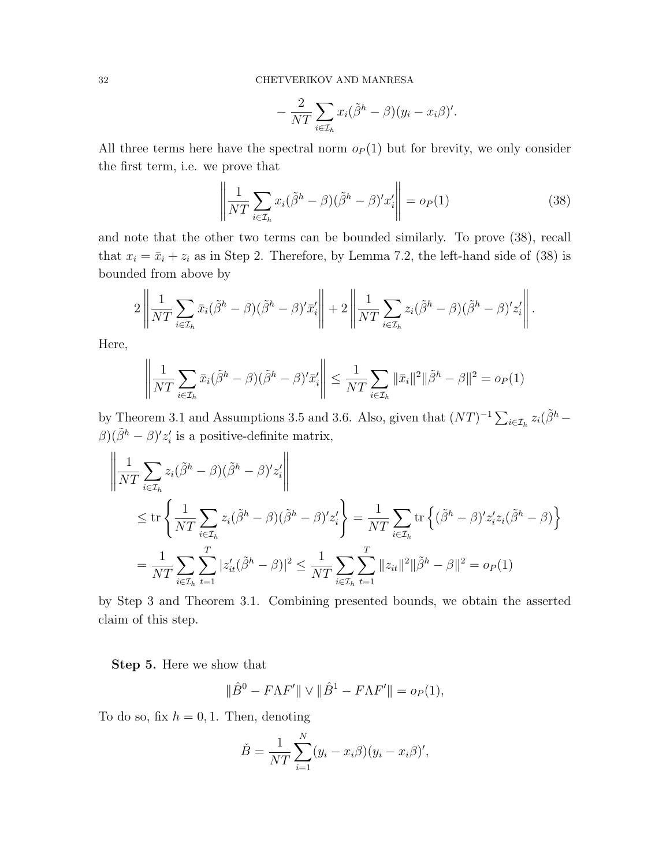$$
-\frac{2}{NT}\sum_{i\in\mathcal{I}_h}x_i(\tilde{\beta}^h-\beta)(y_i-x_i\beta)'
$$

All three terms here have the spectral norm  $o_P(1)$  but for brevity, we only consider the first term, i.e. we prove that

$$
\left\| \frac{1}{NT} \sum_{i \in \mathcal{I}_h} x_i (\tilde{\beta}^h - \beta)(\tilde{\beta}^h - \beta)' x'_i \right\| = o_P(1)
$$
 (38)

and note that the other two terms can be bounded similarly. To prove (38), recall that  $x_i = \bar{x}_i + z_i$  as in Step 2. Therefore, by Lemma 7.2, the left-hand side of (38) is bounded from above by

$$
2\left\|\frac{1}{NT}\sum_{i\in\mathcal{I}_h}\bar{x}_i(\tilde{\beta}^h-\beta)(\tilde{\beta}^h-\beta)'x'_i\right\|+2\left\|\frac{1}{NT}\sum_{i\in\mathcal{I}_h}z_i(\tilde{\beta}^h-\beta)(\tilde{\beta}^h-\beta)'z'_i\right\|.
$$

Here,

$$
\left\| \frac{1}{NT} \sum_{i \in \mathcal{I}_h} \bar{x}_i (\tilde{\beta}^h - \beta)(\tilde{\beta}^h - \beta)' \bar{x}'_i \right\| \leq \frac{1}{NT} \sum_{i \in \mathcal{I}_h} \|\bar{x}_i\|^2 \|\tilde{\beta}^h - \beta\|^2 = o_P(1)
$$

by Theorem 3.1 and Assumptions 3.5 and 3.6. Also, given that  $(NT)^{-1} \sum_{i \in \mathcal{I}_h} z_i (\tilde{\beta}^h \beta$ )( $\tilde{\beta}^h - \beta$ )' $z_i'$  is a positive-definite matrix,

$$
\left\| \frac{1}{NT} \sum_{i \in \mathcal{I}_h} z_i (\tilde{\beta}^h - \beta)(\tilde{\beta}^h - \beta)' z'_i \right\|
$$
  
\n
$$
\leq \text{tr} \left\{ \frac{1}{NT} \sum_{i \in \mathcal{I}_h} z_i (\tilde{\beta}^h - \beta)(\tilde{\beta}^h - \beta)' z'_i \right\} = \frac{1}{NT} \sum_{i \in \mathcal{I}_h} \text{tr} \left\{ (\tilde{\beta}^h - \beta)' z'_i z_i (\tilde{\beta}^h - \beta) \right\}
$$
  
\n
$$
= \frac{1}{NT} \sum_{i \in \mathcal{I}_h} \sum_{t=1}^T |z'_{it} (\tilde{\beta}^h - \beta)|^2 \leq \frac{1}{NT} \sum_{i \in \mathcal{I}_h} \sum_{t=1}^T ||z_{it}||^2 ||\tilde{\beta}^h - \beta||^2 = o_P(1)
$$

by Step 3 and Theorem 3.1. Combining presented bounds, we obtain the asserted claim of this step.

Step 5. Here we show that

$$
\|\hat{B}^0 - F\Lambda F'\| \vee \|\hat{B}^1 - F\Lambda F'\| = o_P(1),
$$

To do so, fix  $h = 0, 1$ . Then, denoting

$$
\check{B} = \frac{1}{NT} \sum_{i=1}^{N} (y_i - x_i \beta)(y_i - x_i \beta)',
$$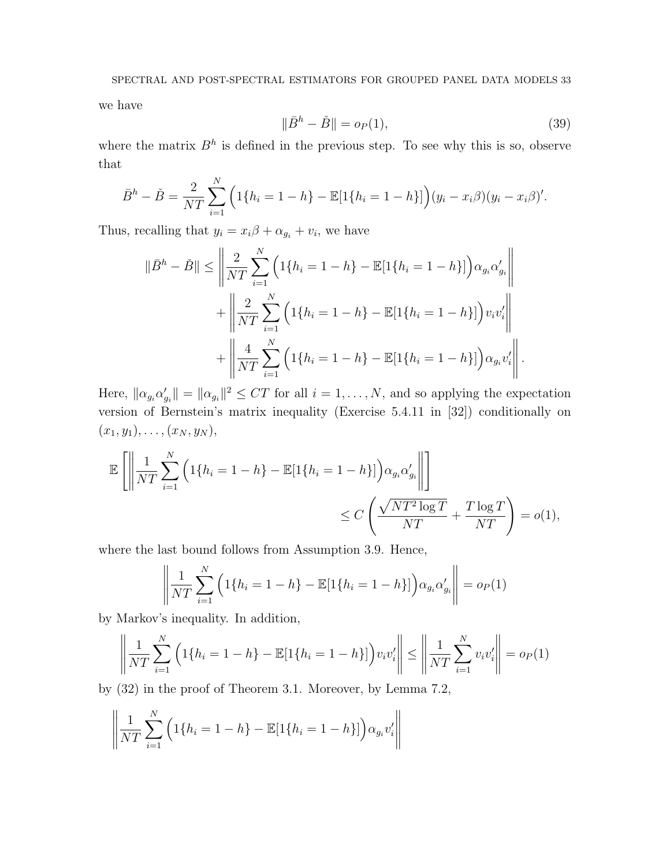we have

$$
\|\bar{B}^h - \check{B}\| = o_P(1),\tag{39}
$$

where the matrix  $B<sup>h</sup>$  is defined in the previous step. To see why this is so, observe that

$$
\bar{B}^h - \check{B} = \frac{2}{NT} \sum_{i=1}^N \left( 1\{h_i = 1 - h\} - \mathbb{E}[1\{h_i = 1 - h\}]\right) (y_i - x_i \beta) (y_i - x_i \beta)'
$$

Thus, recalling that  $y_i = x_i\beta + \alpha_{g_i} + v_i$ , we have

$$
\|\bar{B}^{h} - \check{B}\| \le \left\| \frac{2}{NT} \sum_{i=1}^{N} \left( 1\{h_{i} = 1 - h\} - \mathbb{E}[1\{h_{i} = 1 - h\}] \right) \alpha_{g_{i}} \alpha_{g_{i}}' \right\| + \left\| \frac{2}{NT} \sum_{i=1}^{N} \left( 1\{h_{i} = 1 - h\} - \mathbb{E}[1\{h_{i} = 1 - h\}] \right) v_{i} v_{i}' \right\| + \left\| \frac{4}{NT} \sum_{i=1}^{N} \left( 1\{h_{i} = 1 - h\} - \mathbb{E}[1\{h_{i} = 1 - h\}] \right) \alpha_{g_{i}} v_{i}' \right\|.
$$

Here,  $\|\alpha_{g_i}\alpha_{g_i}'\| = \|\alpha_{g_i}\|^2 \le CT$  for all  $i = 1, ..., N$ , and so applying the expectation version of Bernstein's matrix inequality (Exercise 5.4.11 in [32]) conditionally on  $(x_1, y_1), \ldots, (x_N, y_N),$ 

$$
\mathbb{E}\left[\left\|\frac{1}{NT}\sum_{i=1}^{N}\left(1\{h_i=1-h\}-\mathbb{E}[1\{h_i=1-h\}]\right)\alpha_{g_i}\alpha'_{g_i}\right\|\right] \leq C\left(\frac{\sqrt{NT^2\log T}}{NT}+\frac{T\log T}{NT}\right) = o(1),
$$

where the last bound follows from Assumption 3.9. Hence,

$$
\left\| \frac{1}{NT} \sum_{i=1}^{N} \left( 1\{ h_i = 1 - h \} - \mathbb{E}[1\{ h_i = 1 - h \}] \right) \alpha_{g_i} \alpha'_{g_i} \right\| = o_P(1)
$$

by Markov's inequality. In addition,

$$
\left\| \frac{1}{NT} \sum_{i=1}^{N} \left( 1\{ h_i = 1 - h \} - \mathbb{E}[1\{ h_i = 1 - h \}] \right) v_i v_i' \right\| \le \left\| \frac{1}{NT} \sum_{i=1}^{N} v_i v_i' \right\| = o_P(1)
$$

by (32) in the proof of Theorem 3.1. Moreover, by Lemma 7.2,

$$
\left\| \frac{1}{NT} \sum_{i=1}^{N} \left( 1\{h_i = 1 - h\} - \mathbb{E}[1\{h_i = 1 - h\}] \right) \alpha_{g_i} v_i' \right\|
$$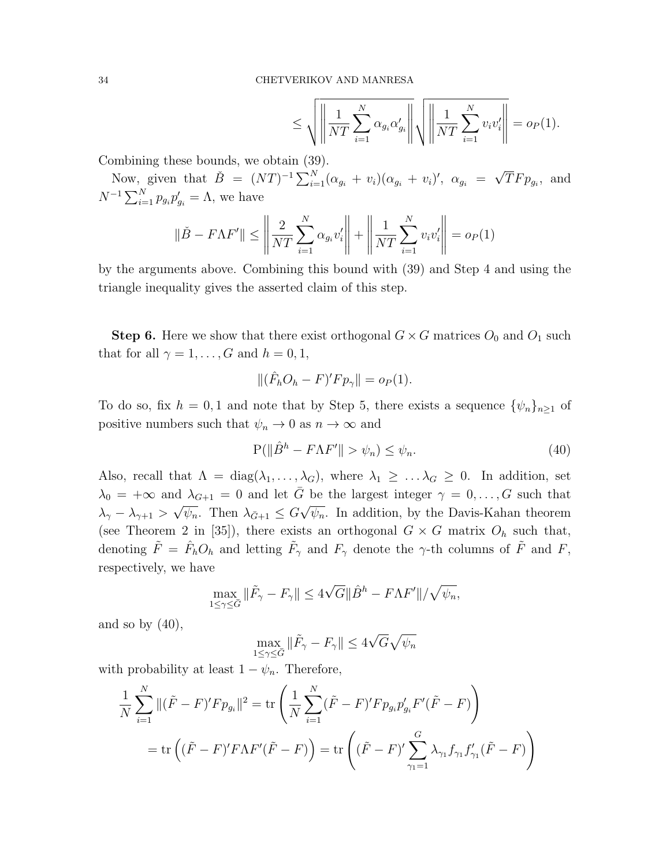$$
\leq \sqrt{\left\| \frac{1}{NT} \sum_{i=1}^{N} \alpha_{g_i} \alpha'_{g_i} \right\|} \sqrt{\left\| \frac{1}{NT} \sum_{i=1}^{N} v_i v'_i \right\|} = o_P(1).
$$

Combining these bounds, we obtain (39).

Now, given that  $\check{B} = (NT)^{-1} \sum_{i=1}^{N} (\alpha_{g_i} + v_i)(\alpha_{g_i} + v_i)'$ ,  $\alpha_{g_i} =$ √  $TFp_{g_i}$ , and  $N^{-1} \sum_{i=1}^{N} p_{g_i} p'_{g_i} = \Lambda$ , we have

$$
\|\check{B} - F\Lambda F'\| \le \left\|\frac{2}{NT}\sum_{i=1}^{N} \alpha_{g_i} v_i'\right\| + \left\|\frac{1}{NT}\sum_{i=1}^{N} v_i v_i'\right\| = o_P(1)
$$

by the arguments above. Combining this bound with (39) and Step 4 and using the triangle inequality gives the asserted claim of this step.

**Step 6.** Here we show that there exist orthogonal  $G \times G$  matrices  $O_0$  and  $O_1$  such that for all  $\gamma = 1, \ldots, G$  and  $h = 0, 1$ ,

$$
\|(\hat{F}_h O_h - F)'F p_\gamma\| = o_P(1).
$$

To do so, fix  $h = 0, 1$  and note that by Step 5, there exists a sequence  $\{\psi_n\}_{n\geq 1}$  of positive numbers such that  $\psi_n \to 0$  as  $n \to \infty$  and

$$
P(||\hat{B}^h - F\Lambda F'|| > \psi_n) \le \psi_n.
$$
\n(40)

Also, recall that  $\Lambda = \text{diag}(\lambda_1, \ldots, \lambda_G)$ , where  $\lambda_1 \geq \ldots \lambda_G \geq 0$ . In addition, set  $\lambda_0 = +\infty$  and  $\lambda_{G+1} = 0$  and let  $\overline{G}$  be the largest integer  $\gamma = 0, \ldots, G$  such that  $\lambda_\gamma - \lambda_{\gamma+1} >$ √  $\overline{\psi_n}$ . Then  $\lambda_{\bar{G}+1} \leq G$ √  $\overline{\psi_n}$ . In addition, by the Davis-Kahan theorem (see Theorem 2 in [35]), there exists an orthogonal  $G \times G$  matrix  $O_h$  such that, denoting  $\tilde{F} = \hat{F}_h O_h$  and letting  $\tilde{F}_\gamma$  and  $F_\gamma$  denote the  $\gamma$ -th columns of  $\tilde{F}$  and  $F$ , respectively, we have

$$
\max_{1 \le \gamma \le \bar{G}} \|\tilde{F}_{\gamma} - F_{\gamma}\| \le 4\sqrt{G} \|\hat{B}^{h} - F\Lambda F'\| / \sqrt{\psi_n},
$$

and so by  $(40)$ ,

$$
\max_{1 \le \gamma \le \bar{G}} \|\tilde{F}_{\gamma} - F_{\gamma}\| \le 4\sqrt{G}\sqrt{\psi_n}
$$

with probability at least  $1 - \psi_n$ . Therefore,

$$
\frac{1}{N} \sum_{i=1}^{N} \| (\tilde{F} - F)' F p_{g_i} \|^2 = \text{tr} \left( \frac{1}{N} \sum_{i=1}^{N} (\tilde{F} - F)' F p_{g_i} p'_{g_i} F' (\tilde{F} - F) \right)
$$
  
= 
$$
\text{tr} \left( (\tilde{F} - F)' F \Lambda F' (\tilde{F} - F) \right) = \text{tr} \left( (\tilde{F} - F)' \sum_{\gamma_1=1}^{G} \lambda_{\gamma_1} f_{\gamma_1} f'_{\gamma_1} (\tilde{F} - F) \right)
$$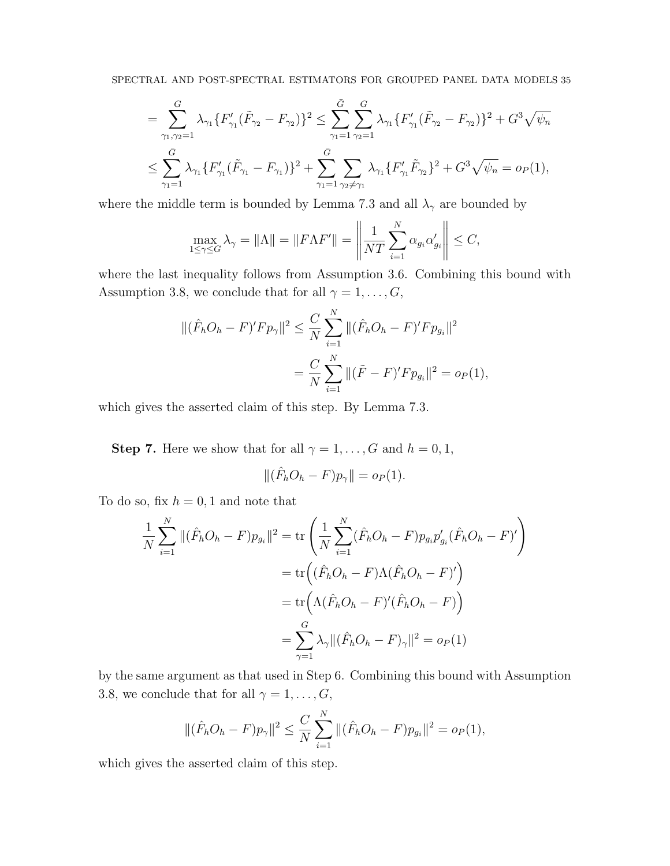$$
= \sum_{\gamma_1,\gamma_2=1}^G \lambda_{\gamma_1} \{F'_{\gamma_1}(\tilde{F}_{\gamma_2} - F_{\gamma_2})\}^2 \le \sum_{\gamma_1=1}^{\bar{G}} \sum_{\gamma_2=1}^G \lambda_{\gamma_1} \{F'_{\gamma_1}(\tilde{F}_{\gamma_2} - F_{\gamma_2})\}^2 + G^3 \sqrt{\psi_n}
$$
  

$$
\le \sum_{\gamma_1=1}^{\bar{G}} \lambda_{\gamma_1} \{F'_{\gamma_1}(\tilde{F}_{\gamma_1} - F_{\gamma_1})\}^2 + \sum_{\gamma_1=1}^{\bar{G}} \sum_{\gamma_2 \neq \gamma_1} \lambda_{\gamma_1} \{F'_{\gamma_1} \tilde{F}_{\gamma_2}\}^2 + G^3 \sqrt{\psi_n} = o_P(1),
$$

where the middle term is bounded by Lemma 7.3 and all  $\lambda_{\gamma}$  are bounded by

$$
\max_{1 \le \gamma \le G} \lambda_{\gamma} = \|\Lambda\| = \|F\Lambda F'\| = \left\| \frac{1}{NT} \sum_{i=1}^{N} \alpha_{g_i} \alpha'_{g_i} \right\| \le C,
$$

where the last inequality follows from Assumption 3.6. Combining this bound with Assumption 3.8, we conclude that for all  $\gamma = 1, \ldots, G$ ,

$$
\begin{aligned} \|(\hat{F}_h O_h - F)' F p_\gamma \|^2 &\leq \frac{C}{N} \sum_{i=1}^N \|(\hat{F}_h O_h - F)' F p_{g_i} \|^2 \\ &= \frac{C}{N} \sum_{i=1}^N \|(\tilde{F} - F)' F p_{g_i} \|^2 = o_P(1), \end{aligned}
$$

which gives the asserted claim of this step. By Lemma 7.3.

**Step 7.** Here we show that for all  $\gamma = 1, \ldots, G$  and  $h = 0, 1$ ,

$$
\|(\hat{F}_h O_h - F)p_\gamma\| = o_P(1).
$$

To do so, fix  $h = 0, 1$  and note that

$$
\frac{1}{N} \sum_{i=1}^{N} ||(\hat{F}_h O_h - F) p_{g_i}||^2 = \text{tr} \left( \frac{1}{N} \sum_{i=1}^{N} (\hat{F}_h O_h - F) p_{g_i} p'_{g_i} (\hat{F}_h O_h - F)'\right)
$$

$$
= \text{tr} \left( (\hat{F}_h O_h - F) \Lambda (\hat{F}_h O_h - F)'\right)
$$

$$
= \text{tr} \left( \Lambda (\hat{F}_h O_h - F)' (\hat{F}_h O_h - F) \right)
$$

$$
= \sum_{\gamma=1}^{G} \lambda_{\gamma} ||(\hat{F}_h O_h - F)_{\gamma}||^2 = o_P(1)
$$

by the same argument as that used in Step 6. Combining this bound with Assumption 3.8, we conclude that for all  $\gamma = 1, \ldots, G$ ,

$$
\|(\hat{F}_h O_h - F)p_\gamma\|^2 \le \frac{C}{N} \sum_{i=1}^N \|(\hat{F}_h O_h - F)p_{g_i}\|^2 = o_P(1),
$$

which gives the asserted claim of this step.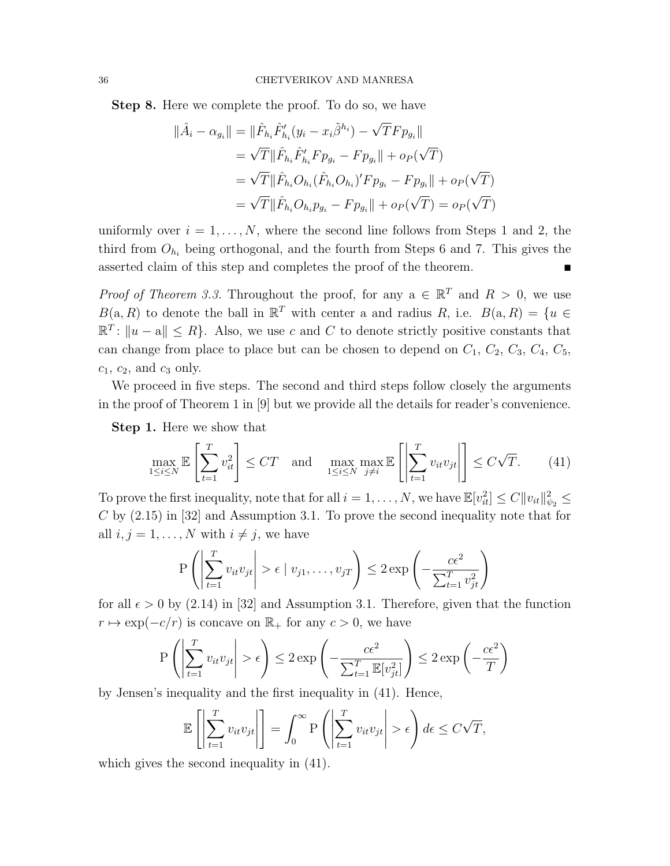Step 8. Here we complete the proof. To do so, we have

$$
\|\hat{A}_i - \alpha_{g_i}\| = \|\hat{F}_{h_i}\hat{F}'_{h_i}(y_i - x_i\tilde{\beta}^{h_i}) - \sqrt{T}Fp_{g_i}\|
$$
  
\n
$$
= \sqrt{T}\|\hat{F}_{h_i}\hat{F}'_{h_i}Fp_{g_i} - Fp_{g_i}\| + op(\sqrt{T})
$$
  
\n
$$
= \sqrt{T}\|\hat{F}_{h_i}O_{h_i}(\hat{F}_{h_i}O_{h_i})'Fp_{g_i} - Fp_{g_i}\| + op(\sqrt{T})
$$
  
\n
$$
= \sqrt{T}\|\hat{F}_{h_i}O_{h_i}p_{g_i} - Fp_{g_i}\| + op(\sqrt{T}) = op(\sqrt{T})
$$

uniformly over  $i = 1, ..., N$ , where the second line follows from Steps 1 and 2, the third from  $O_{h_i}$  being orthogonal, and the fourth from Steps 6 and 7. This gives the asserted claim of this step and completes the proof of the theorem.

*Proof of Theorem 3.3.* Throughout the proof, for any  $a \in \mathbb{R}^T$  and  $R > 0$ , we use  $B(a, R)$  to denote the ball in  $\mathbb{R}^T$  with center a and radius R, i.e.  $B(a, R) = \{u \in$  $\mathbb{R}^T: ||u - a|| \leq R$ . Also, we use c and C to denote strictly positive constants that can change from place to place but can be chosen to depend on  $C_1$ ,  $C_2$ ,  $C_3$ ,  $C_4$ ,  $C_5$ ,  $c_1, c_2,$  and  $c_3$  only.

We proceed in five steps. The second and third steps follow closely the arguments in the proof of Theorem 1 in [9] but we provide all the details for reader's convenience.

Step 1. Here we show that

$$
\max_{1 \le i \le N} \mathbb{E}\left[\sum_{t=1}^{T} v_{it}^2\right] \le CT \quad \text{and} \quad \max_{1 \le i \le N} \max_{j \ne i} \mathbb{E}\left[\left|\sum_{t=1}^{T} v_{it} v_{jt}\right|\right] \le C\sqrt{T}.\tag{41}
$$

To prove the first inequality, note that for all  $i = 1, \ldots, N$ , we have  $\mathbb{E}[v_{it}^2] \leq C ||v_{it}||_{\psi_2}^2 \leq$  $C$  by  $(2.15)$  in  $[32]$  and Assumption 3.1. To prove the second inequality note that for all  $i, j = 1, ..., N$  with  $i \neq j$ , we have

$$
P\left(\left|\sum_{t=1}^T v_{it}v_{jt}\right| > \epsilon \mid v_{j1}, \dots, v_{jT}\right) \leq 2 \exp\left(-\frac{c\epsilon^2}{\sum_{t=1}^T v_{jt}^2}\right)
$$

for all  $\epsilon > 0$  by (2.14) in [32] and Assumption 3.1. Therefore, given that the function  $r \mapsto \exp(-c/r)$  is concave on  $\mathbb{R}_+$  for any  $c > 0$ , we have

$$
P\left(\left|\sum_{t=1}^T v_{it}v_{jt}\right| > \epsilon\right) \le 2 \exp\left(-\frac{c\epsilon^2}{\sum_{t=1}^T \mathbb{E}[v_{jt}^2]}\right) \le 2 \exp\left(-\frac{c\epsilon^2}{T}\right)
$$

by Jensen's inequality and the first inequality in (41). Hence,

$$
\mathbb{E}\left[\left|\sum_{t=1}^T v_{it}v_{jt}\right|\right] = \int_0^\infty P\left(\left|\sum_{t=1}^T v_{it}v_{jt}\right| > \epsilon\right) d\epsilon \le C\sqrt{T},
$$

which gives the second inequality in (41).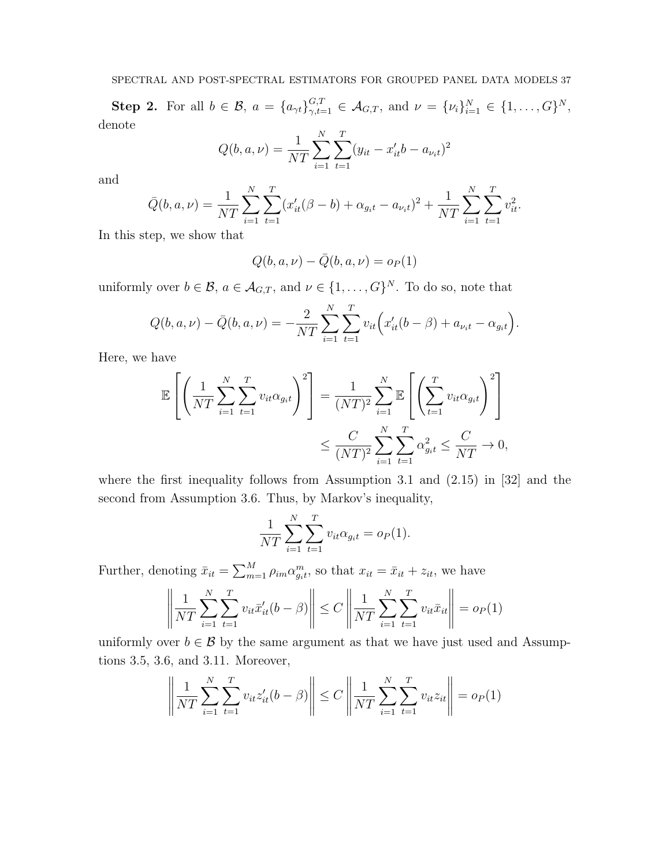**Step 2.** For all  $b \in \mathcal{B}$ ,  $a = \{a_{\gamma t}\}_{\gamma,t=1}^{G,T} \in \mathcal{A}_{G,T}$ , and  $\nu = \{\nu_i\}_{i=1}^N \in \{1, \ldots, G\}^N$ , denote

$$
Q(b, a, \nu) = \frac{1}{NT} \sum_{i=1}^{N} \sum_{t=1}^{T} (y_{it} - x'_{it}b - a_{\nu_i t})^2
$$

and

$$
\bar{Q}(b, a, \nu) = \frac{1}{NT} \sum_{i=1}^{N} \sum_{t=1}^{T} (x_{it}'(\beta - b) + \alpha_{g_i t} - a_{\nu_i t})^2 + \frac{1}{NT} \sum_{i=1}^{N} \sum_{t=1}^{T} v_{it}^2.
$$

In this step, we show that

$$
Q(b, a, \nu) - \bar{Q}(b, a, \nu) = o_P(1)
$$

uniformly over  $b \in \mathcal{B}$ ,  $a \in \mathcal{A}_{G,T}$ , and  $\nu \in \{1, \ldots, G\}^N$ . To do so, note that

$$
Q(b, a, \nu) - \bar{Q}(b, a, \nu) = -\frac{2}{NT} \sum_{i=1}^{N} \sum_{t=1}^{T} v_{it} \left( x'_{it}(b - \beta) + a_{\nu_i t} - \alpha_{g_i t} \right).
$$

Here, we have

$$
\mathbb{E}\left[\left(\frac{1}{NT}\sum_{i=1}^N\sum_{t=1}^T v_{it}\alpha_{g_it}\right)^2\right] = \frac{1}{(NT)^2}\sum_{i=1}^N \mathbb{E}\left[\left(\sum_{t=1}^T v_{it}\alpha_{g_it}\right)^2\right] \leq \frac{C}{(NT)^2}\sum_{i=1}^N\sum_{t=1}^T \alpha_{g_it}^2 \leq \frac{C}{NT} \to 0,
$$

where the first inequality follows from Assumption 3.1 and  $(2.15)$  in [32] and the second from Assumption 3.6. Thus, by Markov's inequality,

$$
\frac{1}{NT} \sum_{i=1}^{N} \sum_{t=1}^{T} v_{it} \alpha_{g_i t} = o_P(1).
$$

Further, denoting  $\bar{x}_{it} = \sum_{m=1}^{M} \rho_{im} \alpha_{git}^{m}$ , so that  $x_{it} = \bar{x}_{it} + z_{it}$ , we have

$$
\left\| \frac{1}{NT} \sum_{i=1}^{N} \sum_{t=1}^{T} v_{it} \bar{x}'_{it} (b - \beta) \right\| \le C \left\| \frac{1}{NT} \sum_{i=1}^{N} \sum_{t=1}^{T} v_{it} \bar{x}_{it} \right\| = o_P(1)
$$

uniformly over  $b \in \mathcal{B}$  by the same argument as that we have just used and Assumptions 3.5, 3.6, and 3.11. Moreover,

$$
\left\| \frac{1}{NT} \sum_{i=1}^{N} \sum_{t=1}^{T} v_{it} z_{it}' (b - \beta) \right\| \le C \left\| \frac{1}{NT} \sum_{i=1}^{N} \sum_{t=1}^{T} v_{it} z_{it} \right\| = o_P(1)
$$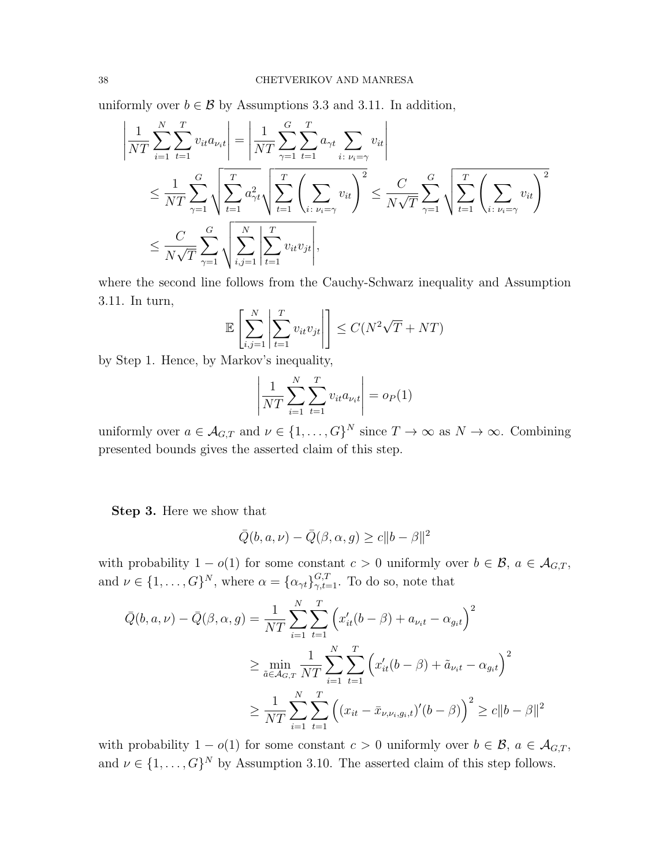uniformly over  $b \in \mathcal{B}$  by Assumptions 3.3 and 3.11. In addition,

$$
\left| \frac{1}{NT} \sum_{i=1}^{N} \sum_{t=1}^{T} v_{it} a_{\nu_i t} \right| = \left| \frac{1}{NT} \sum_{\gamma=1}^{G} \sum_{t=1}^{T} a_{\gamma t} \sum_{i : \nu_i = \gamma} v_{it} \right| \n\leq \frac{1}{NT} \sum_{\gamma=1}^{G} \sqrt{\sum_{t=1}^{T} a_{\gamma t}^{2}} \sqrt{\sum_{t=1}^{T} \left( \sum_{i : \nu_i = \gamma} v_{it} \right)^{2}} \leq \frac{C}{N\sqrt{T}} \sum_{\gamma=1}^{G} \sqrt{\sum_{t=1}^{T} \left( \sum_{i : \nu_i = \gamma} v_{it} \right)^{2}} \n\leq \frac{C}{N\sqrt{T}} \sum_{\gamma=1}^{G} \sqrt{\sum_{i,j=1}^{N} \sum_{t=1}^{T} v_{it} v_{jt}}.
$$

where the second line follows from the Cauchy-Schwarz inequality and Assumption 3.11. In turn,

$$
\mathbb{E}\left[\sum_{i,j=1}^{N}\left|\sum_{t=1}^{T} v_{it}v_{jt}\right|\right] \leq C(N^2\sqrt{T} + NT)
$$

by Step 1. Hence, by Markov's inequality,

$$
\left| \frac{1}{NT} \sum_{i=1}^{N} \sum_{t=1}^{T} v_{it} a_{\nu_i t} \right| = o_P(1)
$$

uniformly over  $a \in \mathcal{A}_{G,T}$  and  $\nu \in \{1,\ldots,G\}^N$  since  $T \to \infty$  as  $N \to \infty$ . Combining presented bounds gives the asserted claim of this step.

Step 3. Here we show that

$$
\overline{Q}(b, a, \nu) - \overline{Q}(\beta, \alpha, g) \ge c \|b - \beta\|^2
$$

with probability  $1 - o(1)$  for some constant  $c > 0$  uniformly over  $b \in \mathcal{B}$ ,  $a \in \mathcal{A}_{G,T}$ , and  $\nu \in \{1, \ldots, G\}^N$ , where  $\alpha = {\{\alpha_{\gamma t}\}}_{\gamma, t=1}^{G,T}$ . To do so, note that

$$
\bar{Q}(b, a, \nu) - \bar{Q}(\beta, \alpha, g) = \frac{1}{NT} \sum_{i=1}^{N} \sum_{t=1}^{T} \left( x'_{it}(b - \beta) + a_{\nu_{it}} - \alpha_{g_{it}} \right)^2
$$
  

$$
\geq \min_{\tilde{a} \in \mathcal{A}_{G,T}} \frac{1}{NT} \sum_{i=1}^{N} \sum_{t=1}^{T} \left( x'_{it}(b - \beta) + \tilde{a}_{\nu_{it}} - \alpha_{g_{it}} \right)^2
$$
  

$$
\geq \frac{1}{NT} \sum_{i=1}^{N} \sum_{t=1}^{T} \left( (x_{it} - \bar{x}_{\nu, \nu_i, g_{i}, t})'(b - \beta) \right)^2 \geq c \|b - \beta\|^2
$$

with probability  $1 - o(1)$  for some constant  $c > 0$  uniformly over  $b \in \mathcal{B}$ ,  $a \in \mathcal{A}_{G,T}$ , and  $\nu \in \{1, \ldots, G\}^N$  by Assumption 3.10. The asserted claim of this step follows.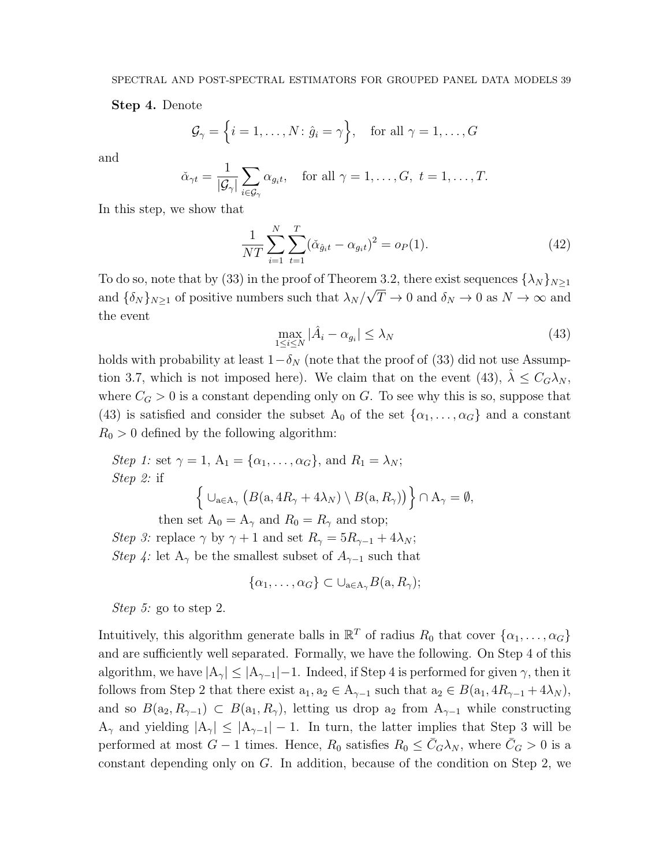Step 4. Denote

$$
\mathcal{G}_{\gamma} = \left\{ i = 1, \dots, N \colon \hat{g}_i = \gamma \right\}, \quad \text{for all } \gamma = 1, \dots, G
$$

and

$$
\check{\alpha}_{\gamma t} = \frac{1}{|\mathcal{G}_{\gamma}|} \sum_{i \in \mathcal{G}_{\gamma}} \alpha_{g_i t}, \quad \text{for all } \gamma = 1, \dots, G, \ t = 1, \dots, T.
$$

In this step, we show that

$$
\frac{1}{NT} \sum_{i=1}^{N} \sum_{t=1}^{T} (\check{\alpha}_{\hat{g}_it} - \alpha_{g_it})^2 = o_P(1).
$$
 (42)

To do so, note that by (33) in the proof of Theorem 3.2, there exist sequences  $\{\lambda_N\}_{N\geq 1}$ and  $\{\delta_N\}_{N\geq 1}$  of positive numbers such that  $\lambda_N/\sqrt{T}\to 0$  and  $\delta_N\to 0$  as  $N\to\infty$  and the event

$$
\max_{1 \le i \le N} |\hat{A}_i - \alpha_{g_i}| \le \lambda_N \tag{43}
$$

holds with probability at least  $1-\delta_N$  (note that the proof of (33) did not use Assumption 3.7, which is not imposed here). We claim that on the event (43),  $\hat{\lambda} \leq C_G \lambda_N$ , where  $C_G > 0$  is a constant depending only on G. To see why this is so, suppose that (43) is satisfied and consider the subset  $A_0$  of the set  $\{\alpha_1, \ldots, \alpha_G\}$  and a constant  $R_0 > 0$  defined by the following algorithm:

Step 1: set 
$$
\gamma = 1
$$
,  $A_1 = \{\alpha_1, ..., \alpha_G\}$ , and  $R_1 = \lambda_N$ ;  
\nStep 2: if  
\n
$$
\left\{ \begin{array}{l} \bigcup_{a \in A_{\gamma}} \left( B(a, 4R_{\gamma} + 4\lambda_N) \setminus B(a, R_{\gamma}) \right) \right\} \cap A_{\gamma} = \emptyset,
$$
\nthen set  $A_0 = A_{\gamma}$  and  $R_0 = R_{\gamma}$  and stop;

Step 3: replace  $\gamma$  by  $\gamma + 1$  and set  $R_{\gamma} = 5R_{\gamma-1} + 4\lambda_N$ ; Step 4: let A<sub>γ</sub> be the smallest subset of  $A_{\gamma-1}$  such that

$$
\{\alpha_1, \ldots, \alpha_G\} \subset \cup_{a \in A_{\gamma}} B(a, R_{\gamma});
$$

Step 5: go to step 2.

Intuitively, this algorithm generate balls in  $\mathbb{R}^T$  of radius  $R_0$  that cover  $\{\alpha_1, \ldots, \alpha_G\}$ and are sufficiently well separated. Formally, we have the following. On Step 4 of this algorithm, we have  $|A_{\gamma}| \leq |A_{\gamma-1}|-1$ . Indeed, if Step 4 is performed for given  $\gamma$ , then it follows from Step 2 that there exist  $a_1, a_2 \in A_{\gamma-1}$  such that  $a_2 \in B(a_1, 4R_{\gamma-1} + 4\lambda_N)$ , and so  $B(a_2, R_{\gamma-1}) \subset B(a_1, R_{\gamma})$ , letting us drop  $a_2$  from  $A_{\gamma-1}$  while constructing  $A_{\gamma}$  and yielding  $|A_{\gamma}| \leq |A_{\gamma-1}| - 1$ . In turn, the latter implies that Step 3 will be performed at most  $G-1$  times. Hence,  $R_0$  satisfies  $R_0 \leq \bar{C}_G \lambda_N$ , where  $\bar{C}_G > 0$  is a constant depending only on  $G$ . In addition, because of the condition on Step 2, we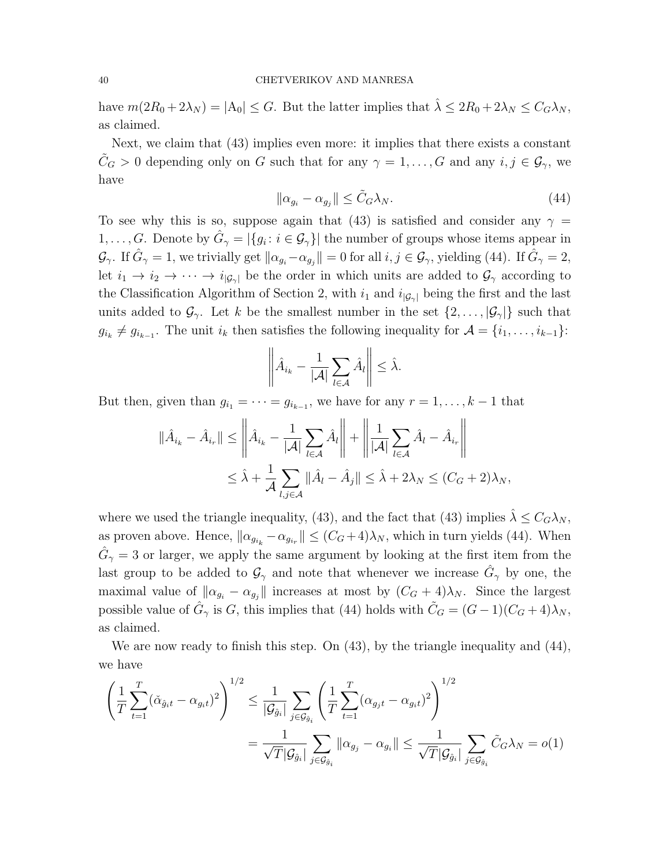have  $m(2R_0 + 2\lambda_N) = |A_0| \leq G$ . But the latter implies that  $\hat{\lambda} \leq 2R_0 + 2\lambda_N \leq C_G\lambda_N$ , as claimed.

Next, we claim that (43) implies even more: it implies that there exists a constant  $\tilde{C}_G > 0$  depending only on G such that for any  $\gamma = 1, \ldots, G$  and any  $i, j \in \mathcal{G}_{\gamma}$ , we have

$$
\|\alpha_{g_i} - \alpha_{g_j}\| \le \tilde{C}_G \lambda_N. \tag{44}
$$

To see why this is so, suppose again that (43) is satisfied and consider any  $\gamma =$  $1, \ldots, G$ . Denote by  $\hat{G}_{\gamma} = |\{g_i : i \in \mathcal{G}_{\gamma}\}|$  the number of groups whose items appear in  $\mathcal{G}_{\gamma}$ . If  $\hat{G}_{\gamma} = 1$ , we trivially get  $\|\alpha_{g_i} - \alpha_{g_j}\| = 0$  for all  $i, j \in \mathcal{G}_{\gamma}$ , yielding (44). If  $\hat{G}_{\gamma} = 2$ , let  $i_1 \to i_2 \to \cdots \to i_{|\mathcal{G}_\gamma|}$  be the order in which units are added to  $\mathcal{G}_\gamma$  according to the Classification Algorithm of Section 2, with  $i_1$  and  $i_{|\mathcal{G}_{\gamma}|}$  being the first and the last units added to  $\mathcal{G}_{\gamma}$ . Let k be the smallest number in the set  $\{2,\ldots,|\mathcal{G}_{\gamma}|\}$  such that  $g_{i_k} \neq g_{i_{k-1}}$ . The unit  $i_k$  then satisfies the following inequality for  $\mathcal{A} = \{i_1, \ldots, i_{k-1}\}$ :

$$
\left\|\hat{A}_{i_k} - \frac{1}{|\mathcal{A}|} \sum_{l \in \mathcal{A}} \hat{A}_l\right\| \leq \hat{\lambda}.
$$

But then, given than  $g_{i_1} = \cdots = g_{i_{k-1}}$ , we have for any  $r = 1, \ldots, k-1$  that

$$
\|\hat{A}_{i_k} - \hat{A}_{i_r}\| \le \left\|\hat{A}_{i_k} - \frac{1}{|\mathcal{A}|} \sum_{l \in \mathcal{A}} \hat{A}_l\right\| + \left\|\frac{1}{|\mathcal{A}|} \sum_{l \in \mathcal{A}} \hat{A}_l - \hat{A}_{i_r}\right\|
$$
  

$$
\le \hat{\lambda} + \frac{1}{\mathcal{A}} \sum_{l,j \in \mathcal{A}} \|\hat{A}_l - \hat{A}_j\| \le \hat{\lambda} + 2\lambda_N \le (C_G + 2)\lambda_N,
$$

where we used the triangle inequality, (43), and the fact that (43) implies  $\hat{\lambda} \leq C_G \lambda_N$ , as proven above. Hence,  $\|\alpha_{g_{i_k}} - \alpha_{g_{i_r}}\| \le (C_G + 4)\lambda_N$ , which in turn yields (44). When  $\hat{G}_{\gamma} = 3$  or larger, we apply the same argument by looking at the first item from the last group to be added to  $\mathcal{G}_{\gamma}$  and note that whenever we increase  $\hat{G}_{\gamma}$  by one, the maximal value of  $\|\alpha_{g_i} - \alpha_{g_j}\|$  increases at most by  $(C_G + 4)\lambda_N$ . Since the largest possible value of  $\hat{G}_{\gamma}$  is G, this implies that (44) holds with  $\tilde{C}_{G} = (G-1)(C_{G}+4)\lambda_{N}$ , as claimed.

We are now ready to finish this step. On  $(43)$ , by the triangle inequality and  $(44)$ , we have

$$
\left(\frac{1}{T}\sum_{t=1}^{T}(\check{\alpha}_{\hat{g}_it} - \alpha_{g_it})^2\right)^{1/2} \le \frac{1}{|\mathcal{G}_{\hat{g}_i}|}\sum_{j\in\mathcal{G}_{\hat{g}_i}}\left(\frac{1}{T}\sum_{t=1}^{T}(\alpha_{g_jt} - \alpha_{g_it})^2\right)^{1/2} \n= \frac{1}{\sqrt{T}|\mathcal{G}_{\hat{g}_i}|}\sum_{j\in\mathcal{G}_{\hat{g}_i}}\|\alpha_{g_j} - \alpha_{g_i}\| \le \frac{1}{\sqrt{T}|\mathcal{G}_{\hat{g}_i}|}\sum_{j\in\mathcal{G}_{\hat{g}_i}}\tilde{C}_G\lambda_N = o(1)
$$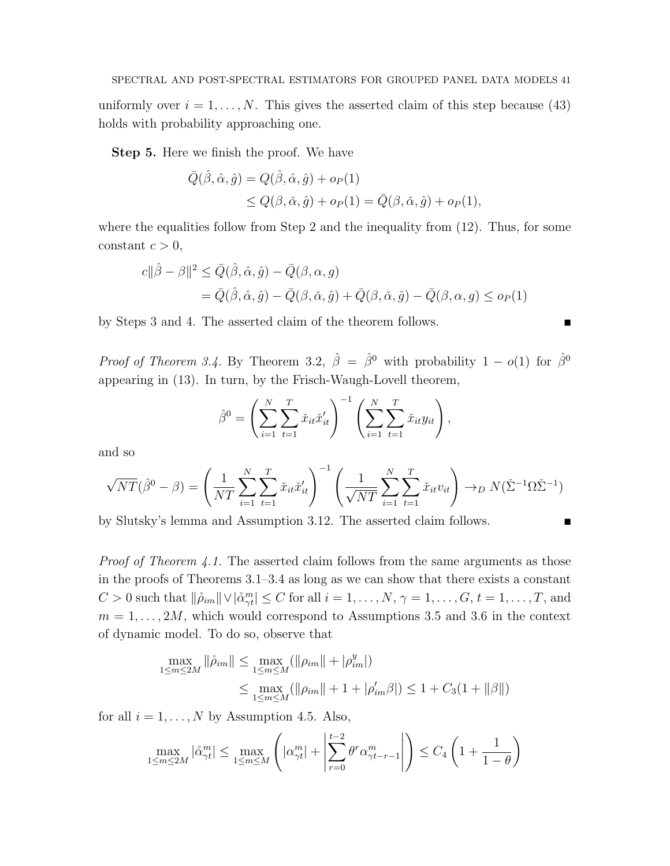uniformly over  $i = 1, ..., N$ . This gives the asserted claim of this step because (43) holds with probability approaching one.

Step 5. Here we finish the proof. We have

$$
\begin{aligned} \bar{Q}(\hat{\beta}, \hat{\alpha}, \hat{g}) &= Q(\hat{\beta}, \hat{\alpha}, \hat{g}) + o_P(1) \\ &\le Q(\beta, \check{\alpha}, \hat{g}) + o_P(1) = \bar{Q}(\beta, \check{\alpha}, \hat{g}) + o_P(1), \end{aligned}
$$

where the equalities follow from Step 2 and the inequality from  $(12)$ . Thus, for some constant  $c > 0$ ,

$$
c||\hat{\beta} - \beta||^2 \leq \bar{Q}(\hat{\beta}, \hat{\alpha}, \hat{g}) - \bar{Q}(\beta, \alpha, g)
$$
  
=  $\bar{Q}(\hat{\beta}, \hat{\alpha}, \hat{g}) - \bar{Q}(\beta, \check{\alpha}, \hat{g}) + \bar{Q}(\beta, \check{\alpha}, \hat{g}) - \bar{Q}(\beta, \alpha, g) \leq o_P(1)$ 

by Steps 3 and 4. The asserted claim of the theorem follows.

*Proof of Theorem 3.4.* By Theorem 3.2,  $\hat{\beta} = \hat{\beta}^0$  with probability  $1 - o(1)$  for  $\hat{\beta}^0$ appearing in (13). In turn, by the Frisch-Waugh-Lovell theorem,

$$
\hat{\beta}^{0} = \left(\sum_{i=1}^{N} \sum_{t=1}^{T} \check{x}_{it} \check{x}'_{it}\right)^{-1} \left(\sum_{i=1}^{N} \sum_{t=1}^{T} \check{x}_{it} y_{it}\right),
$$

and so

$$
\sqrt{NT}(\hat{\beta}^0 - \beta) = \left(\frac{1}{NT} \sum_{i=1}^N \sum_{t=1}^T \check{x}_{it} \check{x}_{it}'\right)^{-1} \left(\frac{1}{\sqrt{NT}} \sum_{i=1}^N \sum_{t=1}^T \check{x}_{it} v_{it}\right) \to_D N(\check{\Sigma}^{-1} \Omega \check{\Sigma}^{-1})
$$

by Slutsky's lemma and Assumption 3.12. The asserted claim follows.

*Proof of Theorem 4.1.* The asserted claim follows from the same arguments as those in the proofs of Theorems 3.1–3.4 as long as we can show that there exists a constant  $C > 0$  such that  $\|\hat{\rho}_{im}\| \vee |\hat{\alpha}_{\gamma t}^{m}| \leq C$  for all  $i = 1, \ldots, N$ ,  $\gamma = 1, \ldots, G$ ,  $t = 1, \ldots, T$ , and  $m = 1, \ldots, 2M$ , which would correspond to Assumptions 3.5 and 3.6 in the context of dynamic model. To do so, observe that

$$
\max_{1 \le m \le 2M} \|\hat{\rho}_{im}\| \le \max_{1 \le m \le M} (\|\rho_{im}\| + |\rho_{im}^y|)
$$
  

$$
\le \max_{1 \le m \le M} (\|\rho_{im}\| + 1 + |\rho_{im}'\beta|) \le 1 + C_3 (1 + \|\beta\|)
$$

for all  $i = 1, \ldots, N$  by Assumption 4.5. Also,

$$
\max_{1 \le m \le 2M} |\mathring{\alpha}_{\gamma t}^m| \le \max_{1 \le m \le M} \left( |\alpha_{\gamma t}^m| + \left| \sum_{r=0}^{t-2} \theta^r \alpha_{\gamma t-r-1}^m \right| \right) \le C_4 \left( 1 + \frac{1}{1-\theta} \right)
$$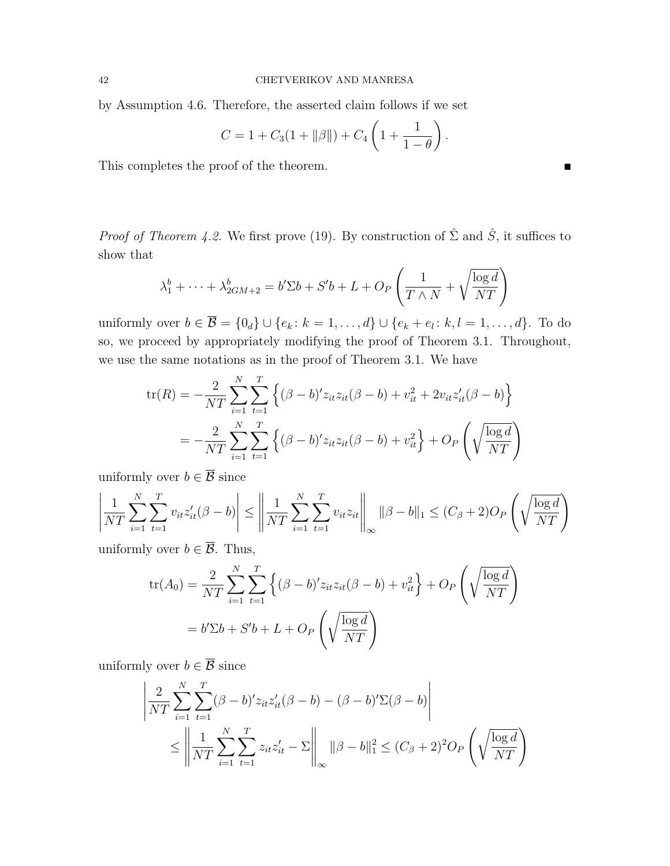by Assumption 4.6. Therefore, the asserted claim follows if we set

$$
C = 1 + C_3(1 + ||\beta||) + C_4\left(1 + \frac{1}{1 - \theta}\right)
$$

.

This completes the proof of the theorem.

*Proof of Theorem 4.2.* We first prove (19). By construction of  $\hat{\Sigma}$  and  $\hat{S}$ , it suffices to show that

$$
\lambda_1^b + \dots + \lambda_{2GM+2}^b = b' \Sigma b + S' b + L + O_P\left(\frac{1}{T \wedge N} + \sqrt{\frac{\log d}{NT}}\right)
$$

uniformly over  $b \in \overline{\mathcal{B}} = \{0_d\} \cup \{e_k : k = 1, \ldots, d\} \cup \{e_k + e_l : k, l = 1, \ldots, d\}$ . To do so, we proceed by appropriately modifying the proof of Theorem 3.1. Throughout, we use the same notations as in the proof of Theorem 3.1. We have

$$
\text{tr}(R) = -\frac{2}{NT} \sum_{i=1}^{N} \sum_{t=1}^{T} \left\{ (\beta - b)' z_{it} z_{it} (\beta - b) + v_{it}^2 + 2v_{it} z_{it}'(\beta - b) \right\}
$$

$$
= -\frac{2}{NT} \sum_{i=1}^{N} \sum_{t=1}^{T} \left\{ (\beta - b)' z_{it} z_{it} (\beta - b) + v_{it}^2 \right\} + O_P\left(\sqrt{\frac{\log d}{NT}}\right)
$$

uniformly over  $b \in \overline{\mathcal{B}}$  since

$$
\left| \frac{1}{NT} \sum_{i=1}^{N} \sum_{t=1}^{T} v_{it} z_{it}'(\beta - b) \right| \le \left\| \frac{1}{NT} \sum_{i=1}^{N} \sum_{t=1}^{T} v_{it} z_{it} \right\|_{\infty} \|\beta - b\|_{1} \le (C_{\beta} + 2)O_{P}\left(\sqrt{\frac{\log d}{NT}}\right)
$$

uniformly over  $b \in \mathcal{B}$ . Thus,

$$
\operatorname{tr}(A_0) = \frac{2}{NT} \sum_{i=1}^N \sum_{t=1}^T \left\{ (\beta - b)' z_{it} z_{it} (\beta - b) + v_{it}^2 \right\} + O_P\left(\sqrt{\frac{\log d}{NT}}\right)
$$

$$
= b' \Sigma b + S' b + L + O_P\left(\sqrt{\frac{\log d}{NT}}\right)
$$

uniformly over  $b \in \overline{\mathcal{B}}$  since

$$
\left| \frac{2}{NT} \sum_{i=1}^{N} \sum_{t=1}^{T} (\beta - b)' z_{it} z'_{it} (\beta - b) - (\beta - b)' \Sigma (\beta - b) \right|
$$
  

$$
\leq \left\| \frac{1}{NT} \sum_{i=1}^{N} \sum_{t=1}^{T} z_{it} z'_{it} - \Sigma \right\|_{\infty} \|\beta - b\|_{1}^{2} \leq (C_{\beta} + 2)^{2} O_{P} \left( \sqrt{\frac{\log d}{NT}} \right)
$$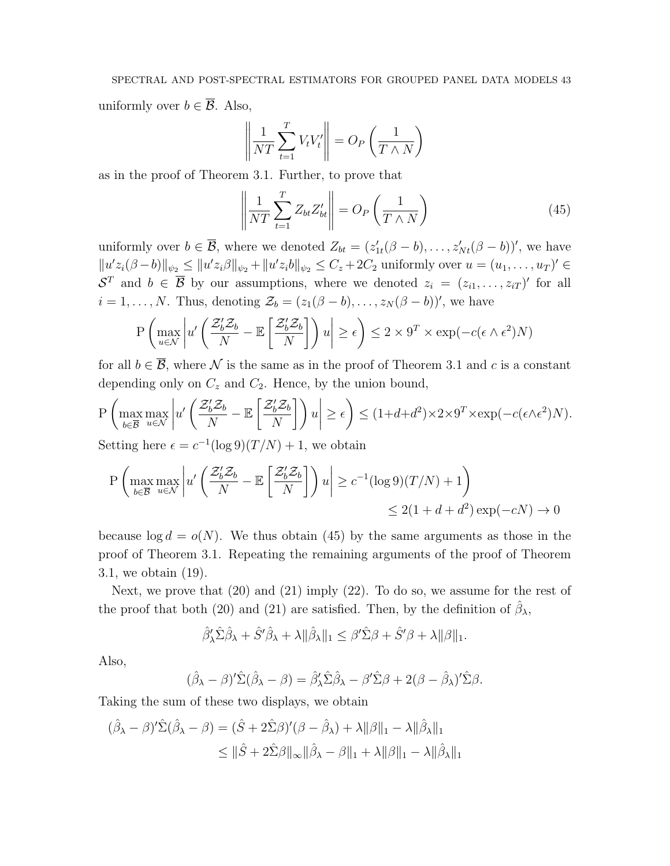uniformly over  $b \in \overline{\mathcal{B}}$ . Also,

$$
\left\| \frac{1}{NT} \sum_{t=1}^{T} V_t V_t' \right\| = O_P\left(\frac{1}{T \wedge N}\right)
$$

as in the proof of Theorem 3.1. Further, to prove that

$$
\left\| \frac{1}{NT} \sum_{t=1}^{T} Z_{bt} Z_{bt}' \right\| = O_P\left(\frac{1}{T \wedge N}\right)
$$
\n(45)

uniformly over  $b \in \overline{\mathcal{B}}$ , where we denoted  $Z_{bt} = (z'_{1t}(\beta - b), \ldots, z'_{Nt}(\beta - b))'$ , we have  $||u'z_i(\beta - b)||_{\psi_2} \le ||u'z_i\beta||_{\psi_2} + ||u'z_ib||_{\psi_2} \le C_z + 2C_2$  uniformly over  $u = (u_1, \dots, u_T)' \in$  $S^T$  and  $b \in \overline{B}$  by our assumptions, where we denoted  $z_i = (z_{i1}, \ldots, z_{iT})'$  for all  $i = 1, \ldots, N$ . Thus, denoting  $\mathcal{Z}_b = (z_1(\beta - b), \ldots, z_N(\beta - b))'$ , we have

$$
\mathbf{P}\left(\max_{u\in\mathcal{N}}\left|u'\left(\frac{\mathcal{Z}_b'\mathcal{Z}_b}{N}-\mathbb{E}\left[\frac{\mathcal{Z}_b'\mathcal{Z}_b}{N}\right]\right)u\right|\geq\epsilon\right)\leq 2\times 9^T\times\exp(-c(\epsilon\wedge\epsilon^2)N)
$$

for all  $b \in \overline{B}$ , where N is the same as in the proof of Theorem 3.1 and c is a constant depending only on  $C_z$  and  $C_2$ . Hence, by the union bound,

$$
\mathbf{P}\left(\max_{b\in\overline{\mathcal{B}}} \max_{u\in\mathcal{N}} \left| u'\left(\frac{\mathcal{Z}_b'\mathcal{Z}_b}{N} - \mathbb{E}\left[\frac{\mathcal{Z}_b'\mathcal{Z}_b}{N}\right]\right)u\right| \geq \epsilon\right) \leq (1+d+d^2)\times 2\times 9^T \times \exp(-c(\epsilon\wedge\epsilon^2)N).
$$

Setting here  $\epsilon = c^{-1} (\log 9)(T/N) + 1$ , we obtain

$$
\mathbf{P}\left(\max_{b\in\overline{\mathcal{B}}} \max_{u\in\mathcal{N}} \left| u'\left(\frac{\mathcal{Z}_b'\mathcal{Z}_b}{N} - \mathbb{E}\left[\frac{\mathcal{Z}_b'\mathcal{Z}_b}{N}\right]\right) u\right| \ge c^{-1}(\log 9)(T/N) + 1\right) \le 2(1+d+d^2)\exp(-cN) \to 0
$$

because  $\log d = o(N)$ . We thus obtain (45) by the same arguments as those in the proof of Theorem 3.1. Repeating the remaining arguments of the proof of Theorem 3.1, we obtain (19).

Next, we prove that (20) and (21) imply (22). To do so, we assume for the rest of the proof that both (20) and (21) are satisfied. Then, by the definition of  $\hat{\beta}_{\lambda}$ ,

$$
\hat{\beta}'_{\lambda}\hat{\Sigma}\hat{\beta}_{\lambda} + \hat{S}'\hat{\beta}_{\lambda} + \lambda \|\hat{\beta}_{\lambda}\|_{1} \leq \beta'\hat{\Sigma}\beta + \hat{S}'\beta + \lambda \|\beta\|_{1}.
$$

Also,

$$
(\hat{\beta}_{\lambda} - \beta)^{\prime} \hat{\Sigma} (\hat{\beta}_{\lambda} - \beta) = \hat{\beta}_{\lambda}^{\prime} \hat{\Sigma} \hat{\beta}_{\lambda} - \beta^{\prime} \hat{\Sigma} \beta + 2(\beta - \hat{\beta}_{\lambda})^{\prime} \hat{\Sigma} \beta.
$$

Taking the sum of these two displays, we obtain

$$
(\hat{\beta}_{\lambda} - \beta)' \hat{\Sigma} (\hat{\beta}_{\lambda} - \beta) = (\hat{S} + 2\hat{\Sigma}\beta)'(\beta - \hat{\beta}_{\lambda}) + \lambda ||\beta||_1 - \lambda ||\hat{\beta}_{\lambda}||_1
$$
  

$$
\leq ||\hat{S} + 2\hat{\Sigma}\beta||_{\infty} ||\hat{\beta}_{\lambda} - \beta||_1 + \lambda ||\beta||_1 - \lambda ||\hat{\beta}_{\lambda}||_1
$$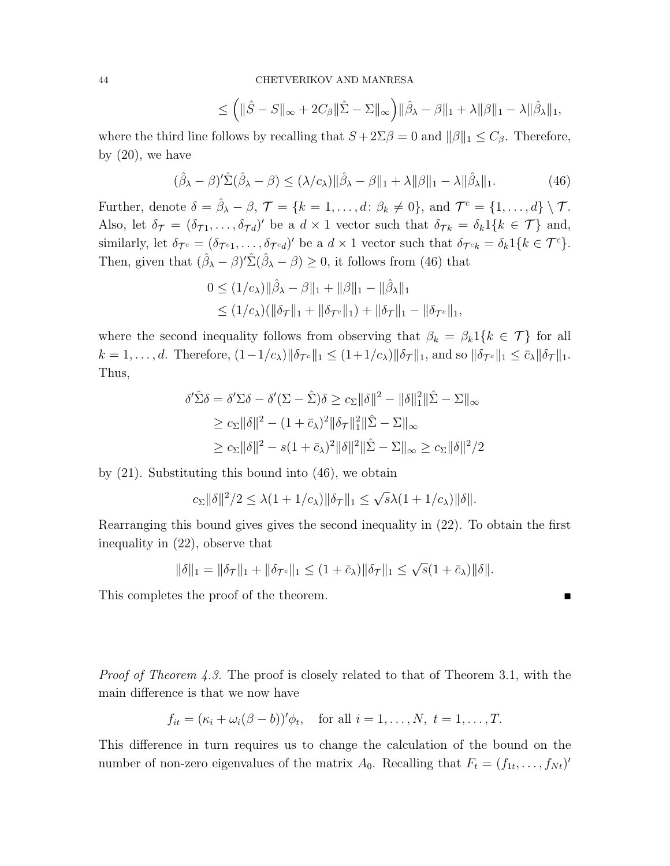$$
\leq \left( \|\hat{S} - S\|_{\infty} + 2C_{\beta} \|\hat{\Sigma} - \Sigma\|_{\infty} \right) \|\hat{\beta}_{\lambda} - \beta\|_{1} + \lambda \|\beta\|_{1} - \lambda \|\hat{\beta}_{\lambda}\|_{1},
$$

where the third line follows by recalling that  $S + 2\Sigma \beta = 0$  and  $\|\beta\|_1 \leq C_{\beta}$ . Therefore, by  $(20)$ , we have

$$
(\hat{\beta}_{\lambda} - \beta)^{\prime} \hat{\Sigma}(\hat{\beta}_{\lambda} - \beta) \le (\lambda/c_{\lambda}) ||\hat{\beta}_{\lambda} - \beta||_{1} + \lambda ||\beta||_{1} - \lambda ||\hat{\beta}_{\lambda}||_{1}.
$$
 (46)

Further, denote  $\delta = \hat{\beta}_{\lambda} - \beta$ ,  $\mathcal{T} = \{k = 1, \ldots, d \colon \beta_k \neq 0\}$ , and  $\mathcal{T}^c = \{1, \ldots, d\} \setminus \mathcal{T}$ . Also, let  $\delta_{\mathcal{T}} = (\delta_{\mathcal{T}1}, \ldots, \delta_{\mathcal{T}d})'$  be a  $d \times 1$  vector such that  $\delta_{\mathcal{T}k} = \delta_k 1\{k \in \mathcal{T}\}\$  and, similarly, let  $\delta_{\mathcal{T}^c} = (\delta_{\mathcal{T}^c 1}, \ldots, \delta_{\mathcal{T}^c d})'$  be a  $d \times 1$  vector such that  $\delta_{\mathcal{T}^c k} = \delta_k 1\{k \in \mathcal{T}^c\}.$ Then, given that  $(\hat{\beta}_{\lambda} - \beta)' \hat{\Sigma} (\hat{\beta}_{\lambda} - \beta) \geq 0$ , it follows from (46) that

$$
0 \le (1/c_{\lambda}) || \hat{\beta}_{\lambda} - \beta ||_1 + ||\beta||_1 - ||\hat{\beta}_{\lambda}||_1
$$
  
 
$$
\le (1/c_{\lambda})(||\delta_{\mathcal{T}}||_1 + ||\delta_{\mathcal{T}^c}||_1) + ||\delta_{\mathcal{T}}||_1 - ||\delta_{\mathcal{T}^c}||_1,
$$

where the second inequality follows from observing that  $\beta_k = \beta_k 1\{k \in \mathcal{T}\}\)$  for all  $k = 1, \ldots, d$ . Therefore,  $(1 - 1/c_{\lambda}) ||\delta_{\mathcal{T}^c}||_1 \le (1 + 1/c_{\lambda}) ||\delta_{\mathcal{T}}||_1$ , and so  $||\delta_{\mathcal{T}^c}||_1 \le \bar{c}_{\lambda} ||\delta_{\mathcal{T}}||_1$ . Thus,

$$
\delta' \hat{\Sigma} \delta = \delta' \Sigma \delta - \delta' (\Sigma - \hat{\Sigma}) \delta \ge c_{\Sigma} \|\delta\|^2 - \|\delta\|^2_{1} \|\hat{\Sigma} - \Sigma\|_{\infty}
$$
  
\n
$$
\ge c_{\Sigma} \|\delta\|^2 - (1 + \bar{c}_{\lambda})^2 \|\delta_{\mathcal{T}}\|^2_{1} \|\hat{\Sigma} - \Sigma\|_{\infty}
$$
  
\n
$$
\ge c_{\Sigma} \|\delta\|^2 - s(1 + \bar{c}_{\lambda})^2 \|\delta\|^2 \|\hat{\Sigma} - \Sigma\|_{\infty} \ge c_{\Sigma} \|\delta\|^2 / 2
$$

by (21). Substituting this bound into (46), we obtain

$$
c_{\Sigma} \|\delta\|^2/2 \leq \lambda (1 + 1/c_{\lambda}) \|\delta_{\mathcal{T}}\|_1 \leq \sqrt{s} \lambda (1 + 1/c_{\lambda}) \|\delta\|.
$$

Rearranging this bound gives gives the second inequality in (22). To obtain the first inequality in (22), observe that

$$
\|\delta\|_{1} = \|\delta_{\mathcal{T}}\|_{1} + \|\delta_{\mathcal{T}^c}\|_{1} \leq (1 + \bar{c}_{\lambda})\|\delta_{\mathcal{T}}\|_{1} \leq \sqrt{s}(1 + \bar{c}_{\lambda})\|\delta\|.
$$

This completes the proof of the theorem.

*Proof of Theorem 4.3.* The proof is closely related to that of Theorem 3.1, with the main difference is that we now have

$$
f_{it} = (\kappa_i + \omega_i(\beta - b))'\phi_t, \quad \text{for all } i = 1, \dots, N, t = 1, \dots, T.
$$

This difference in turn requires us to change the calculation of the bound on the number of non-zero eigenvalues of the matrix  $A_0$ . Recalling that  $F_t = (f_{1t}, \ldots, f_{Nt})'$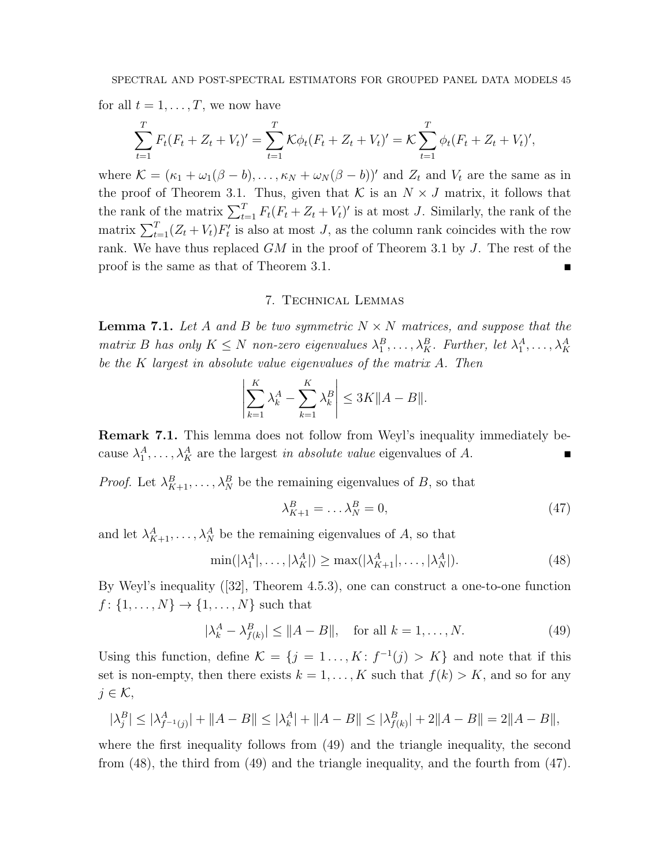for all  $t = 1, \ldots, T$ , we now have

$$
\sum_{t=1}^{T} F_t (F_t + Z_t + V_t)' = \sum_{t=1}^{T} \mathcal{K} \phi_t (F_t + Z_t + V_t)' = \mathcal{K} \sum_{t=1}^{T} \phi_t (F_t + Z_t + V_t)',
$$

where  $\mathcal{K} = (\kappa_1 + \omega_1(\beta - b), \ldots, \kappa_N + \omega_N(\beta - b))'$  and  $Z_t$  and  $V_t$  are the same as in the proof of Theorem 3.1. Thus, given that  $K$  is an  $N \times J$  matrix, it follows that the rank of the matrix  $\sum_{t=1}^{T} F_t(F_t + Z_t + V_t)'$  is at most J. Similarly, the rank of the matrix  $\sum_{t=1}^{T} (Z_t + V_t) F'_t$  is also at most J, as the column rank coincides with the row rank. We have thus replaced  $GM$  in the proof of Theorem 3.1 by  $J$ . The rest of the proof is the same as that of Theorem 3.1.

## 7. Technical Lemmas

**Lemma 7.1.** Let A and B be two symmetric  $N \times N$  matrices, and suppose that the matrix B has only  $K \leq N$  non-zero eigenvalues  $\lambda_1^B, \ldots, \lambda_K^B$ . Further, let  $\lambda_1^A, \ldots, \lambda_K^A$ be the K largest in absolute value eigenvalues of the matrix A. Then

$$
\left|\sum_{k=1}^K \lambda_k^A - \sum_{k=1}^K \lambda_k^B\right| \le 3K \|A - B\|.
$$

Remark 7.1. This lemma does not follow from Weyl's inequality immediately because  $\lambda_1^A, \ldots, \lambda_K^A$  are the largest in absolute value eigenvalues of A.

*Proof.* Let  $\lambda_{K+1}^B, \ldots, \lambda_N^B$  be the remaining eigenvalues of B, so that

$$
\lambda_{K+1}^B = \dots \lambda_N^B = 0,\tag{47}
$$

and let  $\lambda_{K+1}^A, \ldots, \lambda_N^A$  be the remaining eigenvalues of A, so that

$$
\min(|\lambda_1^A|,\ldots,|\lambda_K^A|) \ge \max(|\lambda_{K+1}^A|,\ldots,|\lambda_N^A|). \tag{48}
$$

By Weyl's inequality ([32], Theorem 4.5.3), one can construct a one-to-one function  $f: \{1, ..., N\} \to \{1, ..., N\}$  such that

$$
|\lambda_k^A - \lambda_{f(k)}^B| \le ||A - B||, \text{ for all } k = 1, ..., N. \tag{49}
$$

Using this function, define  $\mathcal{K} = \{j = 1, ..., K : f^{-1}(j) > K\}$  and note that if this set is non-empty, then there exists  $k = 1, ..., K$  such that  $f(k) > K$ , and so for any  $j \in \mathcal{K}$ ,

$$
|\lambda_j^B| \le |\lambda_{f^{-1}(j)}^A| + \|A - B\| \le |\lambda_k^A| + \|A - B\| \le |\lambda_{f(k)}^B| + 2\|A - B\| = 2\|A - B\|,
$$

where the first inequality follows from (49) and the triangle inequality, the second from (48), the third from (49) and the triangle inequality, and the fourth from (47).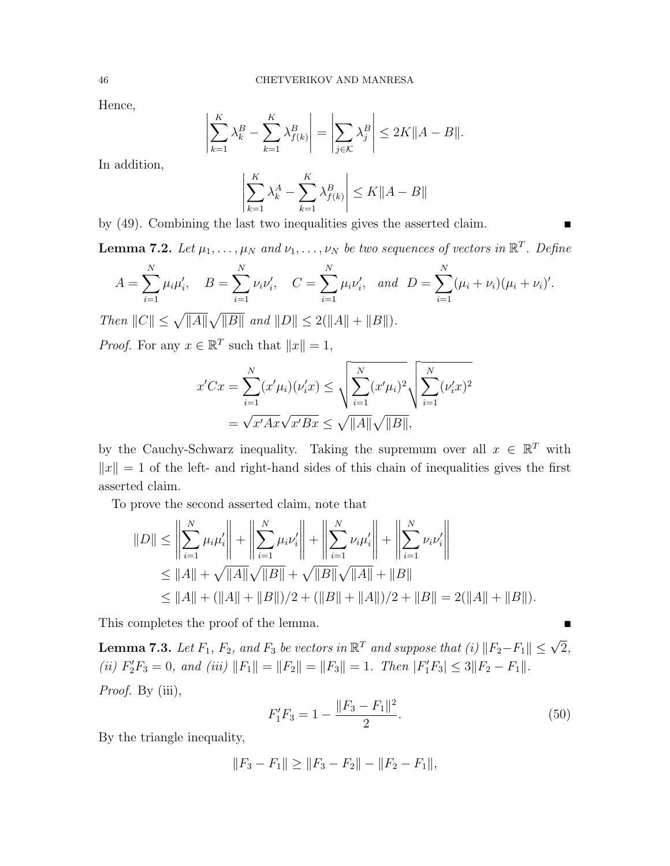Hence,

$$
\left|\sum_{k=1}^K \lambda_k^B - \sum_{k=1}^K \lambda_{f(k)}^B\right| = \left|\sum_{j\in\mathcal{K}} \lambda_j^B\right| \leq 2K||A - B||.
$$

In addition,

$$
\left| \sum_{k=1}^{K} \lambda_k^A - \sum_{k=1}^{K} \lambda_{f(k)}^B \right| \le K \|A - B\|
$$

by (49). Combining the last two inequalities gives the asserted claim.

**Lemma 7.2.** Let  $\mu_1, \ldots, \mu_N$  and  $\nu_1, \ldots, \nu_N$  be two sequences of vectors in  $\mathbb{R}^T$ . Define

$$
A = \sum_{i=1}^{N} \mu_i \mu'_i, \quad B = \sum_{i=1}^{N} \nu_i \nu'_i, \quad C = \sum_{i=1}^{N} \mu_i \nu'_i, \text{ and } D = \sum_{i=1}^{N} (\mu_i + \nu_i) (\mu_i + \nu_i)'.
$$

Then  $||C|| \le \sqrt{||A||} \sqrt{||B||}$  and  $||D|| \le 2(||A|| + ||B||)$ .

*Proof.* For any  $x \in \mathbb{R}^T$  such that  $||x|| = 1$ ,

$$
x'Cx = \sum_{i=1}^{N} (x'\mu_i)(\nu'_ix) \le \sqrt{\sum_{i=1}^{N} (x'\mu_i)^2} \sqrt{\sum_{i=1}^{N} (\nu'_ix)^2}
$$
  
=  $\sqrt{x'Ax} \sqrt{x'Bx} \le \sqrt{\|A\|} \sqrt{\|B\|},$ 

by the Cauchy-Schwarz inequality. Taking the supremum over all  $x \in \mathbb{R}^T$  with  $||x|| = 1$  of the left- and right-hand sides of this chain of inequalities gives the first asserted claim.

To prove the second asserted claim, note that

$$
||D|| \le \left\| \sum_{i=1}^{N} \mu_i \mu'_i \right\| + \left\| \sum_{i=1}^{N} \mu_i \nu'_i \right\| + \left\| \sum_{i=1}^{N} \nu_i \mu'_i \right\| + \left\| \sum_{i=1}^{N} \nu_i \nu'_i \right\|
$$
  
\n
$$
\le ||A|| + \sqrt{||A||} \sqrt{||B||} + \sqrt{||B||} \sqrt{||A||} + ||B||
$$
  
\n
$$
\le ||A|| + (||A|| + ||B||)/2 + (||B|| + ||A||)/2 + ||B|| = 2(||A|| + ||B||).
$$

This completes the proof of the lemma.

**Lemma 7.3.** Let  $F_1$ ,  $F_2$ , and  $F_3$  be vectors in  $\mathbb{R}^T$  and suppose that (i)  $||F_2-F_1|| \leq \sqrt{2}$ , (ii)  $F'_2F_3 = 0$ , and (iii)  $||F_1|| = ||F_2|| = ||F_3|| = 1$ . Then  $|F'_1F_3| \le 3||F_2 - F_1||$ . Proof. By (iii), 2

$$
F_1'F_3 = 1 - \frac{\|F_3 - F_1\|^2}{2}.\tag{50}
$$

By the triangle inequality,

$$
||F_3 - F_1|| \ge ||F_3 - F_2|| - ||F_2 - F_1||,
$$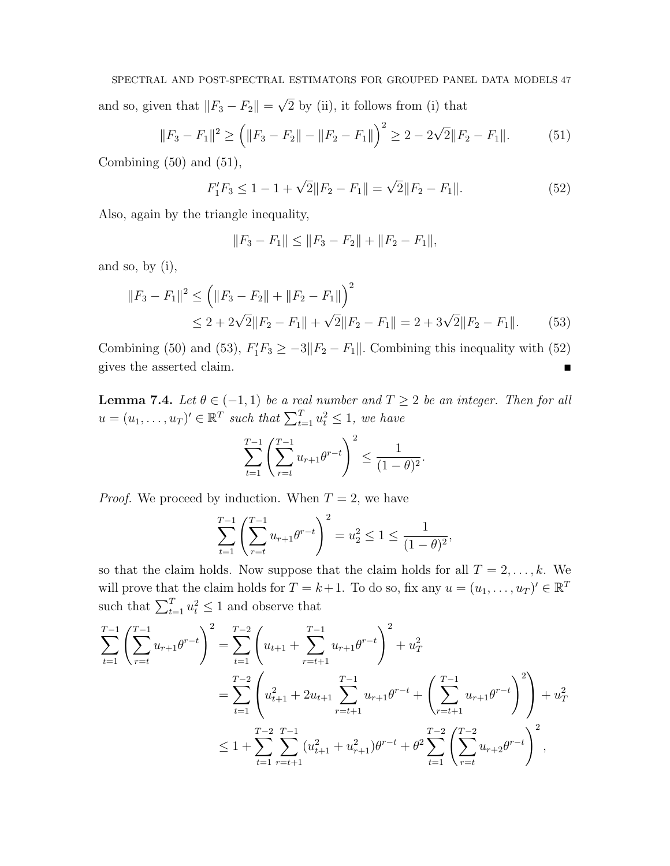SPECTRAL AND POST-SPECTRAL ESTIMATORS FOR GROUPED PANEL DATA MODELS 47 and so, given that  $||F_3 - F_2|| =$ √ 2 by (ii), it follows from (i) that

$$
||F_3 - F_1||^2 \ge (||F_3 - F_2|| - ||F_2 - F_1||)^2 \ge 2 - 2\sqrt{2}||F_2 - F_1||.
$$
 (51)

Combining  $(50)$  and  $(51)$ ,

$$
F_1'F_3 \le 1 - 1 + \sqrt{2} \|F_2 - F_1\| = \sqrt{2} \|F_2 - F_1\|.
$$
\n(52)

Also, again by the triangle inequality,

$$
||F_3 - F_1|| \le ||F_3 - F_2|| + ||F_2 - F_1||,
$$

and so, by (i),

$$
||F_3 - F_1||^2 \le (||F_3 - F_2|| + ||F_2 - F_1||)^2
$$
  
\n
$$
\le 2 + 2\sqrt{2}||F_2 - F_1|| + \sqrt{2}||F_2 - F_1|| = 2 + 3\sqrt{2}||F_2 - F_1||. \tag{53}
$$

Combining (50) and (53),  $F_1'F_3 \ge -3||F_2 - F_1||$ . Combining this inequality with (52) gives the asserted claim.

**Lemma 7.4.** Let  $\theta \in (-1, 1)$  be a real number and  $T \geq 2$  be an integer. Then for all  $u = (u_1, \ldots, u_T)' \in \mathbb{R}^T$  such that  $\sum_{t=1}^T u_t^2 \leq 1$ , we have

$$
\sum_{t=1}^{T-1} \left( \sum_{r=t}^{T-1} u_{r+1} \theta^{r-t} \right)^2 \le \frac{1}{(1-\theta)^2}.
$$

*Proof.* We proceed by induction. When  $T = 2$ , we have

$$
\sum_{t=1}^{T-1} \left( \sum_{r=t}^{T-1} u_{r+1} \theta^{r-t} \right)^2 = u_2^2 \le 1 \le \frac{1}{(1-\theta)^2},
$$

so that the claim holds. Now suppose that the claim holds for all  $T = 2, \ldots, k$ . We will prove that the claim holds for  $T = k+1$ . To do so, fix any  $u = (u_1, \ldots, u_T)^t \in \mathbb{R}^T$ such that  $\sum_{t=1}^{T} u_t^2 \leq 1$  and observe that

$$
\sum_{t=1}^{T-1} \left( \sum_{r=t}^{T-1} u_{r+1} \theta^{r-t} \right)^2 = \sum_{t=1}^{T-2} \left( u_{t+1} + \sum_{r=t+1}^{T-1} u_{r+1} \theta^{r-t} \right)^2 + u_T^2
$$
  

$$
= \sum_{t=1}^{T-2} \left( u_{t+1}^2 + 2u_{t+1} \sum_{r=t+1}^{T-1} u_{r+1} \theta^{r-t} + \left( \sum_{r=t+1}^{T-1} u_{r+1} \theta^{r-t} \right)^2 \right) + u_T^2
$$
  

$$
\leq 1 + \sum_{t=1}^{T-2} \sum_{r=t+1}^{T-1} (u_{t+1}^2 + u_{r+1}^2) \theta^{r-t} + \theta^2 \sum_{t=1}^{T-2} \left( \sum_{r=t}^{T-2} u_{r+2} \theta^{r-t} \right)^2,
$$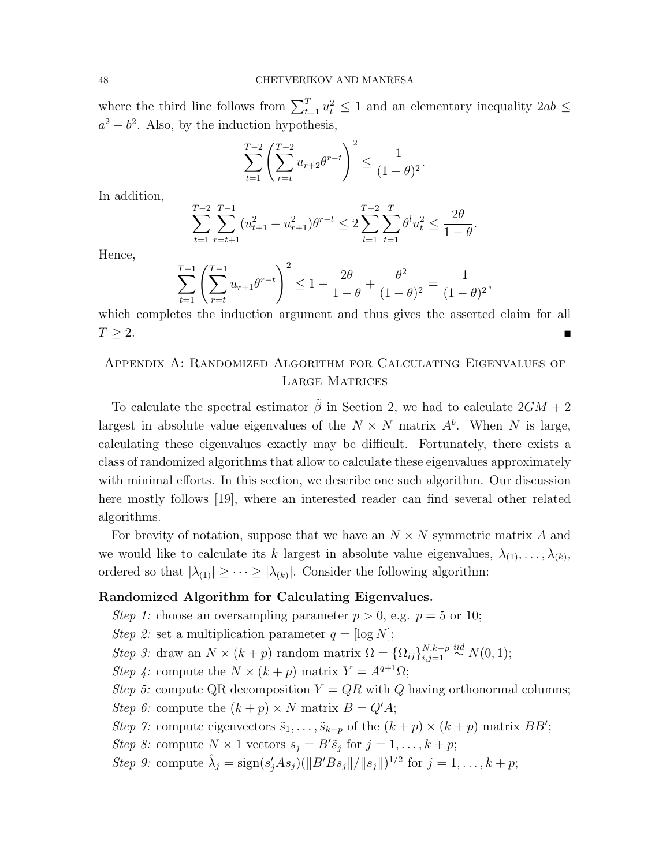where the third line follows from  $\sum_{t=1}^{T} u_t^2 \leq 1$  and an elementary inequality  $2ab \leq$  $a^2 + b^2$ . Also, by the induction hypothesis,

$$
\sum_{t=1}^{T-2} \left( \sum_{r=t}^{T-2} u_{r+2} \theta^{r-t} \right)^2 \leq \frac{1}{(1-\theta)^2}.
$$

In addition,

$$
\sum_{t=1}^{T-2} \sum_{r=t+1}^{T-1} (u_{t+1}^2 + u_{r+1}^2) \theta^{r-t} \le 2 \sum_{l=1}^{T-2} \sum_{t=1}^T \theta^l u_t^2 \le \frac{2\theta}{1-\theta}.
$$

Hence,

$$
\sum_{t=1}^{T-1} \left( \sum_{r=t}^{T-1} u_{r+1} \theta^{r-t} \right)^2 \le 1 + \frac{2\theta}{1-\theta} + \frac{\theta^2}{(1-\theta)^2} = \frac{1}{(1-\theta)^2},
$$

which completes the induction argument and thus gives the asserted claim for all  $T \geq 2$ .

# Appendix A: Randomized Algorithm for Calculating Eigenvalues of Large Matrices

To calculate the spectral estimator  $\tilde{\beta}$  in Section 2, we had to calculate  $2GM + 2$ largest in absolute value eigenvalues of the  $N \times N$  matrix  $A^b$ . When N is large, calculating these eigenvalues exactly may be difficult. Fortunately, there exists a class of randomized algorithms that allow to calculate these eigenvalues approximately with minimal efforts. In this section, we describe one such algorithm. Our discussion here mostly follows [19], where an interested reader can find several other related algorithms.

For brevity of notation, suppose that we have an  $N \times N$  symmetric matrix A and we would like to calculate its k largest in absolute value eigenvalues,  $\lambda_{(1)}, \ldots, \lambda_{(k)}$ , ordered so that  $|\lambda_{(1)}| \geq \cdots \geq |\lambda_{(k)}|$ . Consider the following algorithm:

## Randomized Algorithm for Calculating Eigenvalues.

- Step 1: choose an oversampling parameter  $p > 0$ , e.g.  $p = 5$  or 10;
- Step 2: set a multiplication parameter  $q = [\log N];$
- Step 3: draw an  $N \times (k+p)$  random matrix  $\Omega = {\Omega_{ij}}_{i,j=1}^{N,k+p}$  $\sum_{i,j=1}^{N,k+p} \stackrel{iid}{\sim} N(0,1);$
- Step 4: compute the  $N \times (k+p)$  matrix  $Y = A^{q+1}\Omega$ ;
- Step 5: compute QR decomposition  $Y = QR$  with Q having orthonormal columns;
- Step 6: compute the  $(k+p) \times N$  matrix  $B = Q'A$ ;
- Step 7: compute eigenvectors  $\tilde{s}_1, \ldots, \tilde{s}_{k+p}$  of the  $(k+p) \times (k+p)$  matrix BB';
- Step 8: compute  $N \times 1$  vectors  $s_j = B'\tilde{s}_j$  for  $j = 1, ..., k + p$ ;
- Step 9: compute  $\hat{\lambda}_j = \text{sign}(s'_jAs_j)(\|B'Bs_j\|/\|s_j\|)^{1/2}$  for  $j = 1, ..., k + p$ ;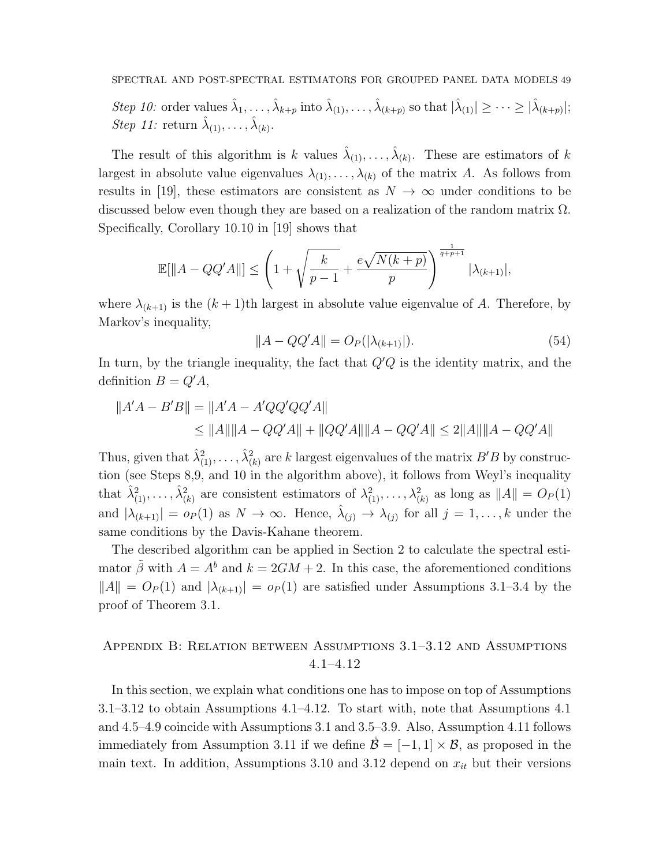Step 10: order values  $\hat{\lambda}_1, \ldots, \hat{\lambda}_{k+p}$  into  $\hat{\lambda}_{(1)}, \ldots, \hat{\lambda}_{(k+p)}$  so that  $|\hat{\lambda}_{(1)}| \geq \cdots \geq |\hat{\lambda}_{(k+p)}|$ ; *Step 11:* return  $\hat{\lambda}_{(1)}, \ldots, \hat{\lambda}_{(k)}$ .

The result of this algorithm is k values  $\hat{\lambda}_{(1)}, \ldots, \hat{\lambda}_{(k)}$ . These are estimators of k largest in absolute value eigenvalues  $\lambda_{(1)}, \ldots, \lambda_{(k)}$  of the matrix A. As follows from results in [19], these estimators are consistent as  $N \to \infty$  under conditions to be discussed below even though they are based on a realization of the random matrix  $\Omega$ . Specifically, Corollary 10.10 in [19] shows that

$$
\mathbb{E}[\|A - QQ'A\|] \le \left(1 + \sqrt{\frac{k}{p-1}} + \frac{e\sqrt{N(k+p)}}{p}\right)^{\frac{1}{q+p+1}} |\lambda_{(k+1)}|,
$$

where  $\lambda_{(k+1)}$  is the  $(k+1)$ th largest in absolute value eigenvalue of A. Therefore, by Markov's inequality,

$$
||A - QQ'A|| = O_P(|\lambda_{(k+1)}|). \tag{54}
$$

In turn, by the triangle inequality, the fact that  $Q'Q$  is the identity matrix, and the definition  $B = Q'A$ ,

$$
||A'A - B'B|| = ||A'A - A'QQ'QQ'A||
$$
  
\n
$$
\le ||A|| ||A - QQ'A|| + ||QQ'A|| ||A - QQ'A|| \le 2||A|| ||A - QQ'A||
$$

Thus, given that  $\hat{\lambda}_{(1)}^2, \ldots, \hat{\lambda}_{(k)}^2$  are k largest eigenvalues of the matrix  $B'B$  by construction (see Steps 8,9, and 10 in the algorithm above), it follows from Weyl's inequality that  $\hat{\lambda}_{(1)}^2, \ldots, \hat{\lambda}_{(k)}^2$  are consistent estimators of  $\lambda_{(1)}^2, \ldots, \lambda_{(k)}^2$  as long as  $||A|| = O_P(1)$ and  $|\lambda_{(k+1)}| = o_P(1)$  as  $N \to \infty$ . Hence,  $\hat{\lambda}_{(j)} \to \lambda_{(j)}$  for all  $j = 1, ..., k$  under the same conditions by the Davis-Kahane theorem.

The described algorithm can be applied in Section 2 to calculate the spectral estimator  $\tilde{\beta}$  with  $A = A^b$  and  $k = 2GM + 2$ . In this case, the aforementioned conditions  $||A|| = O_P(1)$  and  $|\lambda_{(k+1)}| = o_P(1)$  are satisfied under Assumptions 3.1–3.4 by the proof of Theorem 3.1.

## Appendix B: Relation between Assumptions 3.1–3.12 and Assumptions 4.1–4.12

In this section, we explain what conditions one has to impose on top of Assumptions 3.1–3.12 to obtain Assumptions 4.1–4.12. To start with, note that Assumptions 4.1 and 4.5–4.9 coincide with Assumptions 3.1 and 3.5–3.9. Also, Assumption 4.11 follows immediately from Assumption 3.11 if we define  $\mathcal{B} = [-1, 1] \times \mathcal{B}$ , as proposed in the main text. In addition, Assumptions 3.10 and 3.12 depend on  $x_{it}$  but their versions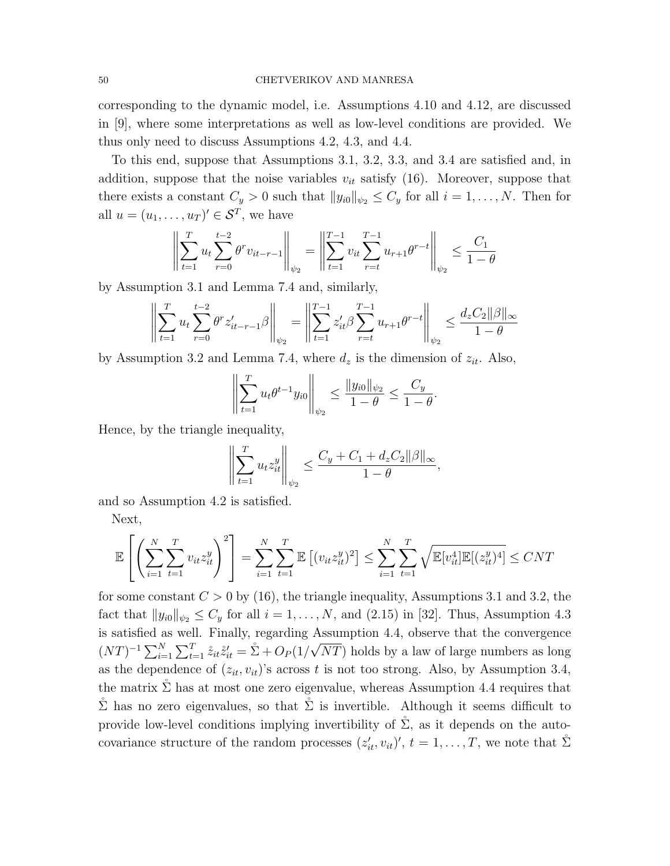corresponding to the dynamic model, i.e. Assumptions 4.10 and 4.12, are discussed in [9], where some interpretations as well as low-level conditions are provided. We thus only need to discuss Assumptions 4.2, 4.3, and 4.4.

To this end, suppose that Assumptions 3.1, 3.2, 3.3, and 3.4 are satisfied and, in addition, suppose that the noise variables  $v_{it}$  satisfy (16). Moreover, suppose that there exists a constant  $C_y > 0$  such that  $||y_{i0}||_{\psi_2} \leq C_y$  for all  $i = 1, ..., N$ . Then for all  $u = (u_1, \ldots, u_T)^t \in \mathcal{S}^T$ , we have

$$
\left\| \sum_{t=1}^T u_t \sum_{r=0}^{t-2} \theta^r v_{it-r-1} \right\|_{\psi_2} = \left\| \sum_{t=1}^{T-1} v_{it} \sum_{r=t}^{T-1} u_{r+1} \theta^{r-t} \right\|_{\psi_2} \le \frac{C_1}{1-\theta}
$$

by Assumption 3.1 and Lemma 7.4 and, similarly,

$$
\left\| \sum_{t=1}^T u_t \sum_{r=0}^{t-2} \theta^r z_{it-r-1}' \beta \right\|_{\psi_2} = \left\| \sum_{t=1}^{T-1} z_{it}' \beta \sum_{r=t}^{T-1} u_{r+1} \theta^{r-t} \right\|_{\psi_2} \le \frac{d_z C_2 ||\beta||_{\infty}}{1-\theta}
$$

by Assumption 3.2 and Lemma 7.4, where  $d_z$  is the dimension of  $z_{it}$ . Also,

$$
\left\| \sum_{t=1}^T u_t \theta^{t-1} y_{i0} \right\|_{\psi_2} \le \frac{\|y_{i0}\|_{\psi_2}}{1-\theta} \le \frac{C_y}{1-\theta}.
$$

Hence, by the triangle inequality,

$$
\left\| \sum_{t=1}^T u_t z_{it}^y \right\|_{\psi_2} \le \frac{C_y + C_1 + d_z C_2 ||\beta||_{\infty}}{1 - \theta},
$$

and so Assumption 4.2 is satisfied.

Next,

$$
\mathbb{E}\left[\left(\sum_{i=1}^N\sum_{t=1}^T v_{it}z_{it}^y\right)^2\right] = \sum_{i=1}^N\sum_{t=1}^T\mathbb{E}\left[(v_{it}z_{it}^y)^2\right] \le \sum_{i=1}^N\sum_{t=1}^T\sqrt{\mathbb{E}[v_{it}^4]\mathbb{E}[(z_{it}^y)^4]} \le CNT
$$

for some constant  $C > 0$  by (16), the triangle inequality, Assumptions 3.1 and 3.2, the fact that  $||y_{i0}||_{\psi_2} \leq C_y$  for all  $i = 1, ..., N$ , and (2.15) in [32]. Thus, Assumption 4.3 is satisfied as well. Finally, regarding Assumption 4.4, observe that the convergence  $(NT)^{-1} \sum_{i=1}^{N} \sum_{t=1}^{T} \dot{z}_{it} \dot{z}'_{it} = \dot{\Sigma} + O_P(1/\sqrt{NT})$  holds by a law of large numbers as long as the dependence of  $(z_{it}, v_{it})$ 's across t is not too strong. Also, by Assumption 3.4, the matrix  $\Sigma$  has at most one zero eigenvalue, whereas Assumption 4.4 requires that  $\hat{\Sigma}$  has no zero eigenvalues, so that  $\hat{\Sigma}$  is invertible. Although it seems difficult to provide low-level conditions implying invertibility of  $\Sigma$ , as it depends on the autocovariance structure of the random processes  $(z'_{it}, v_{it})'$ ,  $t = 1, \ldots, T$ , we note that  $\hat{\Sigma}$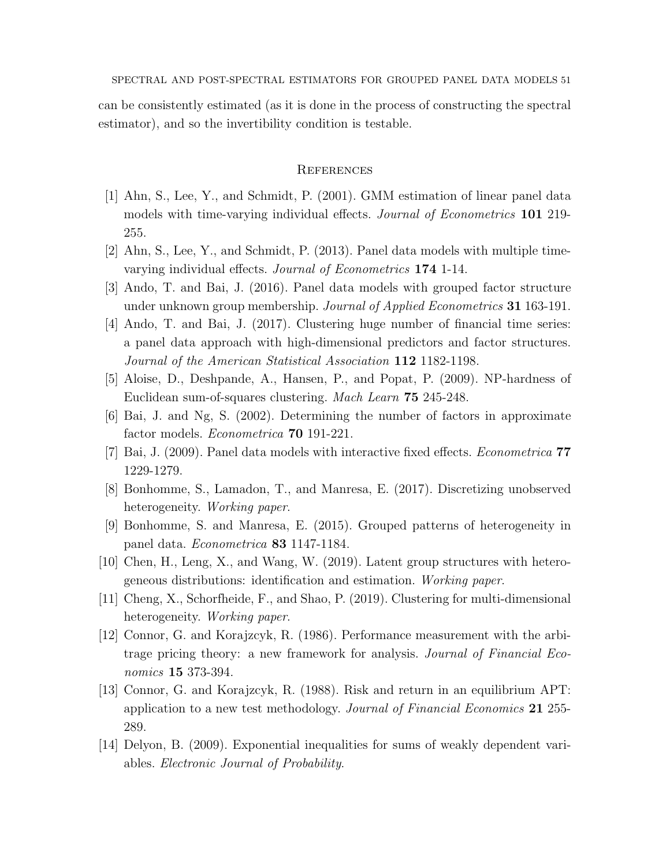SPECTRAL AND POST-SPECTRAL ESTIMATORS FOR GROUPED PANEL DATA MODELS 51

can be consistently estimated (as it is done in the process of constructing the spectral estimator), and so the invertibility condition is testable.

## **REFERENCES**

- [1] Ahn, S., Lee, Y., and Schmidt, P. (2001). GMM estimation of linear panel data models with time-varying individual effects. Journal of Econometrics 101 219- 255.
- [2] Ahn, S., Lee, Y., and Schmidt, P. (2013). Panel data models with multiple timevarying individual effects. Journal of Econometrics 174 1-14.
- [3] Ando, T. and Bai, J. (2016). Panel data models with grouped factor structure under unknown group membership. Journal of Applied Econometrics 31 163-191.
- [4] Ando, T. and Bai, J. (2017). Clustering huge number of financial time series: a panel data approach with high-dimensional predictors and factor structures. Journal of the American Statistical Association 112 1182-1198.
- [5] Aloise, D., Deshpande, A., Hansen, P., and Popat, P. (2009). NP-hardness of Euclidean sum-of-squares clustering. Mach Learn 75 245-248.
- [6] Bai, J. and Ng, S. (2002). Determining the number of factors in approximate factor models. Econometrica 70 191-221.
- [7] Bai, J. (2009). Panel data models with interactive fixed effects. Econometrica 77 1229-1279.
- [8] Bonhomme, S., Lamadon, T., and Manresa, E. (2017). Discretizing unobserved heterogeneity. Working paper.
- [9] Bonhomme, S. and Manresa, E. (2015). Grouped patterns of heterogeneity in panel data. Econometrica 83 1147-1184.
- [10] Chen, H., Leng, X., and Wang, W. (2019). Latent group structures with heterogeneous distributions: identification and estimation. Working paper.
- [11] Cheng, X., Schorfheide, F., and Shao, P. (2019). Clustering for multi-dimensional heterogeneity. Working paper.
- [12] Connor, G. and Korajzcyk, R. (1986). Performance measurement with the arbitrage pricing theory: a new framework for analysis. Journal of Financial Economics **15** 373-394.
- [13] Connor, G. and Korajzcyk, R. (1988). Risk and return in an equilibrium APT: application to a new test methodology. Journal of Financial Economics 21 255- 289.
- [14] Delyon, B. (2009). Exponential inequalities for sums of weakly dependent variables. Electronic Journal of Probability.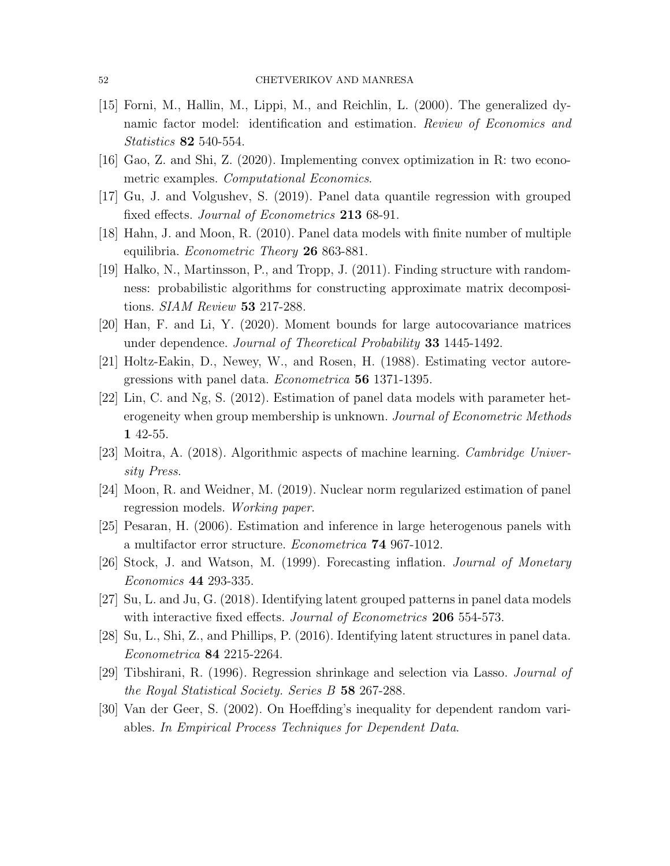- [15] Forni, M., Hallin, M., Lippi, M., and Reichlin, L. (2000). The generalized dynamic factor model: identification and estimation. Review of Economics and Statistics 82 540-554.
- [16] Gao, Z. and Shi, Z. (2020). Implementing convex optimization in R: two econometric examples. Computational Economics.
- [17] Gu, J. and Volgushev, S. (2019). Panel data quantile regression with grouped fixed effects. Journal of Econometrics 213 68-91.
- [18] Hahn, J. and Moon, R. (2010). Panel data models with finite number of multiple equilibria. Econometric Theory 26 863-881.
- [19] Halko, N., Martinsson, P., and Tropp, J. (2011). Finding structure with randomness: probabilistic algorithms for constructing approximate matrix decompositions. SIAM Review 53 217-288.
- [20] Han, F. and Li, Y. (2020). Moment bounds for large autocovariance matrices under dependence. Journal of Theoretical Probability 33 1445-1492.
- [21] Holtz-Eakin, D., Newey, W., and Rosen, H. (1988). Estimating vector autoregressions with panel data. Econometrica 56 1371-1395.
- [22] Lin, C. and Ng, S. (2012). Estimation of panel data models with parameter heterogeneity when group membership is unknown. Journal of Econometric Methods 1 42-55.
- [23] Moitra, A. (2018). Algorithmic aspects of machine learning. Cambridge University Press.
- [24] Moon, R. and Weidner, M. (2019). Nuclear norm regularized estimation of panel regression models. Working paper.
- [25] Pesaran, H. (2006). Estimation and inference in large heterogenous panels with a multifactor error structure. Econometrica 74 967-1012.
- [26] Stock, J. and Watson, M. (1999). Forecasting inflation. Journal of Monetary Economics 44 293-335.
- [27] Su, L. and Ju, G. (2018). Identifying latent grouped patterns in panel data models with interactive fixed effects. *Journal of Econometrics* 206 554-573.
- [28] Su, L., Shi, Z., and Phillips, P. (2016). Identifying latent structures in panel data. Econometrica 84 2215-2264.
- [29] Tibshirani, R. (1996). Regression shrinkage and selection via Lasso. Journal of the Royal Statistical Society. Series B 58 267-288.
- [30] Van der Geer, S. (2002). On Hoeffding's inequality for dependent random variables. In Empirical Process Techniques for Dependent Data.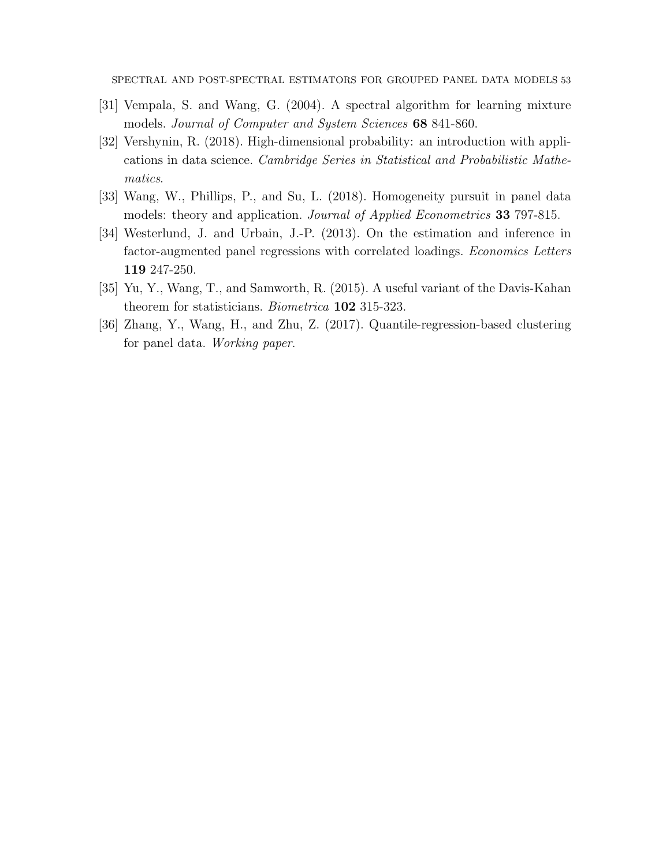SPECTRAL AND POST-SPECTRAL ESTIMATORS FOR GROUPED PANEL DATA MODELS 53

- [31] Vempala, S. and Wang, G. (2004). A spectral algorithm for learning mixture models. Journal of Computer and System Sciences 68 841-860.
- [32] Vershynin, R. (2018). High-dimensional probability: an introduction with applications in data science. Cambridge Series in Statistical and Probabilistic Mathematics.
- [33] Wang, W., Phillips, P., and Su, L. (2018). Homogeneity pursuit in panel data models: theory and application. Journal of Applied Econometrics 33 797-815.
- [34] Westerlund, J. and Urbain, J.-P. (2013). On the estimation and inference in factor-augmented panel regressions with correlated loadings. Economics Letters 119 247-250.
- [35] Yu, Y., Wang, T., and Samworth, R. (2015). A useful variant of the Davis-Kahan theorem for statisticians. Biometrica 102 315-323.
- [36] Zhang, Y., Wang, H., and Zhu, Z. (2017). Quantile-regression-based clustering for panel data. Working paper.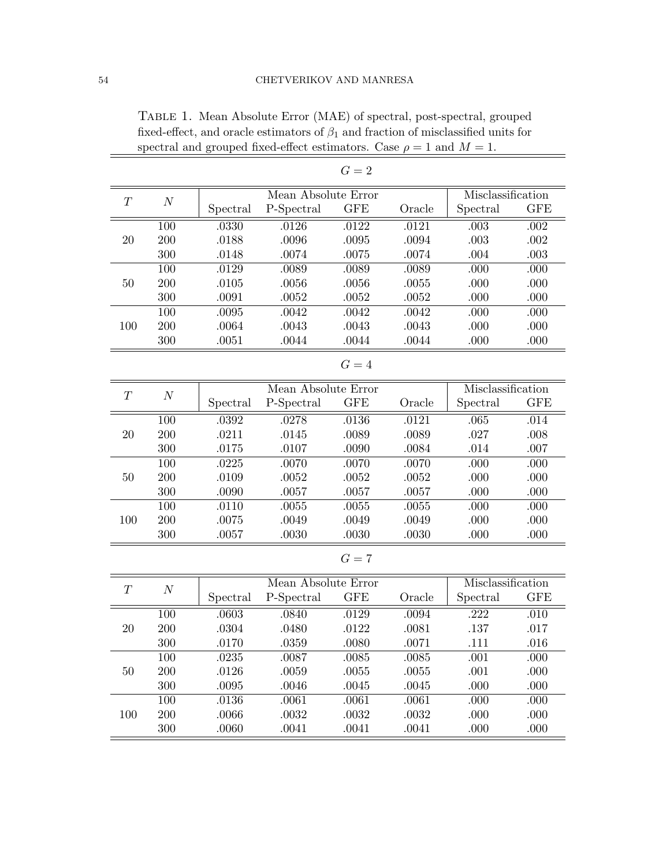|        |                  |           |                     | $G=2$      |                   |                   |            |  |
|--------|------------------|-----------|---------------------|------------|-------------------|-------------------|------------|--|
|        |                  |           | Mean Absolute Error |            | Misclassification |                   |            |  |
| T      | $\cal N$         | Spectral  | P-Spectral          | <b>GFE</b> | Oracle            | Spectral          | <b>GFE</b> |  |
|        | 100              | .0330     | .0126               | .0122      | .0121             | .003              | .002       |  |
| 20     | 200              | .0188     | .0096               | .0095      | .0094             | .003              | .002       |  |
|        | 300              | .0148     | .0074               | .0075      | .0074             | .004              | .003       |  |
|        | 100              | .0129     | .0089               | .0089      | .0089             | .000              | .000       |  |
| $50\,$ | 200              | .0105     | .0056               | .0056      | .0055             | .000              | .000       |  |
|        | 300              | .0091     | .0052               | .0052      | .0052             | .000              | .000       |  |
|        | 100              | .0095     | .0042               | .0042      | .0042             | .000              | .000       |  |
| 100    | 200              | .0064     | .0043               | .0043      | .0043             | .000              | .000       |  |
|        | 300              | .0051     | .0044               | $.0044\,$  | .0044             | .000              | .000       |  |
|        |                  |           |                     | $G=4$      |                   |                   |            |  |
|        |                  |           | Mean Absolute Error |            |                   | Misclassification |            |  |
| T      | $\boldsymbol{N}$ | Spectral  | P-Spectral          | <b>GFE</b> | Oracle            | Spectral          | <b>GFE</b> |  |
|        | 100              | .0392     | .0278               | .0136      | .0121             | .065              | .014       |  |
| 20     | 200              | .0211     | .0145               | .0089      | .0089             | .027              | .008       |  |
|        | 300              | .0175     | .0107               | .0090      | .0084             | .014              | .007       |  |
|        | 100              | .0225     | .0070               | .0070      | .0070             | .000              | .000       |  |
| 50     | 200              | .0109     | .0052               | .0052      | .0052             | .000              | .000       |  |
|        | 300              | .0090     | .0057               | .0057      | .0057             | .000              | .000       |  |
|        | 100              | .0110     | .0055               | .0055      | .0055             | .000              | .000       |  |
| 100    | 200              | .0075     | .0049               | .0049      | .0049             | .000              | .000       |  |
|        | 300              | .0057     | .0030               | .0030      | .0030             | .000              | .000       |  |
|        |                  |           |                     | $G=7$      |                   |                   |            |  |
| T      |                  |           | Mean Absolute Error |            |                   | Misclassification |            |  |
|        | $\boldsymbol{N}$ | Spectral  | P-Spectral          | <b>GFE</b> | Oracle            | Spectral          | <b>GFE</b> |  |
|        | 100              | .0603     | .0840               | .0129      | .0094             | .222              | .010       |  |
| 20     | 200              | .0304     | .0480               | .0122      | .0081             | .137              | .017       |  |
|        | 300              | .0170     | .0359               | .0080      | .0071             | .111              | .016       |  |
|        | 100              | .0235     | .0087               | .0085      | .0085             | .001              | .000       |  |
| $50\,$ | 200              | .0126     | .0059               | .0055      | .0055             | .001              | .000       |  |
|        | 300              | .0095     | .0046               | .0045      | .0045             | .000              | .000       |  |
|        | 100              | .0136     | .0061               | .0061      | .0061             | .000              | .000       |  |
| 100    | $200\,$          | .0066     | .0032               | .0032      | .0032             | .000              | .000       |  |
|        | $300\,$          | $.0060\,$ | .0041               | .0041      | .0041             | .000              | .000       |  |
|        |                  |           |                     |            |                   |                   |            |  |

Table 1. Mean Absolute Error (MAE) of spectral, post-spectral, grouped fixed-effect, and oracle estimators of  $\beta_1$  and fraction of misclassified units for spectral and grouped fixed-effect estimators. Case  $\rho = 1$  and  $M = 1$ .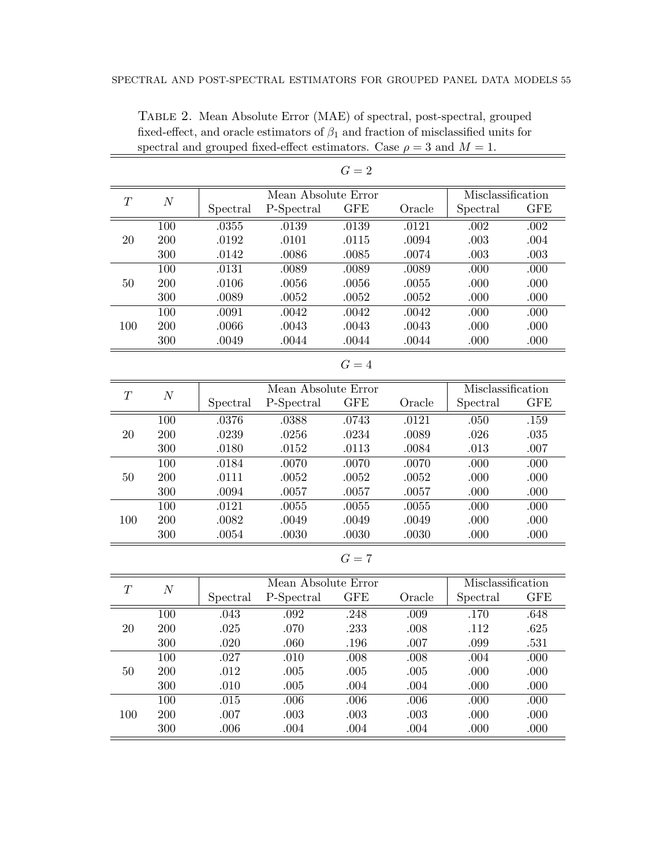|     |            |          |                     | $G=2$        |        |                   |                   |
|-----|------------|----------|---------------------|--------------|--------|-------------------|-------------------|
|     | N          |          | Mean Absolute Error |              |        | Misclassification |                   |
| T   |            | Spectral | P-Spectral          | $_{\rm GFE}$ | Oracle | Spectral          | GFE               |
|     | 100        | .0355    | .0139               | .0139        | .0121  | .002              | .002              |
| 20  | 200        | .0192    | .0101               | .0115        | .0094  | .003              | .004              |
|     | 300        | .0142    | .0086               | .0085        | .0074  | .003              | .003              |
|     | 100        | .0131    | .0089               | .0089        | .0089  | .000              | .000              |
| 50  | 200        | .0106    | .0056               | .0056        | .0055  | .000              | .000              |
|     | 300        | .0089    | .0052               | .0052        | .0052  | .000              | .000              |
|     | 100        | .0091    | .0042               | .0042        | .0042  | .000              | .000              |
| 100 | <b>200</b> | .0066    | .0043               | .0043        | .0043  | .000              | .000              |
|     | 300        | .0049    | .0044               | .0044        | .0044  | .000              | .000              |
|     |            |          |                     | $G=4$        |        |                   |                   |
| T   | N          |          | Mean Absolute Error |              |        |                   | Misclassification |
|     |            | Spectral | P-Spectral          | $_{\rm GFE}$ | Oracle | Spectral          | <b>GFE</b>        |
|     | 100        | .0376    | .0388               | .0743        | .0121  | .050              | .159              |
| 20  | 200        | .0239    | .0256               | .0234        | .0089  | .026              | .035              |

Table 2. Mean Absolute Error (MAE) of spectral, post-spectral, grouped fixed-effect, and oracle estimators of  $\beta_1$  and fraction of misclassified units for spectral and grouped fixed-effect estimators. Case  $\rho = 3$  and  $M = 1$ . 

| T   | $\overline{N}$ |          | Mean Absolute Error | Misclassification |        |          |            |
|-----|----------------|----------|---------------------|-------------------|--------|----------|------------|
|     |                | Spectral | P-Spectral          | <b>GFE</b>        | Oracle | Spectral | <b>GFE</b> |
|     | 100            | .0376    | .0388               | .0743             | .0121  | .050     | .159       |
| 20  | 200            | .0239    | .0256               | .0234             | .0089  | .026     | .035       |
|     | 300            | .0180    | .0152               | .0113             | .0084  | .013     | .007       |
| 50  | 100            | .0184    | .0070               | .0070             | .0070  | .000     | .000       |
|     | 200            | .0111    | .0052               | .0052             | .0052  | .000     | .000       |
|     | 300            | .0094    | .0057               | .0057             | .0057  | .000     | .000       |
| 100 | 100            | .0121    | .0055               | .0055             | .0055  | .000     | .000       |
|     | 200            | .0082    | .0049               | .0049             | .0049  | .000     | .000       |
|     | 300            | .0054    | .0030               | .0030             | .0030  | .000     | .000       |

$$
G=7
$$

| T   | N   |          | Mean Absolute Error | Misclassification |        |          |      |
|-----|-----|----------|---------------------|-------------------|--------|----------|------|
|     |     | Spectral | P-Spectral          | $_{\rm GFE}$      | Oracle | Spectral | GFE  |
|     | 100 | .043     | .092                | .248              | .009   | .170     | .648 |
| 20  | 200 | .025     | .070                | .233              | .008   | .112     | .625 |
|     | 300 | .020     | .060                | .196              | .007   | .099     | .531 |
| 50  | 100 | .027     | .010                | .008              | .008   | .004     | .000 |
|     | 200 | .012     | .005                | .005              | .005   | .000     | .000 |
|     | 300 | .010     | .005                | .004              | .004   | .000     | .000 |
| 100 | 100 | .015     | .006                | .006              | .006   | .000     | .000 |
|     | 200 | .007     | .003                | .003              | .003   | .000     | .000 |
|     | 300 | .006     | .004                | .004              | .004   | .000     | .000 |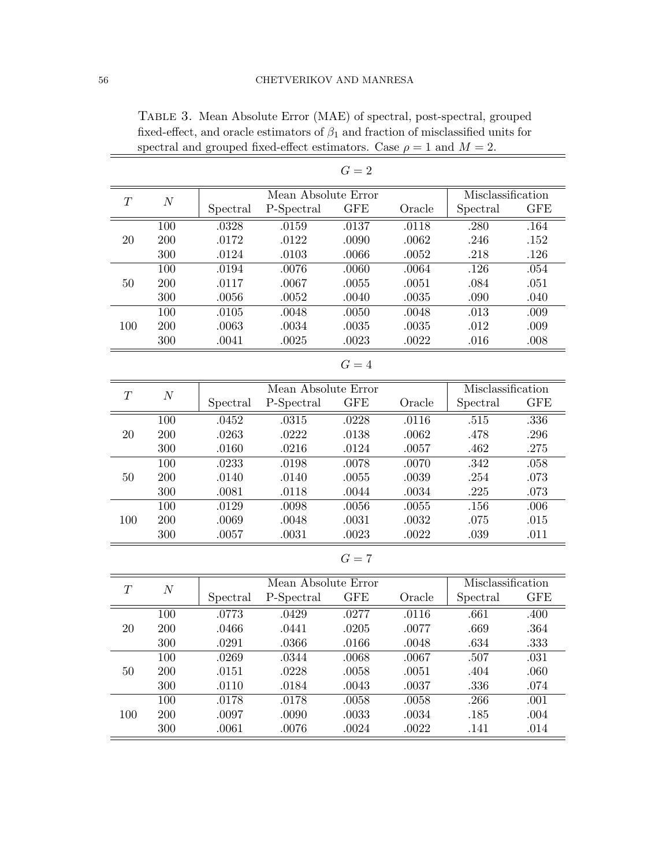|                  |                  |          |                     | $G=2$      |           |                   |            |
|------------------|------------------|----------|---------------------|------------|-----------|-------------------|------------|
|                  |                  |          | Misclassification   |            |           |                   |            |
| T                | $\boldsymbol{N}$ | Spectral | P-Spectral          | <b>GFE</b> | Oracle    | Spectral          | <b>GFE</b> |
|                  | 100              | .0328    | .0159               | .0137      | .0118     | .280              | .164       |
| 20               | 200              | .0172    | .0122               | .0090      | .0062     | .246              | .152       |
|                  | 300              | .0124    | .0103               | .0066      | .0052     | .218              | .126       |
|                  | 100              | .0194    | .0076               | .0060      | .0064     | .126              | .054       |
| 50               | 200              | .0117    | .0067               | .0055      | .0051     | .084              | .051       |
|                  | 300              | .0056    | .0052               | .0040      | .0035     | .090              | .040       |
|                  | 100              | .0105    | .0048               | .0050      | .0048     | .013              | .009       |
| 100              | 200              | .0063    | .0034               | .0035      | .0035     | .012              | .009       |
|                  | 300              | .0041    | .0025               | .0023      | .0022     | .016              | .008       |
|                  |                  |          |                     | $G=4$      |           |                   |            |
|                  |                  |          | Mean Absolute Error |            |           | Misclassification |            |
| $\boldsymbol{T}$ | $\boldsymbol{N}$ | Spectral | P-Spectral          | <b>GFE</b> | Oracle    | Spectral          | <b>GFE</b> |
|                  | 100              | .0452    | .0315               | .0228      | .0116     | .515              | .336       |
| 20               | 200              | .0263    | .0222               | .0138      | .0062     | .478              | .296       |
|                  | 300              | .0160    | .0216               | .0124      | .0057     | .462              | .275       |
|                  | 100              | .0233    | .0198               | .0078      | .0070     | .342              | .058       |
| 50               | 200              | .0140    | .0140               | .0055      | .0039     | .254              | .073       |
|                  | 300              | .0081    | .0118               | .0044      | .0034     | .225              | .073       |
|                  | 100              | .0129    | .0098               | .0056      | .0055     | .156              | .006       |
| 100              | 200              | .0069    | .0048               | .0031      | .0032     | .075              | .015       |
|                  | 300              | .0057    | .0031               | .0023      | .0022     | .039              | .011       |
|                  |                  |          |                     | $G=7$      |           |                   |            |
| T                |                  |          | Mean Absolute Error |            |           | Misclassification |            |
|                  | $\boldsymbol{N}$ | Spectral | P-Spectral          | <b>GFE</b> | Oracle    | Spectral          | <b>GFE</b> |
|                  | 100              | .0773    | .0429               | .0277      | .0116     | .661              | .400       |
| 20               | 200              | .0466    | .0441               | .0205      | .0077     | .669              | .364       |
|                  | 300              | .0291    | .0366               | .0166      | .0048     | .634              | .333       |
|                  | 100              | .0269    | .0344               | .0068      | .0067     | .507              | .031       |
| $50\,$           | $200\,$          | .0151    | .0228               | .0058      | .0051     | .404              | .060       |
|                  | 300              | .0110    | .0184               | .0043      | .0037     | $.336\,$          | .074       |
|                  | 100              | .0178    | .0178               | .0058      | .0058     | .266              | .001       |
| 100              | 200              | .0097    | .0090               | .0033      | .0034     | .185              | .004       |
|                  | 300              | .0061    | .0076               | .0024      | $.0022\,$ | .141              | .014       |

Table 3. Mean Absolute Error (MAE) of spectral, post-spectral, grouped fixed-effect, and oracle estimators of  $\beta_1$  and fraction of misclassified units for spectral and grouped fixed-effect estimators. Case  $\rho = 1$  and  $M = 2$ .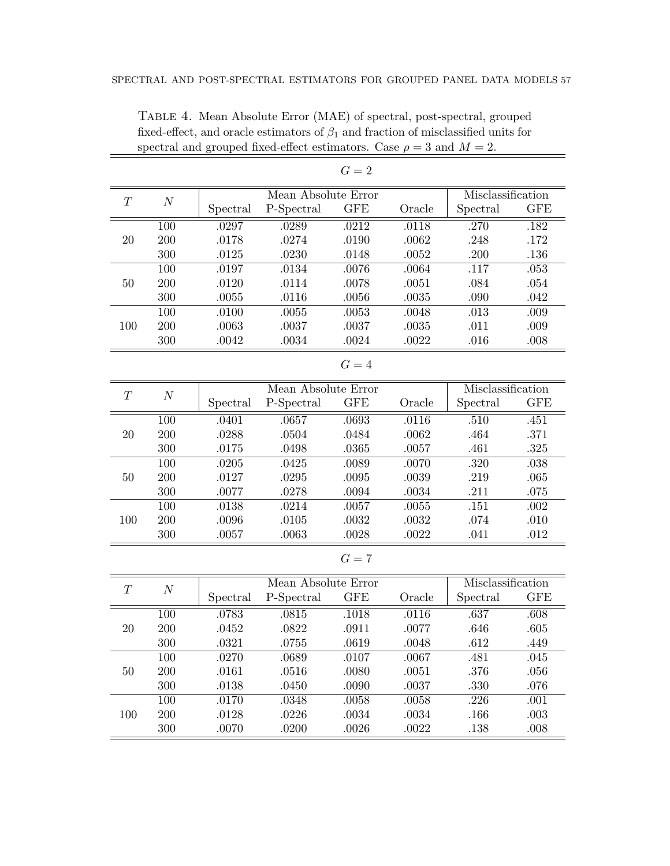|     |                  |                     |                     | $G=2$             |                   |          |            |
|-----|------------------|---------------------|---------------------|-------------------|-------------------|----------|------------|
|     |                  |                     | Mean Absolute Error | Misclassification |                   |          |            |
| T   | $\boldsymbol{N}$ | Spectral            | P-Spectral          | <b>GFE</b>        | Oracle            | Spectral | <b>GFE</b> |
|     | 100              | .0297               | .0289               | .0212             | .0118             | .270     | .182       |
| 20  | 200              | .0178               | .0274               | .0190             | .0062             | .248     | .172       |
|     | 300              | .0125               | .0230               | .0148             | .0052             | .200     | .136       |
|     | 100              | .0197               | .0134               | .0076             | .0064             | .117     | .053       |
| 50  | 200              | .0120               | .0114               | .0078             | .0051             | .084     | .054       |
|     | 300              | .0055               | .0116               | .0056             | .0035             | .090     | .042       |
|     | 100              | .0100               | .0055               | .0053             | .0048             | .013     | .009       |
| 100 | 200              | .0063               | .0037               | .0037             | .0035             | .011     | .009       |
|     | 300              | .0042               | .0034               | .0024             | .0022             | .016     | .008       |
|     |                  |                     |                     | $G=4$             |                   |          |            |
| T   | $\overline{N}$   | Mean Absolute Error |                     |                   | Misclassification |          |            |
|     |                  | Spectral            | P-Spectral          | <b>GFE</b>        | Oracle            | Spectral | <b>GFE</b> |
|     | 100              | .0401               | .0657               | .0693             | .0116             | .510     | .451       |
| 20  | 200              | .0288               | .0504               | .0484             | .0062             | .464     | .371       |
|     | 300              | .0175               | .0498               | .0365             | .0057             | .461     | .325       |
|     | 100              | .0205               | .0425               | .0089             | .0070             | .320     | $.038\,$   |
| 50  | 200              | .0127               | .0295               | .0095             | .0039             | .219     | .065       |
|     | 300              | .0077               | .0278               | .0094             | .0034             | .211     | .075       |
|     | 100              | .0138               | .0214               | .0057             | .0055             | .151     | .002       |
| 100 | 200              | .0096               | .0105               | .0032             | .0032             | .074     | .010       |
|     | 300              | .0057               | .0063               | .0028             | .0022             | .041     | .012       |
|     |                  |                     |                     | $G=7$             |                   |          |            |

Table 4. Mean Absolute Error (MAE) of spectral, post-spectral, grouped fixed-effect, and oracle estimators of  $\beta_1$  and fraction of misclassified units for spectral and grouped fixed-effect estimators. Case  $\rho = 3$  and  $M = 2$ . 

| Ŧ   |     |          | Mean Absolute Error | Misclassification |        |          |            |
|-----|-----|----------|---------------------|-------------------|--------|----------|------------|
|     | N   | Spectral | P-Spectral          | <b>GFE</b>        | Oracle | Spectral | <b>GFE</b> |
|     | 100 | .0783    | .0815               | .1018             | .0116  | .637     | .608       |
| 20  | 200 | .0452    | .0822               | .0911             | .0077  | .646     | .605       |
|     | 300 | .0321    | .0755               | .0619             | .0048  | .612     | .449       |
|     | 100 | .0270    | .0689               | .0107             | .0067  | .481     | .045       |
| 50  | 200 | .0161    | .0516               | .0080             | .0051  | .376     | .056       |
|     | 300 | .0138    | .0450               | .0090             | .0037  | .330     | .076       |
|     | 100 | .0170    | .0348               | .0058             | .0058  | .226     | .001       |
| 100 | 200 | .0128    | .0226               | .0034             | .0034  | .166     | .003       |
|     | 300 | .0070    | .0200               | .0026             | .0022  | .138     | .008       |